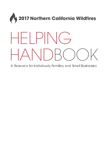

A Resource for Individuals, Families, and Small Businesses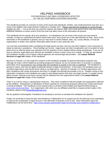# HELPING HANDBOOK FOR INDIVIDUALS AND SMALL BUSINESSES AFFECTED BY THE 2017 NORTHERN CALIFORNIA WILDFIRES

This handbook provides an overview of some of the issues that individuals, families, and small businesses may face as a result of the wildfires that swept Northern California in October 2017. Please note that this handbook is current through October 20, 2017 — but by the time you read this material, the federal, state, and county governments may have enacted additional measures to assist victims of the fires that may affect some of the information we present.

This handbook will not answer all of your questions. It is designed to set out some of the issues you may need to consider, to help you understand the basics about each issue, and to point you in the right direction for help. Much of the information in this handbook is general, and you may have to contact federal, state, city, county officials, or local aid organizations to obtain more specific information about issues in your particular area.

You may feel overwhelmed when considering the legal issues you face, and you may find it helpful or even necessary to obtain an attorney's assistance. These feelings are normal. Legal issues are often complicated, and it is prudent to seek advice from an attorney about your questions and the specifics of your situation before acting precipitously. If you do not have an attorney, legal advice and referrals are available to those in need, some at no charge. To help you get started, this handbook includes a list of lawyer referral agencies and several legal aid providers. *See* **Lawyer Referral Services & Legal Aid** chapter of this handbook.

Morrison & Foerster LLP has made the contents of this handbook available for general information purposes only. Although we hope it will be helpful by providing background material, we do not warrant that it is accurate or complete, particularly since circumstances may change after this handbook is posted on the web or published. The handbook is general in nature, and may not apply to particular factual or legal circumstances. In any event, the handbook does not constitute legal advice and should not be relied on as legal advice. Morrison & Foerster LLP renders legal advice only after compliance with certain procedures and when it is legally and ethically permissible to do so. Readers acting on any information contained in this handbook are urged to seek tailored advice from their own legal counsel; if a reader cannot afford counsel, referrals to pro bono counsel may be obtained from the organizations listed in the **Lawyer Referral Services & Legal Aid** chapter of this handbook.

There is no cost for using or copying these resources. They were compiled to help the people and organizations affected by the wildfires. Reproduction or distribution of these materials for commercial purposes without prior written permission is strictly prohibited. This handbook can be viewed online or printed in both English and Spanish (forthcoming) at *[www.mofo.com/norcal-fires/](http://www.mofo.com/norcal-fires/)*. If an organization with which you are affiliated would like to request printed copies of the handbook, please email *[firehandbook@mofo.com.](mailto:firehandbook@mofo.com)* 

We are grateful to Morningside Translations for donating its services to translate this handbook into Spanish.

Finally, we would like to thank the Bay Area Resilience Collaborative for its support and for the planning it has undertaken to improve the coordination of legal services in the aftermath of disasters such as this. More information about the Collaborative can be found here: *<https://www.acbanet.org/volunteer-legal-services/bay-area-resilience-collaborative/>*.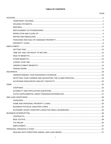# **TABLE OF CONTENTS**

# PAGE

| <b>FEMA</b>         |    |
|---------------------|----|
|                     |    |
|                     |    |
|                     |    |
| SBA LOAN ASSISTANCE | 28 |
|                     |    |
|                     |    |
|                     |    |
|                     |    |
|                     |    |
|                     |    |
|                     |    |
|                     |    |
|                     |    |
|                     |    |
|                     |    |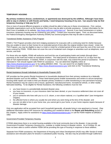# <span id="page-4-1"></span><span id="page-4-0"></span>**TEMPORARY HOUSING**

### **My primary residence (house, condominium, or apartment) was destroyed by the wildfires. Although I have been able to stay in shelters or with friends and family, I need temporary housing of my own. Can anyone help me find temporary housing or help pay for it?**

One or more of several different programs or entities should be able to help you in these circumstances. First, various charitable organizations such as the American Red Cross may be able to provide assistance. Contact information for the Red Cross is available on its website, *<http://www.redcross.org/contact-us/>*. Second, if you have homeowners or renters insurance, temporary housing may be covered by your policy. Contact your insurance agent. Third, as discussed below, the Federal Emergency Management Authority (FEMA) has several programs that may be able to assist you.

### Transitional Shelter Assistance (TSA) Program

FEMA's TSA Program provides short-term lodging assistance for evacuees with a continuing need for shelter because they are unable to return to their homes for an extended period of time after the original shelters have closed. Under the TSA Program, you may be eligible to stay in a hotel or motel for a limited period of time and have the cost of the room and taxes covered by FEMA. FEMA does not cover the cost of incidental room charges or amenities such as telephone, room service, and food.

For those who are eligible, FEMA will authorize and fund the use of participating hotels and motels (through direct payments to the hotel and motel) as transitional shelters. The initial period of assistance will be 5 to 14 days from the date of TSA implementation. If needed, FEMA, in conjunction with the state, may extend this period of assistance. Those interested in TSA should register with FEMA for assistance. You can determine eligibility online at *<https://www.disasterassistance.gov/>* or by calling (800)621-3362. You can search for an eligible hotel at *<http://www.femaevachotels.com/>* or visit *<https://www.disasterassistance.gov/>* and click on the "Transitional Sheltering Assistance Hotel Locator."

# Rental Assistance through Individuals & Households Program (IHP)

IHP provides tax-free grants (Rental Assistance) to households displaced from their primary residence by a federally declared disaster such as the wildfires. These need-based grants enable homeowners and renters to secure temporary housing while repairs are made to their pre-disaster primary residence or while transitioning to new permanent housing. Rental Assistance may be used to rent a house, apartment, manufactured home, recreational vehicle, or other readily fabricated dwelling. To be eligible for Rental Assistance, the following conditions must be met:

- you have losses in a presidentially declared disaster area;
- you have no insurance, or your insurance claim has been denied, or your insurance settlement does not cover all of your losses;
- you or someone who lives with you is a U.S. citizen, a non-citizen national, or a "qualified alien" (see Immigration chapter);
- the affected home is where you usually live and where you were living at the time of the disaster; and
- you are not able to live in your home now, you cannot get to your home, or your home requires repairs because of disaster damage.

Only one application will be accepted from each household (generally, all people living in one apartment or house). (See additional information about IHP resources for rebuilding your residence below in the **Repair and Rebuilding** section of this chapter.) Apply online for assistance at *<https://www.disasterassistance.gov/>* or call the FEMA helpline at (800)621- 3362.

# Government-Provided Temporary Housing

If FEMA determines there is no rental housing available in the local community due to the disaster, it may provide Government-Provided Temporary Housing (e.g., modular or mobile homes) to disaster victims. As of October 20, we have not been able to confirm whether FEMA will be providing this type of housing in response to these wildfires.

Separate from FEMA assistance, the Department of Housing and Urban Development (HUD) may offer Section 8 rental assistance and relocation plans for tenants in subsidized public housing. Aid also may be provided through California's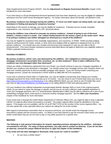State Supplemental Grant Program (SSGP). See the **Adjustments to Regular Government Benefits** chapter of this handbook for more information.

If you were living in a Rural Development-financed apartment and have been displaced, you may be eligible for additional assistance from the USDA Rural Development Agency. For further information about this benefit, call (800)414-1226.

### **My primary residence was damaged during the wildfires. If I move out while repairs are being made, can I get any assistance in finding and paying for temporary housing?**

Depending on the amount of damage, you may be eligible for assistance. Potential sources include charitable organizations, your insurance, and FEMA's IHP, discussed above.

### **During the wildfires I was ordered to evacuate my primary residence. Instead of going to one of the local shelters, I rented a room in a motel. Can I obtain reimbursement for the money I spent on the motel room? What if my primary residence was neither damaged nor destroyed as a result of the wildfires?**

You may be eligible for assistance from charitable organizations, your insurance, or FEMA. FEMA provides lodging expense reimbursement for hotels, motels, or other short-term lodging while an applicant is displaced from his or her primary residence. You should save your receipts and document your expenses in case you are able to file for reimbursement. (The same disaster assistance process described above will apply to determine your eligibility relative to FEMA's potential reimbursement.)

# <span id="page-5-0"></span>**HOUSING PAYMENTS**

### **My primary residence, which I own, was destroyed by the wildfires. Am I obligated to continue paying my mortgage, homeowners association fees, insurance, etc. on that residence? Does it make a difference if my residence was only damaged rather than destroyed?**

Unless you obtain a forbearance agreement from your lender, you should continue to pay your mortgage regardless of whether your residence was destroyed or damaged. You should contact your mortgage servicer (the company where you send your monthly payments) to discuss possible mortgage relief options. If you are having trouble contacting your mortgage servicer, contact the Homeowner's HOPE Hotline at (888) 995-4673 for assistance.

If your loan is owned by Fannie Mae or Freddie Mac, you may be eligible to temporarily stop making your monthly mortgage payments for three month intervals up to 12 months. You can check to see if Fannie Mae owns your loan at *<https://www.knowyouroptions.com/loanlookup>* or by calling (800)232-6643; you can check to see if Freddie Mac owns your loan at *<https://ww3.freddiemac.com/loanlookup/>* or by calling (800)373-3343 and selecting option #2.

If (i) your residence has suffered substantial uncompensated disaster damage (40% or more of the original property value), (ii) you intend to repair the damage or rebuild, and (iii) you do not have sufficient credit available elsewhere to cover your mortgage payments, the U.S. Small Business Administration (SBA) may be able to refinance all or part of your outstanding mortgage which could result in a reduced monthly mortgage payment. See the **SBA Loan Assistance** chapter of this handbook for more information.

If your home loan is through the United States Department of Veterans Affairs (VA), you might be able to have it adjusted. Call the VA regional office where the property is located. The proper regional office should be identified on the loan papers. If the papers are not available, call the VA at (877)827-3702 for the number of the correct regional office. You can also speak with a loan specialist about your options by calling the VA at this number.

With regard to homeowners association fees or insurance premiums, you should review the language of your association's bylaws and the insurance policy. It is likely in your best interest to pay the amounts owed unless you obtain written confirmation that you do not have to pay or may defer payment for a specific time.

# <span id="page-5-1"></span>**RENTERS**

**The following is only general information for tenants regarding premises damaged by the wildfires. Individual circumstances will vary. For many of these questions, you may want to contact an attorney. If you do not have an attorney, consult the Lawyer Referral Services & Legal Aid chapter of this handbook.**

**If my rental unit has been damaged or destroyed, what issues do I need to consider?**

• Do you have a written lease?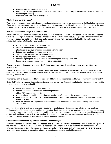- How badly is the rental unit damaged?
- Do you want to keep possession of the apartment, move out temporarily while the landlord makes repairs, or move out permanently?
- Is the unit rent-controlled or subsidized?

# **What if I have a written lease?**

Your rights will be determined by the lease's provisions to the extent they are not superseded by California law. Although "form" leases are commonly used, the provisions covering disasters vary significantly even for different leases in the same building. You should ask a professional to check the provisions of your lease to answer these questions for you.

# **How do I assess the damage to my rental unit?**

Under California law, landlords must maintain rental units in habitable condition. A residential tenant cannot be forced to waive his or her right to habitable premises. Unless you have a unique lease that you negotiated with your landlord, this information about habitability most likely applies to your rental unit. To be considered habitable, the rental units must substantially satisfy *all* of the following conditions:

- roof and exterior walls must be waterproof;
- windows and doors must be unbroken;
- plumbing and gas systems must be in good working order;
- hot and cold running water must be provided;
- sewage disposal systems must be operational:
- heating equipment must be in good working order;
- electrical lighting and wiring must be maintained in good working order; and
- floors, stairways, and railings must be kept in good repair.

# **If my rental unit is damaged, what can I do if I have a month-to-month rental agreement and want to move permanently?**

You can give one month's notice to your landlord and then move. If the unit is substantially damaged (damaged to the extent the premises can no longer be used as a residence), you may not need to give a full month's notice. In that case, see the guidelines below.

# **If my rental unit is damaged, do I have to pay rent if I have a one-year lease and I want to move out permanently?**

Under California law, you may terminate your tenancy and not pay rent if the unit is substantially damaged. If you want to terminate your tenancy, you should:

- check your lease for applicable provisions;
- make a list of the unit's impaired and damaged conditions;
- obtain FEMA inspection reports;
- request a local city building inspection and obtain a certified copy of the inspection report;
- photograph the damage and record the date the picture was taken, who took the picture, and the subject of the picture; and
- have the unit and building viewed by reliable witnesses and record the date of the viewing and what the witness saw.

Assuming these efforts lead you to conclude that your unit is substantially damaged, write a letter to your landlord, enclose copies of the documentation set forth above, state that the rental unit is not habitable, and state that you consider the lease terminated. Sign and date the letter and keep a copy for your records. You then will be in a position to proceed as if the unit had been destroyed. If your landlord disputes your position and you have not done so already, you should promptly consult an attorney or seek the services at a legal aid organization.

# **Can I terminate my lease if my rental unit is materially damaged?**

You must first notify the landlord about the needed repairs and give the landlord a reasonable time to make the repairs. If the landlord does not make the repairs within a reasonable time, then you may be able to terminate the lease. The landlord may dispute whether the repairs are necessary and whether a reasonable time was given to make the repairs, in which case you may need to contact an attorney or seek the services at a legal aid organization.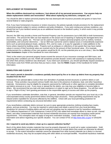### <span id="page-7-0"></span>**REPLACEMENT OF POSSESSIONS**

### **When the wildfires destroyed my residence, I lost almost all of my personal possessions. Can anyone help me obtain replacement clothes and necessities? What about replacing my television, computer, etc.?**

You should be able to replace personal property that was destroyed with insurance proceeds and grants or loans from several federal or state programs.

First, if you have homeowners insurance or renters insurance, the policies typically include provisions for the replacement of personal property subject to various conditions and policy limitations. If you were renting your primary residence, you should find out if your landlord named you as an additional insured on the landlord's policy, in which event it may provide benefits for you.

Second, the SBA may provide a Home and Personal Property Loan for possessions (up to \$40,000) to both homeowners and renters. The amount the SBA can loan depends on the actual cost of repairing or replacing the damaged items less insurance recovery, grants, etc. The loan can be used to repair or replace personal property such as clothes, furniture, automobiles, and consumer electronics — but an SBA loan cannot be used to replace luxury or extraordinarily expensive items such as personal pleasure boats, airplanes, RVs, and fur coats, or to pay for upgrades or make additions to the home unless required by building codes. Property such as antiques or collections of rare goods that may have market values in excess of their functional value are covered only for the amount of their functional value. (For example, reimbursement for a collection of four rare quarters would be \$1.00, not the potential price at a coin show.) See the **SBA Loan Assistance** chapter of this handbook for more information.

Third, to the extent your personal property losses exceed the amount of your insurance coverage and SBA loans, and assuming other conditions are met, FEMA will sometimes provide disaster victims with assistance in replacing furniture lost when their primary residence was destroyed. If you need such assistance, you should specifically request assistance for furniture costs from FEMA and show that you have a need. See the **FEMA** chapter of this handbook for further information.

## <span id="page-7-1"></span>**DEMOLITION AND CLEAN UP**

### **Do I need a permit to demolish a residence partially destroyed by fire or to clean up debris from my property that resulted from the fire?**

Homeowners are advised *not* to conduct their own demolition of partially burned structures or perform debris or ash removal. These activities may present serious health risks due to the presence of asbestos, lead, and other hazardous materials. Homeowners may be eligible for programs sponsored by CalRecycle or other agencies to complete demolition and debris removal at no cost. If you move or spread the fire debris, you may lose your eligibility or become liable to others. We recommend that you wait until state assistance is in place to sign up for these programs. You will then need to sign a "Right of Entry" form granting permission to the responsible agency to access and clean up the property.

If you nevertheless undertake demolition, note that, in general, demolition permits are required from your local city or (for unincorporated areas) county government before removing major structures. These permitting requirements may be relaxed and/or expedited for structures affected by the wildfires. Check with your local permitting jurisdiction for requirements before conducting any structural demolition work.

If you nevertheless undertake debris removal, be sure to wear appropriate protective clothing including face masks, gloves, and eye protection. You may be required to submit plans and obtain a permit from your local permitting jurisdiction for removal of building debris and ash and soil sampling may be required to test for hazardous substances. The California Department of Toxic Substances Control (DTSC) has stated that immediate efforts to clean up ash, charred debris, and other contaminated materials from burned residential structures are exempt from hazardous waste permit requirements. This exemption does not apply to long-term restoration activities. Check with the DTSC for more information and advice regarding your specific situation. You can contact DTSC at *<http://www.dtsc.ca.gov/>* or (916)255- 6504.

### **Am I required to send any debris I clean up to a special collection facility?**

Much of the debris likely includes materials that must be properly disposed of to avoid soil or water contamination. Solid waste landfill operators may be granted special emergency waivers to accept debris they would not otherwise be allowed to accept. To the extent hazardous materials cannot be separated from other burned materials (as is likely in a burned residential structure), they may be accepted along with other debris at municipal landfills. Household hazardous materials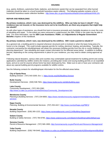(e.g., paints, fertilizers, automotive fluids, batteries, and electronic waste) that can be separated from other burned materials should be taken to a local household hazardous waste collector. The following website contains a list of household hazardous waste collection facilities: *[http://www.dtsc.ca.gov/HazardousWaste/UniversalWaste/HHW.cfm.](http://www.dtsc.ca.gov/HazardousWaste/UniversalWaste/HHW.cfm)*

### <span id="page-8-0"></span>**REPAIR AND REBUILDING**

### **My primary residence, which I own, was destroyed by the wildfires. Who can help me have it rebuilt? If my residence was not insured, or the insurance turns out to be insufficient, are there any programs that might help me rebuild?**

As with other types of assistance, you should first look to insurance proceeds and charitable donations to cover the costs of rebuilding and repair. To the extent you were uninsured or underinsured, the SBA, FEMA or the state may be able to help. For more information, see the **SBA Loan Assistance**, **FEMA**, and **Adjustments to Regular Government Benefits** chapters of this handbook.

### **My primary residence, which I own, was destroyed by the wildfires. Will I need a permit to rebuild it?**

As a general rule, a building permit is required whenever structural work is involved or when the basic living area of a home is to be changed. This could include separate permits for roofing, electrical, heating, and plumbing. Typically, the contractor overseeing the rebuilding/repair will obtain the necessary building permits from the city or county building or planning department. See rebuilding and repair contact information for fire-affected areas below. In addition to building permits, depending on the zoning requirements in place for your residence, you may need to obtain zoning approval as well.

Following natural disasters, various cities and counties may contemplate special treatment for building permit and zoning applications submitted by wildfire victims (for instance, providing plan review and issuing building permits on an expedited basis, and at no cost for anyone whose home has been destroyed by fire). Make sure to ask or have your contractor ask about any special building permit programs available for wildfire victims.

See the following contacts for rebuilding/repair information for the fire-affected areas below.

### **City of Santa Rosa**

Building Division: (707) 543-3200, Ext. 1, *<https://srcity.org/262/Building-Division>*

### **Butte County**

Development Services: (530) 538-7601, *<https://www.buttecounty.net/dds/building.aspx>*

### **Lake County**

Community Development: (707) 263-2382, *[http://www.co.lake.ca.us/Government/Directory/Community\\_Development.htm](http://www.co.lake.ca.us/Government/Directory/Community_Development.htm)*

### **Mendocino County**

Planning & Building Services: (707) 234-6650, *[https://www.mendocinocounty.org/government/planning-building](https://www.mendocinocounty.org/government/planning-building-services)[services](https://www.mendocinocounty.org/government/planning-building-services)*

#### **Napa County**

Planning, Building & Environmental Services: (707) 253-4417, *<http://www.countyofnapa.org/PBES/>*

### **Nevada County**

Building Department: (530) 265-1222, *<https://www.mynevadacounty.com/1114/Building-Department>*

#### **Solano County**

Building & Safety Services: (707) 784-6765, *<https://www.solanocounty.com/depts/rm/buildingnsafety/default.asp>*

#### **Sonoma County**

Permit & Resource Management: (707) 565-1900, *<http://sonomacounty.ca.gov/Permit-and-Resource-Management/>*

#### **Yuba County**

Building Department: (530) 749-5440, *<http://www.co.yuba.ca.us/Departments/Community%20Development/Building/>*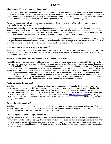# **What happens if I do not get a building permit?**

If the authorities learn you have undertaken repairs or rebuilding without obtaining a necessary permit, you will generally pay a fine and may be ordered to tear down any construction that was done without authorization. The amount of the fine varies by jurisdiction. If you sell your property, you are required by law to disclose work that has been done without the required permits and that could lower the sale price or jeopardize the sale of your property altogether.

# **My former house was built before the current building codes were in place. When rebuilding, do I have to conform to the new building codes?**

Houses must generally be constructed according to the codes in effect at the time the reconstruction permit is issued. Some cities and counties may not require conformance to new building codes for repairs are considered "minor." You should check your insurance policy or call your insurance carrier to determine whether your homeowner's policy provides for upgrades to the current building code. Some policies do not pay for building code upgrades.

If the local government's zoning requirements have changed for your property since the house was built, you will generally be required to conform to the new zoning rules. This could affect the size or design of the house and in some cases may affect the allowable uses of the property. Be sure to check with your local planning department.

# **Is it a good idea to be my own general contractor?**

Unless you are very experienced in the construction business, no. As an owner/builder, you assume responsibility for the overall job, which may include responsibility for state and federal taxes, workers' compensation insurance, and other requirements and liabilities.

# **If I'm not my own contractor, how will I know which contractor to hire?**

If possible, use only contractors referred to you by someone you know and trust. Unscrupulous contractors may try to solicit work from you, offering to repair or rebuild your home for a low price. Remember, if something seems "too good to be true" it probably is. Although you may be anxious to get things back to normal, avoid acting too quickly. Take time to determine exactly what you want done and make sure the contractor is licensed and reputable and can address all of your concerns. If possible, get at least three competitive bids based on the same set of specifications before making your decision. Beware of door-to-door offers of repair services and never provide the contractor with a cash deposit on a handshake. You should get a written contract that details every aspect of the work to be done and a performance and payment schedule. Before signing a contract with a contractor, be sure to check his or her license status and references. And read the information in the **Consumer Tips & Fraud Prevention** chapter of this handbook.

# **Must a contractor be licensed?**

State law requires that contractors working on any job requiring \$500 or more of work be licensed by the California Contractors State License Board (CSLB). Ask to see the contractor's license (called a "pocket license") that has the CSLB's license number on it (state contractors' licenses are solely numeric; no alphabetic characters are included in them), as well as an additional form of identification for verification (the contractor's license should be in the contractor's own name). You can verify a contractor's license status at the CSLB website, *<http://www.cslb.ca.gov/>* or by calling CSLB's toll-free automated telephone system (800) 321-2752. The CSLB has a hotline for disaster victims, (800) 962- 1125 (weekdays only).

# **Do I need a written contract?**

State law requires that home improvement contracts for \$500 or more in labor or materials must be in writing. Anything you sign can be considered a contract or otherwise used by a contractor as authorization to go forward with a project so do not sign anything until you completely understand what it is.

# **Can I change my mind after I sign the contract?**

If your residence is within a federally, state, or locally declared emergency area, California law allows you to cancel a contract for repair of a residence damaged by the disaster within seven business days of signing the contract. For other contracts, you may cancel within three business days of signing, provided the contract was solicited some place other than the contractor's place of business (such as in your own home). By law, the contractor must give you written notice of this right to cancel.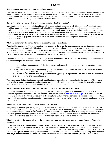# **How much can a contractor require as a down payment?**

California law limits the amount of the down payment for any home improvement contract (including debris removal) to the lesser of \$1,000 or 10% of the contract price, excluding finance charges. Except for this down payment, California law prohibits a contractor from collecting payment for work that has not been performed or materials that have not been delivered. As a general rule, you should not make cash payments to contractors.

# **How can I make sure the work progresses as scheduled in the contract?**

A contract should provide a description of the work to be done, the time period which it is to be done (including the date on which "substantial commencement of work" should occur), the materials to be used, and the equipment to be used or installed. Contractors often ask for progress payments as the work progresses. California law requires that the contract must specify all of the work that is to be completed before a progress payment is due, and that the progress payment cannot exceed the value of the work performed and materials purchased up to that point. It is customary to make the last payment a "retention" payment, ordinarily 10%, which you retain until the job is completed and the city and county has approved all work.

# **What happens when the contractor uses subcontractors or suppliers?**

You should protect yourself from liens against your property in the event the contractor does not pay the subcontractors or suppliers. California's Mechanics' Lien Law allows those who furnish labor or materials to your home to record a lien against your property if they are not paid even if you have paid your general contractor in accordance with the contract. At its most extreme, a lien may result in the forced sale of your property if you are unable to pay the amount of the lien. At the very least, a lien will make your property more difficult to finance or sell.

California law requires the contractor to provide you with a "Mechanics' Lien Warning." That warning suggests measures you can take to prevent liens against your home, such as:

- getting a list from your contractor of all subcontractors and material suppliers and monitoring when they start work or deliver materials;
- paying close attention to any "Preliminary Notice" received from a subcontractor, which provides notice that the person has a right to record a lien if not paid; and
- if permitted by your contract with the general contractor, paying with a joint check, payable to both the contractor and the subcontractor or material supplier.

The law provides that contractors, on request, must furnish an unconditional release of potential mechanics' lien claims once you have made payment to the subcontractor for that specific work or materials. Note that the general contractor can also place a lien on your house if you fail to pay for his or her services.

# **What if my contractor doesn't perform the work I contracted for, or does a poor job?**

If you have a dispute with a contractor that you are not able to resolve on your own, you may contact CSLB to file a complaint against the contractor. You can find more information online at *<http://www.cslb.ca.gov/>* or by calling (800) 321- 2752. Depending on the nature and severity of the complaint, and whether the contractor is licensed or unlicensed, CLSB may direct the parties to a dispute resolution program, investigate potential violations of law, or pursue legal action against the contractor.

# **What effect does an arbitration clause have in my contract?**

By agreeing to arbitrate, you are agreeing to have a dispute with your contractor decided by a neutral third party (known as the arbitrator) rather than by a judge or jury (unless the arbitration is non-binding). Some consumers prefer arbitration to court proceedings because arbitration is usually less expensive. But if you proceed with binding arbitration, you waive almost all grounds for seeking review of the arbitrator's decision in court; in almost all circumstances, the arbitrator's decision will be the final decision, even if you think the arbitrator made a mistake of fact or law.

# **What is the effect of a clause allowing the contractor to recover attorney's fees and costs from me if there is a dispute?**

In California, in a legal dispute about a contract, each side pays its own attorney's fees and costs, but that arrangement may be overridden in a written contract. An attorney's fees clause written for the contractor means that, if the contractor prevails in a dispute in arbitration or in court, you will have to pay the contractor's attorney's fees and costs. California law provides a reciprocal benefit with regard to attorney's fee clauses — meaning that if you are the prevailing party, you may recover your attorney's fees and costs even if the clause does not specifically provide that you are entitled to do so.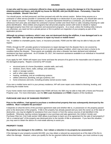### **A man who said he was a contractor offered to clean up my property, assess the damage to it for the purpose of obtaining grants and loans, and rebuild my house for \$50,000, with just \$5,000 down. Fortunately, I have the money available. Should I hire him?**

You should pause, not feel pressured, and then proceed only with the utmost caution. Before hiring anyone as a contractor or other service provider in connection with damage to or destruction of your property, you should take care to be an "aware consumer." As discussed above, if a person represents himself as a contractor, you should ask for references from prior jobs and obtain his contractor's license number and check that it is valid, including checking for valid photo identification. Most entities and programs that will provide property owners with funds to rebuild or replace damaged property have their own inspection and assessment programs. As a result, unless the funding entity instructs you otherwise, you need not hire a private person or firm to perform an inspection of your property as part of the application process.

### **Although my primary residence, which I own, was not destroyed during the wildfires, it was damaged and is no longer habitable. Can I get any assistance to repair my house or mobile home?**

Yes. In addition to charitable grants, loans, or insurance proceeds, FEMA and the SBA may be able to help you with repairs.

FEMA, through its IHP, provides grants to homeowners to repair damage from the disaster that is not covered by insurance. The goal is to repair the home so it is in a safe and sanitary condition, which may not return a home to its condition before the disaster. These grants are available only when a disaster has been declared and individual assistance has been authorized. As of October 20, 2017, the maximum assistance available to an individual or household under the IHP is \$34,000.

If you apply for IHP, FEMA will inspect your home and base the amount of its grant on the reasonable cost of repairs to the damaged property. Repairs covered by IHP include:

- structural parts of a home (foundation, outside walls, and roof);
- windows, doors, floors, walls, ceilings, and cabinetry;
- septic or sewage system;
- well or other water system;
- heating, ventilating, and air-conditioning systems;
- utilities (electrical, plumbing, and gas systems); and
- home entrances and exits, including privately owned access roads.

If you own a mobile home and it is your primary residence, IHP will cover repair costs related to blocking, leveling, and anchoring the mobile home.

If your home needs more extensive repairs than FEMA will fund, the SBA may be able to help with a Home and Personal Property Loan. For more information, see the **SBA Loan Assistance** and **FEMA** chapters of this handbook.

# <span id="page-11-0"></span>**PURCHASE AND SALE OF DAMAGED PROPERTY**

### **Prior to the wildfires, I had agreed to purchase a residence/real property that was subsequently destroyed by the wildfires. Must I complete the purchase?**

It depends on what the terms of the purchase agreement state and whether title to, or possession of, the property passed prior to the destruction of the property. If title to the property has already passed and you were the owner as of the date of destruction, you may be eligible for assistance from your insurer or from the various sources of aid identified in this handbook. Otherwise, barring contrary language in your purchase and sale agreement, the Uniform Vendor and Purchaser Risk Act, Civil Code section 1662 allows a purchaser to back out of an agreement for the sale of real property if "all or a material part" of the property was destroyed prior to the transfer of title or possession. If you face this situation, you may want to obtain the advice of a real estate attorney to assist you.

### <span id="page-11-1"></span>**PROPERTY TAXES**

### **My property was damaged in the wildfires. Can I obtain a reduction in my property tax assessment?**

If the damage to your property exceeds \$10,000, you may obtain a reduced tax assessment as of the date of the fire to reflect the damage. However, unless you qualify for the tax payment deferral described below, you must continue to pay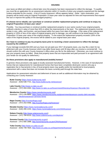your taxes as billed and obtain a refund later once the property has been reassessed to reflect the damage. To qualify, you must file an application for an assessment reduction within 12 months of when your property experienced the damage (unless extended by the county). A list of County Assessors' offices appears below. (Note: Upon restoration, your property will be taxed using its original Proposition 13 base year value as adjusted for time and improvements that expand the size or improve the quality of the damaged property.)

### **If I choose not to rebuild, can I purchase or construct another replacement property and continue to enjoy my original Proposition 13 base year value?**

Possibly. You may purchase or construct another replacement property in your same county if your original property suffered a decline in value of more than 50% in either the improvements or the land. The replacement property must be similar in size, utility, and function, and purchased within five years from date of damage. If the value of the replacement property is 120% or less of the value of original property prior to damage, you will continue to be taxed based on the Proposition 13 base year value of the original property. To the extent the replacement property exceeds 120% of the value of the original property, the excess will be added to your original base year value.

### **Do I have to continue to pay my property taxes prior to receiving a lower assessment to reflect the damage caused by the wildfires?**

If your damage exceeds \$10,000 and you have not yet paid your 2017-18 property taxes, you may file a claim for tax deferment with your County Assessor which may defer those taxes until 30 days after you receive a corrected bill. You should confirm this with your County Assessor's office when you file for the deferment. Otherwise, you must continue to pay your property taxes as billed. (Note that property taxes that are impounded and paid pursuant to an agreement with your lender do not qualify for deferment.)

# **Do these provisions also apply to manufactured (mobile) homes?**

In general, these provisions only apply to locally assessed manufactured homes. However, in the case of manufactured homes that are replacements for manufactured homes that have been *completely destroyed*, owners who pay a registration fee to Sacramento in lieu of local property taxes may qualify and/or be transferred to local property assessment with a value that does not increase the taxes currently paid through the state fees.

Applications for assessment reduction and deferment of taxes as well as additional information may be obtained by contacting your County Assessor:

**Butte County** (*<https://www.buttecounty.net/>*) Assessor: (530) 538-7721, *<http://www.buttecounty.net/assessor/>*

**Lake County** (*<http://www.co.lake.ca.us/>*) Assessor*:* (707) 263-2302, *<http://www.co.lake.ca.us/Government/Directory/Assessor-Recorder.htm>*

**Mendocino County** (*<https://www.mendocinocounty.org/>*) Assessor*:* (707) 234-6800, *[https://www.mendocinocounty.org/government/assessor-county-clerk-recorder](https://www.mendocinocounty.org/government/assessor-county-clerk-recorder-elections/assessor-services-forms)[elections/assessor-services-forms](https://www.mendocinocounty.org/government/assessor-county-clerk-recorder-elections/assessor-services-forms)*

**Napa County** (*<http://countyofnapa.org/>*) Assessor*:* (707) 253-4466, *<http://countyofnapa.org/Assessor/>*

**Nevada County** (*<https://www.mynevadacounty.com/>*) Assessor: (530) 265-1232, *<https://www.mynevadacounty.com/163/Assessor>*

**Solano County** (*<http://www.solanocounty.com/>*) Assessor*:* (707) 784-6210, *<http://www.solanocounty.com/depts/ar/>*

**Sonoma County** (*[http://sonomacounty.ca.gov](http://sonomacounty.ca.gov/)*) Assessor*:* (707) 565-1888, *<http://sonomacounty.ca.gov/CRA/Assessor/>*

**Yuba County** (*<http://www.co.yuba.ca.us/>*) Assessor*:* (530) 749-7820, *<http://www.co.yuba.ca.us/Departments/Assessor/>*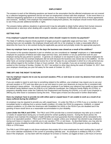<span id="page-13-0"></span>The answers to each of the following questions are based on the assumption that the affected employees are not covered by a collective bargaining agreement and do not have an employment contract with their employer. In the event there is a collective bargaining agreement or an employment contract, the employee should consult the terms of those agreements and contracts. Similarly, if the employer has established employment policies, the employee should review those policies to see if they provide additional benefits or rights.

The answers below address situations in general and it may be advisable to obtain further advice from human resource professionals or attorneys when dealing with a specific situation, particularly if difficulties are anticipated or arise.

## <span id="page-13-1"></span>**GETTING PAID**

#### **If my employer's payroll records were destroyed, when should I expect to receive my paycheck?**

The State of California requires timely payment of wages pursuant to applicable wage-and-hour laws. If records of working hours are not available, the employee should work with his or her employer to make a reasonable effort to determine the hours he or she worked during the applicable pay period and promptly render the appropriate payment.

### **Does my employer have to pay me for the days the business was closed as a result of the wildfires?**

The answer to this question depends in part on whether you are considered an "**exempt**" employee or a "**non-exempt**" employee for purposes of federal and state wage-and-hour laws, and whether or not you performed work for your employer during the pay period in question. In general, an employer is not required to pay its non-exempt employees for any days or hours the non-exempt employees did not work because the business was closed due to the wildfires. On the other hand, an exempt employee should receive his or her full salary for any workweek in which he or she performed any work without regard to the number of days or hours worked. (So, for example, if you are an exempt employee and you worked on the morning of Sunday, October 15, 2017, but worked no other days during the week of October 15, 2017, then your employer should pay you your full salary for the week of October 15, 2017.)

# <span id="page-13-2"></span>**TIME OFF AND THE RIGHT TO RETURN**

### **Can my employer require me to use my accrued vacation, PTO, or sick leave to cover my absence from work due to the wildfires?**

If you are unable to report to work due to something related to the wildfires, your employer may require you to use your accrued vacation or PTO and may allow you to use sick leave to cover your absences as long as this is consistent with the employer's leave policies. You should consult your employer if you believe your absence may qualify as leave under the federal Family Medical Leave Act (FMLA) or its California counterpart, the California Family Rights Act (CFRA), or pregnancy disability leave under the California Fair Employment and Housing Act (FEHA), or to see if your employer is offering any other leave or assistance during this time. These types of leave are discussed in further detail below.

### **Does my employer have to provide me with either paid or unpaid leave if I am unable to work as a result of an injury suffered during the wildfires?**

An employer may be required to provide you with unpaid leave: (1) under the FMLA or CFRA if you or a member of your immediate family is suffering from a serious health condition; (2) under the FEHA for pregnancy, childbirth, or related medical conditions; or (3) under the Americans with Disabilities Act (ADA) or the FEHA if you are disabled and if the granting of leave would serve as a reasonable accommodation to your disability.

Leave Under the FMLA and CFRA. The FMLA and CFRA provide that a covered employee may take up to a total of 12 weeks of unpaid leave during any 12-month period for certain qualifying reasons. During the leave period, the employer must maintain the employee's health benefits and must guarantee that the employee will be reinstated to the same or an equivalent position. FMLA and CFRA leave is unpaid, unless your employer has elected to pay employees during such leave or requires or permits you to use vacation, PTO, or sick leave. As described below, you may also be eligible to receive disability benefits under the California State Disability Insurance (SDI) program during a qualifying FMLA or CFRA leave.

The FMLA and CFRA apply to only those employers that employ 50 or more employees for each working day in each of 20 or more calendar workweeks in the current or preceding calendar year. An employee is entitled to FMLA or CFRA leave if the employee: (1) has been with the employer for at least 12 months; (2) logged at least 1,250 hours of service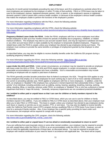during the 12-month period immediately preceding the start of the leave; and (3) is employed at a worksite where 50 or more employees are employed by the employer or within 75 miles of that worksite. FMLA or CFRA leave may be taken to care for the employee's spouse, registered domestic partner, child, or parent, or the employee's spouse or registered domestic partner's child or parent with a serious health condition, or because of the employee's serious health condition that makes the employee unable to perform the functions of the employee's position.

For more information regarding compliance with the FMLA, check the following website: *[https://www.dol.gov/whd/fmla/APPENDIXF.htm.](https://www.dol.gov/whd/fmla/APPENDIXF.htm)*

For more information regarding compliance with the CFRA, check the following website: *[https://www.dfeh.ca.gov/resources/frequently-asked-questions/employment-faqs/pregnancy-disability-leave-faqs/pdl-cfra](https://www.dfeh.ca.gov/resources/frequently-asked-questions/employment-faqs/pregnancy-disability-leave-faqs/pdl-cfra-fmla-guide/)[fmla-guide/](https://www.dfeh.ca.gov/resources/frequently-asked-questions/employment-faqs/pregnancy-disability-leave-faqs/pdl-cfra-fmla-guide/)*.

**Pregnancy-Related Leave Under the FEHA.** Under the FEHA, employers with five or more employees must allow female employees to take up to four months of leave for periods of disability due to pregnancy, childbirth, or related medical conditions. The employee may elect to use accrued vacation leave, and may be required to substitute sick leave or any other accrued leave which is made available by the employer to temporarily disabled employees. Pregnancyrelated leave under the FEHA is unpaid, unless your employer has elected to pay employees during such leave. The employer must continue to provide the same benefits or privileges of employment granted by that employer to other employees.

As described below, you may also be eligible to receive disability benefits under the California SDI program during a qualifying pregnancy-related leave.

For more information regarding the FEHA, check the following website: *[https://www.dfeh.ca.gov/wp](https://www.dfeh.ca.gov/wp-content/uploads/sites/32/2017/06/CAamendedFEHAregsEmployers20160401Final.pdf)[content/uploads/sites/32/2017/06/CAamendedFEHAregsEmployers20160401Final.pdf.](https://www.dfeh.ca.gov/wp-content/uploads/sites/32/2017/06/CAamendedFEHAregsEmployers20160401Final.pdf)*

*Leave Under the ADA and FEHA.* Under certain circumstances, an employer may be required to provide an employee with leave under the ADA or FEHA. The ADA and FEHA require employers, in certain circumstances, to provide reasonable accommodations to employees who have a disability. Such a reasonable accommodation may include providing an employee with an unpaid or paid leave of absence.

The FEHA generally provides broader protections than its federal counterpart, the ADA. Though the ADA applies to only those employers that employ 15 or more employees for each working day in each of 20 or more calendar workweeks in the current or preceding calendar year, FEHA applies to employers with five or more employees. In addition, under the ADA, an employee is "disabled" if the employee has a physical or mental impairment that substantially limits a "major life activity" of an individual, including activities such as walking, seeing, hearing, speaking, breathing, learning, working, sitting, standing, lifting, or reaching, whereas under FEHA, an employee is "disabled" if he or she has a physical or mental impairment that limits a "major life activity." Generally, temporary impairments are not considered protected disabilities.

## **Am I entitled to either paid or unpaid leave so that I can care for children or family members injured in the wildfires?**

As described above, you may be entitled to FMLA or CFRA leave, which you can use to care for children or family members injured in the wildfires. If you are entitled to FMLA or CFRA leave as described above, then your employer must allow you to take FMLA or CFRA leave. This leave is unpaid, unless your employer has elected to pay employees during such leave or requires or permits you to use vacation, PTO, or sick leave. You may also be eligible to receive benefits under the California Paid Family Leave (CPFL) program during a qualifying FMLA or CFRA leave if your leave is taken to care for a seriously ill family member. Also, if your employer has a specific policy providing for leave under such circumstances, the employer will be required to comply with its policy.

For more information regarding the CPFL program, check the following website: *[http://www.edd.ca.gov/Disability/Paid\\_Family\\_Leave.htm.](http://www.edd.ca.gov/Disability/Paid_Family_Leave.htm)*

# **Am I entitled to either paid or unpaid leave if I am too afraid or emotionally traumatized to return to work?**

If you are suffering from post-traumatic stress or some other mental condition, your employer may be required to provide you with unpaid leave under the FMLA or CFRA or as an accommodation under the ADA or FEHA. However, you will have to meet the applicable requirements of these laws, as discussed above. You may be required to provide your employer with medical certification of your need for leave in accordance with applicable law. The leave will be unpaid,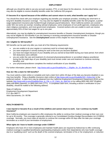although you should be able to use any accrued vacation, PTO, or sick leave for the absence. As described below, you may also be eligible to receive disability benefits under the California SDI program.

### **If I become ill or injured because of the wildfires and cannot return to work, what benefits can I apply for?**

You should first check with your employer regarding any benefits your employer provides, including any short-term or long-term disability insurance coverage. You may also be eligible for disability benefits under the SDI program, a partial wage-replacement insurance plan funded through employee payroll deductions. Most California workers are covered under SDI, but some are exempt, including railroad employees, some employees of non-profit agencies, employees who claim religious exemptions, and most government employees. Covered workers who are unable to work can receive approximately 55% of their lost wages for up to one year.

Alternatively, you may be eligible for unemployment insurance benefits or Disaster Unemployment Assistance, though you may not be eligible for SDI benefits if you are claiming or receiving unemployment insurance benefits or Disaster Unemployment Assistance. See the **Unemployment** section of this chapter for more information.

# **Am I eligible for SDI benefits?**

SDI benefits can be paid only after you meet all of the following requirements:

- you are unable to do your regular or customary work for at least eight days;
- you were employed or actively looking for work at the time you became disabled;
- you have lost wages because of your disability and you earned at least \$300 during your base period, from which SDI deductions were withheld;
- you are under the care and treatment of a licensed physician/practitioner or accredited religious practitioner during the first eight days of your disability (and must remain under care and treatment to continue receiving benefits); and
- your physician/practitioner completes the medical certification of your disability.

For further information, please check: *[http://www.edd.ca.gov/Disability/Am\\_I\\_Eligible\\_for\\_DI\\_Benefits.htm](http://www.edd.ca.gov/Disability/Am_I_Eligible_for_DI_Benefits.htm)*.

### **How do I file a claim for SDI benefits?**

You must submit a claim online or complete and mail a claim form within 49 days of the date you became disabled or you may lose benefits. Filing a disability insurance claim online at *[http://www.edd.ca.gov/Disability/SDI\\_Online.htm](http://www.edd.ca.gov/Disability/SDI_Online.htm)* is the preferred method. A claim form may be obtained from the California Employment Development Department (EDD) at the website *[http://www.edd.ca.gov/Disability/How\\_to\\_File\\_a\\_DI\\_Claim\\_by\\_Mail.htm](http://www.edd.ca.gov/Disability/How_to_File_a_DI_Claim_by_Mail.htm)* or by calling (800) 480-3287 (English), (866) 658-8846 (Spanish), or (800) 563-2441 (TTY). A completed claim form, including a doctor's certification of your disability, should be mailed to the following address:

State of California Employment Development Department P.O. Box 989777 West Sacramento, CA 95798

### <span id="page-15-0"></span>**HEALTH BENEFITS**

#### **I was injured or became ill as a result of the wildfires and cannot return to work. Can I continue my health insurance?**

Most California employers are required to offer employees the ability to continue their medical coverage at their own cost for up to 36 months. This coverage is generally referred to as Consolidated Omnibus Budget Reconciliation Act (COBRA) coverage. Normally, you must make an election to continue the coverage within 60 days after the date your coverage terminates as a result of your termination of employment.

### **What rights do I have to health coverage under COBRA?**

Employers who have 20 or more employees and maintain health plans are required by federal law to offer continuing medical coverage to qualified beneficiaries (participating employees and/or their dependents) who lose health coverage due to a "qualifying event" such as the death of the covered employee, termination of his or her employment, or reduction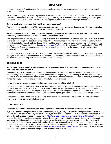of his or her hours sufficient to cause the loss of medical coverage. However, employees must pay for this medical coverage themselves.

Smaller employers (with 2 to 19 employees) that maintain health plans but are not covered under COBRA are required by California's Continuation Benefits Replacement Act (Cal-COBRA) law to provide COBRA-like coverage to their eligible employees. Like COBRA, Cal-COBRA requires employees to pay for this medical coverage themselves.

# **Can my family members keep their health insurance coverage?**

Your dependents can also elect COBRA coverage at their own cost if they were previously covered by your health plan during your employment. Their maximum coverage period is 36 months.

### **What can my employer do to help me recover psychologically from the trauma of the wildfires? Are there any counseling services available to people affected by the wildfires?**

Your employer's health plan may offer counseling to you and your dependents. In addition, some employers may provide assistance under employee assistance programs (EAPs). You should ask your employer about the availability of such counseling, both for yourself and your family, if that would be helpful. If you are a veteran, you may seek assistance from the Department of Veterans Affairs online at *[www.veteranscrisisline.net](http://www.veteranscrisisline.net/)* or by calling the Veterans Crisis Line (800) 273- 8255 (press 1). Otherwise, you may seek help from a mental health agency in the county in which you live, either permanently or temporarily.

In addition, the National Disaster Distress Hotline, staffed by trained mental health counselors, is available to help those coping with the emotional consequences of the wildfires. The hotline is available 24 hours a day, seven days a week, at (800) 985-5990 or by texting "talkwithus" (or, for Spanish, "hablanos") to 66746.

# <span id="page-16-0"></span>**OTHER BENEFITS**

## **Am I entitled to other benefits if I was injured or became ill as a result of the wildfires, and I was working at the time I was injured or became ill?**

You may be eligible to receive workers' compensation benefits to provide you with the medical treatment you need to recover from your work-related injury or illness, and replace lost wages if you were working at the time you were injured or became ill. You will need to file a workers' compensation claim with your employer. You should contact your employer immediately if you believe you have sustained a workplace injury or illness.

### **I'm not eligible for workers' compensation. Are there other benefits available?**

If you are employed but were not at work at the time you were injured or became ill, you may be entitled to short-term or long-term disability insurance payments. Check with your employer and personal insurance agent to find out what coverage is available to you. Your employer may also provide benefits for specific injuries such as loss of a limb under an accidental death or dismemberment policy. If you have been injured, you should inquire about this coverage as well.

Emergency loans against the cash value of some life insurance policies may also be available. Contact your agent, employer, or insurance company to learn more.

# <span id="page-16-1"></span>**LOSING YOUR JOB**

### **I have lost my job due to the wildfires. Is unemployment insurance or disaster insurance available?**

If you have become unemployed due to a disaster or emergency, you may be eligible for unemployment insurance (UI) benefits, which are administered by California's Employee Development Department (EDD). For more information, please refer to the EDD's resource page on filing a claim (*[http://www.edd.ca.gov/unemployment/Filing\\_a\\_Claim.htm](http://www.edd.ca.gov/unemployment/Filing_a_Claim.htm)*). In addition, because the wildfires have been declared a national disaster, you may be eligible to receive Disaster Unemployment Assistance (DUA) benefits if you have become unemployed due to the wildfires and you do not qualify for regular UI benefits (for example, because you are self-employed or you are an agricultural worker who does not meet the UI earnings requirement). Applicants for DUA must also be federally authorized to work. For more information, please refer to the EDD's fact sheet on DUA benefits (*[http://www.edd.ca.gov/pdf\\_pub\\_ctr/de8714y.pdf](http://www.edd.ca.gov/pdf_pub_ctr/de8714y.pdf)*). For additional information on both UI and DUA, please read the **Unemployment Benefits** section of this chapter.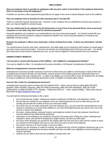### **Does my employer have to provide its employees with any prior notice of termination if the employer determines that it is necessary to lay off employees?**

Probably not; advance notice requirements generally do not apply in the event of natural disasters such as the wildfires.

# **Does my employer have to provide me with severance pay if I am laid off?**

There is no law that requires severance pay. However, if your employer has an established severance pay practice or plan, you may be eligible for severance pay.

### **Can I be reimbursed by my employer for the destruction or loss of any of my personal items, such as personal computers or cars that I may have used for business purposes?**

Generally speaking, your employer is not responsible for your loss of personal property. You should consult with your employer and your own insurance company to determine whether loss of your personal property is covered by any applicable insurance policy.

# **Because my employer's offices were destroyed, I will be working from home. Is there any information I should know?**

You should assume that the same laws, requirements, and rights apply at your temporary work location as would apply if you were in your usual work location. If you are non-exempt, you should keep track of the hours you work. You should also keep track of any business expenses you incur, as you may be eligible for reimbursement from your employer.

# <span id="page-17-0"></span>**UNEMPLOYMENT BENEFITS**

# **I lost my job or cannot work because of the wildfires. Am I eligible for unemployment benefits?**

You may be eligible for either: (i) unemployment insurance benefits or (ii) Disaster Unemployment Assistance.

## **What are unemployment insurance benefits?**

Unemployment insurance provides temporary income for workers who are unable to work through no fault of their own. Unemployment insurance benefits are paid weekly, and the amount of the weekly payments is generally based on a worker's earnings in the prior calendar year. In order to be eligible, you must be able to work, be seeking work, be willing to accept a suitable job, and be federally authorized to work, in addition to meeting other criteria.

### **How do I file a claim for unemployment insurance?**

Unemployment insurance claims are filed with the California EDD. Claims may be filed by calling (800) 300-5616 (English), (800) 326-8937 (Spanish), (800) 547-3506 (Cantonese), (866) 303-0706 (Mandarin), (800) 547-2058 (Vietnamese), or (800) 815-9387 (TTY), Monday ‒ Friday from 8:00 a.m. ‒ noon, except holidays. Claims also may be filed online at *<https://eapply4ui.edd.ca.gov/>*.

You will need the following information to file a claim:

- your Social Security number, mailing and residence addresses (if different), and telephone number;
- the last date you worked for any employer (if you are working part-time be sure to state that you are still working and provide the number of hours you work each week);
- the reason you are no longer working for your last employer (e.g., you were laid off or terminated due to the closing of a business as a result of the wildfires or you were terminated because you had to move out of the area as a result of the wildfires);
- the name, mailing address, physical location, and telephone number of your last employer (note that an incorrect address may delay benefit payments);
- information on all employers you worked for during the 18 months prior to filing your claim, including each employer's name, your period of employment, wages earned, and how you were paid;
- the name of the employer you worked for the longest within the last year and a half; and the number of years you worked for that employer (this may or may not be the same as your last employer);
- your driver's license or ID card number, if you have either;
- whether you are receiving, or expect to receive, any payments from a former employer (severance pay is not deducted from unemployment insurance benefits and does not affect your eligibility to receive benefits but must be reported);
- whether you are able to work and are available to accept work; and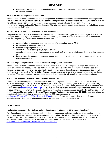whether you have a legal right to work in the United States, which may include providing your alien registration number.

# **What Is Disaster Unemployment Assistance?**

Disaster Unemployment Assistance is a federal program that provides financial assistance to workers, including the selfemployed and certain agricultural workers, who become unemployed as a direct result of a major natural disaster such as the wildfires. Eligible persons will receive weekly payments, which are calculated in the same manner as for unemployment insurance benefits (described above). The minimum weekly benefit amount payable is half of the average benefit amount in California.

# **Am I eligible to receive Disaster Unemployment Assistance?**

You generally will be eligible to receive Disaster Unemployment Assistance if (1) you are an unemployed worker or selfemployed individual; (2) you are federally authorized to work; (3) you lived, worked, or were scheduled to work in the wildfires area; and (4) as a direct result of the wildfires, you:

- are not eligible for unemployment insurance benefits (described above) **AND**:
- no longer have a job or a place to work;
- cannot reach your place of work;
- cannot work due to damage to your place of work;
- cannot work because of an injury caused by the wildfires (including mental stress, if documented by a doctor); or
- have become the breadwinner or major support for a household after the head of the household died as a result of the disaster.

# **For how long a time period can I receive Disaster Unemployment Assistance?**

Disaster Unemployment Assistance benefits are payable for up to 26 weeks. The period during which benefits are payable begins on the first day of the week following the date of the disaster and ends 26 weeks after the date the disaster was declared. In other words, you may be eligible for assistance during the period beginning on October 15, 2017, and ending the week of April 8, 2018. You may receive assistance for as long as you remain unemployed during this period. You must accept any suitable jobs offered and must conduct a job search while receiving assistance.

# **How do I file a claim for Disaster Unemployment Assistance?**

Claims for Disaster Unemployment Assistance can be filed by telephone or online. You can contact the EDD at (800) 300-5616 (English), (800) 326-8937 (Spanish), (800) 547-3506 (Cantonese), (866) 303-0706 (Mandarin), (800) 547- 2058 (Vietnamese), or (800) 815-9387 (TTY), Monday ‒ Friday from 8:00 a.m. ‒ noon, except holidays. Claims can also be filed online at *<https://eapply4ui.edd.ca.gov/>*. You must file your claim for Disaster Unemployment Assistance within 30 days of the announcement of the disaster declaration. According to a press release issued by the EDD on October 17, 2017, **you must file your claim for Disaster Unemployment Assistance by November 16, 2017**. Late applications are accepted only in certain limited circumstances. See the EDD's press release at *[http://www.edd.ca.gov/About\\_EDD/pdf/nwsrel17-37.pdf](http://www.edd.ca.gov/About_EDD/pdf/nwsrel17-37.pdf)* for more information on how to file a claim for Disaster Unemployment Assistance and what documentation must be submitted to receive benefits.

# <span id="page-18-0"></span>**FINDING WORK**

# **I lost my job because of the wildfires and need assistance finding a job. Who should I contact?**

For information on job search assistance, online job listings, workshops, and other employment and training services, contact your local EDD America's Job Center of California location. The following is a list of some EDD America's Job Center of California locations in Butte, Lake, Mendocino, Napa, Nevada, Solano, Sonoma, and Yuba Counties. A complete list of EDD America's Job Center of California locations can be found on EDD's website at *[http://www.americasjobcenter.ca.gov/Job\\_Center\\_Locator.aspx](http://www.americasjobcenter.ca.gov/Job_Center_Locator.aspx)*.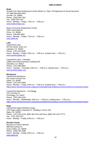### **Butte**

Oroville One-Stop Employment Center (Butte Co. Dept. of Employment & Social Services) 78 Table Mountain Blvd. Oroville, CA 95965 Phone: (530) 538-7301 Fax: (530) 534-1167 Hours: Monday  $-$  Friday, 7:30 a.m.  $-$  5:00 p.m. *[www.butteonestop.org](http://www.butteonestop.org/)*

Butte Community Employment Center 2445 Carmichael Dr. Chico, CA 95928 Phone: 530-895-4364 Hours: Monday  $-$  Friday, 7:30 a.m.  $-$  5:00 p.m. *[www.afwd.org](http://www.afwd.org/)*

#### **Lake**

CareerPoint Lake 55 First Street, Suite 114 Lakeport, CA 95453 Phone: (707) 263-0630 Hours: Monday – Friday, 8:00 a.m. – 5:00 p.m. (closed noon – 1:00 p.m.) *[www.workforcelake.org](http://www.workforcelake.org/)*

CareerPoint Lake – Clearlake 15880 Dam Road Extension, Building 602 Clearlake, CA 95422 Phone: (707) 998-8591 Hours: Tuesday  $-$  Thursday, 9:00 a.m.  $-$  4:00 p.m. (closed noon  $-$  1:00 p.m.) *[www.workforcelake.com](http://www.workforcelake.com/)*

#### **Mendocino**

CareerPoint Mendocino 631 South Orchard Ave. Ukiah, CA 95482 Phone: (707) 467-5900 Hours: Monday – Friday, 8:00 a.m. – 5:00 p.m. (closed noon – 1:00 p.m.) *<https://www.mendocinocounty.org/government/planning-building-services/workforce-investment-board>*

CareerPoint Mendocino ‒ Fort Bragg 1211 Del Mar Dr. Fort Bragg, CA 93437 Phone: (707) 964-3218 Hours: Monday – Wednesday, 8:00 a.m.  $-4:00$  p.m. (closed noon  $-1:00$  p.m.) *<https://www.mendocinocounty.org/government/planning-building-services/workforce-investment-board>*

#### **Napa**

CareerPoint Napa/ Workforce Napa 2751 Napa Valley Corporate Dr., Building A, Room 106 Napa, CA 94558 Phone: (707) 253-4134; (800) 464-4214 (toll free); (800) 445-1312 (TTY) Fax: (707) 253-4377 Hours: Monday  $-$  Friday, 8:00 a.m.  $-$  5:00 p.m.

### **Nevada County**

Business & Career Network 988 McCourtney Dr. Grass Valley, CA 95949 Phone: (530) 265-7088 Hours: Monday  $-$  Friday, 8:00 a.m.  $-$  5:00 p.m. *[www.afwd.org](http://www.afwd.org/)*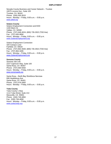Nevada County Business and Career Network – Truckee 10075 Levone Ave., Suite 105 Truckee, CA 96161 Phone: (530) 550-3015 Hours: Monday ‒ Friday, 8:00 a.m. ‒ 5:00 p.m. *[www.afwd.org](http://www.afwd.org/)*

**Solano County** Solano Employment Connection and EDD 1440 Marin St. Vallejo, CA 94590 Phone: (707) 648-4024; (800) 735-2922 (TDD line) Fax: (707) 645-9856 Hours: Monday  $-$  Friday, 8:00 a.m.  $-$  5:00 p.m. *[www.SolanoEmployment.org](http://www.solanoemployment.org/)*

Solano Employment Connection 320 Campus Lane Fairfield, CA 94534 Phone: (707) 863-3500; (800) 735-2922 (TDD line) Fax: (707) 864-3285 Hours: Monday – Friday, 8:00 a.m.  $-5:00$  p.m. *[www.SolanoEmployment.org](http://www.solanoemployment.org/)*

#### **Sonoma County**

Sonoma Job Link 2227 Capricorn Way, Suite 100 Santa Rosa, CA 95407 Phone: (707) 565-5550 Hours: Monday ‒ Friday, 8:00 a.m. ‒ 5:00 p.m. *[www.sonomawib.org](http://www.sonomawib.org/)*

Santa Rosa - North Bay Workforce Services 606 Healdsburg Ave. Santa Rosa, CA 95401 Phone: (707) 576-2850 Hours: Monday ‒ Friday, 8:00 a.m. ‒ 5:00 p.m.

### **Yuba County**

Yuba County 1-Stop 1114 Yuba Street, Suite 214 Marysville, CA 95901 Phone: (530) 749-4850 Fax: (530) 749-4858 Hours: Monday ‒ Friday, 8:00 a.m. ‒ 5:00 p.m. *[www.yuba1stop.org](http://www.yuba1stop.org/)*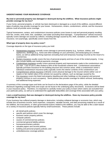# <span id="page-21-1"></span><span id="page-21-0"></span>**UNDERSTANDING YOUR INSURANCE COVERAGE**

### **My (real or personal) property was damaged or destroyed during the wildfires. What insurance policies might provide coverage for my loss?**

If your home, personal property, or vehicle has been destroyed or damaged as a result of the wildfires, several different types of policies may provide coverage for your losses. Homeowners, renters, condominium, vehicle, and fire insurance policies could all provide some coverage.

Typical homeowners, renters, and condominium insurance policies cover losses to real and personal property resulting from fire, smoke, wind, theft, riots, vandalism, and water (excluding flood damage). "Comprehensive" vehicle insurance typically covers damage not caused by collision, including damage caused by fire, theft, vandalism, and windstorm. Fire insurance, not surprisingly, specifically covers losses from fire.

## **What type of property does my policy cover?**

Coverage depends on the type of insurance policy you hold:

- Homeowners insurance normally covers damage to personal property (e.g., furniture, clothes, and appliances), dwellings (e.g., home and other buildings on your premises), and landscaping (on a limited basis), as well as additional living expenses (including food and temporary housing) incurred as the result of a covered loss.
- Renters insurance usually covers the loss of personal property and loss of use of the rented property. It may also include liability and medical payments coverage.
- Condominium insurance usually covers personal property and improvements made to the condominium unit you own. Loss of use is often limited to 40% of the household contents limit. Condominium associations typically purchase insurance for the building structure and common areas, while a condominium owner's individual condominium insurance policy typically covers the interior contents of the condominium unit.
- Comprehensive vehicle insurance ordinarily covers physical damage to the insured vehicle (either cost of repairs or fair market value of the vehicle) not caused by collision, such as damage caused by fire.
- Fire insurance covers the listed real property (dwelling and other buildings on the property) and personal property common to such occupancy. Some policies also provide coverage for debris removal, landscaping, and additional living expenses.

A summary of the coverage types and limits can be found on the declarations page of the policy, while the detailed disclosure regarding coverage limits and scope can be found in the underlying policy documents. Exclusions will be listed in your insurance policy. Therefore, it is important to carefully review your policy to learn which claims are excluded from your particular policy, as well as to understand the applicable deductibles and coverage limits associated with your policy.

## **I own a small business that was damaged or destroyed during the wildfires. Does my insurance policy provide coverage for my loss?**

If your business has suffered property damage or destruction, including collateral damage or economic loss, which may include loss of business income, extra expenses, computers, valuable records, and data processing material as a result of the wildfires, the evacuations, or other governmental actions related to the wildfires, you may be able to file a claim based on a variety of insurance policies typically held by small businesses. These policies include:

- all risk/all perils policies;
- specific peril policies which cover fire damage;
- business owner property policies;
- computer policies;
- causes of commercial loss policies;
- commercial general liability policies;
- homeowners/renters policies;
- valuable papers and records policies;
- building and personal property policies; and
- umbrella/excess coverage policies.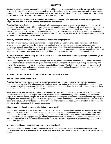Damage to vehicles such as automobiles, recreational vehicles, mobile homes, or boats may be covered under business or personal automobile policies, motor carrier policies, mobile equipment policies, garage coverage policies, and marine policies. If you or your employees were injured, you or they may be covered by your workers' compensation policy, your or their health insurance policy, or short- or long-term disability policies.

## **My residence was not damaged, but the fire burned the hill above it. Will insurance provide coverage for the steps I have to take to avoid a subsequent landslide or mudslide?**

You should carefully check your policy and speak with your insurance agent to see if there is coverage for this type of damage or preventative repair. (Earth movement, such as landslides and mudslides, are typically excluded from standard homeowners and business insurance policies.) An attorney or other qualified professional may be able to assist you in reviewing the language of your policy. If your policy does not provide coverage for landslides or mudslides, you may want to consider purchasing a flood insurance or a "difference in conditions" policy, which typically offers all-in-one coverage for landslides, mudslides, earthquakes, and floods.

## **Does my insurance policy cover the removal of debris from my property?**

Your homeowners insurance policy may provide coverage for at least a portion of the costs associated with debris removal due to the wildfires. In order to determine whether this is the case for your policy, carefully review the declarations page of your policy and the underlying policy documents. Before clearing the debris, review the **Housing** chapter of this handbook. Make sure to carefully document (videotape or photograph) and itemize recognizable items, as your insurance company may request evidence to validate claims of loss, as discussed in further detail below.

### **My property was not damaged by the fire, but I had to evacuate. Does my insurance policy provide coverage for temporary living expenses?**

Even if your property did not suffer direct damage from the fire, your homeowners, condominium, or renters insurance policy's additional living expense coverage may provide reimbursement of food, temporary housing, pet boarding, and other similar expenses if you had to evacuate as a result of the wildfires. Carefully review your policy to determine if it provides such coverage, and make sure to document costs (e.g., keep copies of receipts and credit card statements) incurred as a result of the evacuation.

# <span id="page-22-0"></span>**NOTIFYING YOUR CARRIER AND NAVIGATING THE CLAIMS PROCESS**

# **How do I make an insurance claim?**

You should contact your insurance agent or insurance company as soon as possible to start the claims process if you have not done so already. Many insurance policies have a one-year statute of limitations, starting from the date of loss. Most insurance carriers have established toll-free telephone numbers to facilitate the claims filing process. A list of these numbers can be found at the end of this chapter.

When dealing with your insurance company, it is important to carefully document every conversation. Be sure to write down the name of the person who you spoke with, the date, and the substance of your call, including the nature and scope of the information that you provide to the insurance company's agent. Confirm all conversations and agreements in writing and note on your correspondence with the agent, if applicable, that the losses you list are only a partial list of your losses and that you will forward additional claims of losses when discovered. Keep a written inventory of all losses. This can help in future dealings with the insurance company.

# **What should I do if my insurance policy is lost or destroyed?**

If your insurance documents were destroyed in the fire, or if you cannot locate your insurance documents for any other reason, do not panic. Call your insurance agent or insurance company. They should have a copy of your policy on file and must provide you with a copy of that policy. If you do not know the name of your insurance company or insurance agent, check with your mortgage lender, your bank, or your auto dealer, as applicable. They may have records of your insurance information. If those options are unavailable, call the California Department of Insurance at (800) 927-4357 (TTY: (800) 482-4833).

# **Are there specific documents I should have to prove my loss?**

The insurance company and/or insurance adjuster (a person professionally trained to assess the damage to your property) will request to examine any evidence you may have to validate claims of loss. Examples of such evidence may include: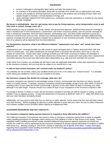- pictures (videotape or photograph) taken before and after the property loss;
- an inventory of all property damaged, along with an estimate of its actual cash or replacement cost value;
- records and receipts for all living expenses incurred due to the property loss (including all food, hotel, and staples bought to maintain a normal standard of living); and
- repair estimates obtained from third parties (e.g., contractors and auto mechanics) or receipts for any repairs already completed.

## **My house is uninhabitable. How do I get money now to pay for living expenses, extra transportation costs to and from work or school, storage costs, etc.?**

While assistance may be available from family, friends, and government agencies, additional living expense coverage is often a standard part of most homeowners, condominium, and renters insurance policies, and can provide coverage for hotel or temporary rental fees, food and meal expenses, pet boarding costs, and other similar expenses incurred as a result of a covered event such as a fire. Review your individual policy to determine whether it provides additional living expense coverage and ask your insurance company for an advance on your insurance proceeds. Funds disbursed in the form of an advance will be deducted from the final settlement.

## **For homeowners insurance, what is the difference between "replacement cost value" and "actual cash value" policies?**

"Replacement cost" coverage provides you with money to repair damaged items or replace destroyed items with new items of a similar type. Your policy should give you enough funds to purchase the new items, but it may or may not contain an overall limit. "Actual cash value" coverage provides you with funds necessary to replace the damaged or destroyed item with a similar item. You will likely receive less money from an actual cash value policy than a replacement cost policy because the actual cash value policy takes depreciation (e.g., age and wear and tear) into account.

Under either form of policy, you probably will still have to pay any applicable deductible, unless that requirement is waived by the insurance company, and you may also be subject to an overall limit or cap.

# **If I did not have renters insurance, am I covered under my landlord's policy?**

You probably are not covered, unless your landlord named you in his or her policy as a "named insured." It is probably worth asking your landlord to check if you are included in the policy.

# **My insurance company has denied me coverage; what can I do?**

Insurance companies are required to acknowledge receipt of claims, communicate their decisions on claims, and pay claims in a timely manner. In general, insurance companies should acknowledge receipt of your claim within 15 days of receiving notice of your claim and should communicate a decision on the claim within 40 days of receiving your claim, although it can take longer. Payouts should occur within 30 days of your acceptance of the insurance company's offer.

If coverage is denied, in whole or in part, ask the insurance company to provide you with its reasons in writing, as well as whether it has an appeals process. Contact the Department of Insurance at (800) 927-4357 (TTY: (800) 482-4833) if you feel your claim has been wrongfully denied.

Additionally, you may want to seek help from an attorney or public adjuster, but be aware that their fees will often reduce your total recovery. Before engaging an attorney or public adjuster to assist with your claim, be sure to collect references and compare multiple service providers before signing an engagement letter.

# <span id="page-23-0"></span>**ACCESSING RESOURCES AND KEY CONTACTS**

# **Are insurance companies taking special measures to respond to those affected by the wildfires?**

The California Insurance Commissioner has issued a notice to insurance companies asking them to agree to expedite claims handling procedures for damages claims arising out of the wildfires in order to help victims more rapidly. These expedited claims handling procedures include standard additional living expense advance payments of at least four months for a total loss and an agreement by the insurance companies to accept reduced itemization of contents in wildfire total losses (e.g., allowing a listing of "100 DVDs" instead of requiring a list of specific DVD titles). Further information regarding these expedited claims handling procedures can be found at *[https://www.insurance.ca.gov/0400-news/0100](https://www.insurance.ca.gov/0400-news/0100-press-releases/2017/release106-17.cfm) [press-releases/2017/release106-17.cfm](https://www.insurance.ca.gov/0400-news/0100-press-releases/2017/release106-17.cfm)*.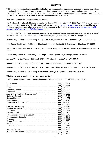While insurance companies are not obligated to follow these expedited procedures, a number of insurance carriers, including Allstate Insurance, Farmers Insurance, Liberty Mutual, State Farm Insurance, and Wawanesa General Insurance, have agreed to participate. You can find out if your insurance company is participating by contacting them or by calling the California Department of Insurance at the numbers listed below.

### **How can I contact the Department of Insurance?**

The California Department of Insurance can be reached at (800) 927-4357 (TTY: (800) 482-4833) to assist you with insurance-related questions. The CDI also maintains a website at *[www.insurance.ca.gov](http://www.insurance.ca.gov/)*, and has established a dedicated page to provide information regarding its response to the wildfires at *[https://www.insurance.ca.gov/01](https://www.insurance.ca.gov/01-consumers/140-catastrophes/WildfireResources.cfm) [consumers/140-catastrophes/WildfireResources.cfm.](https://www.insurance.ca.gov/01-consumers/140-catastrophes/WildfireResources.cfm)* 

In addition, the CDI has dispatched team members to each of the following local assistance centers below to assist consumers with their insurance questions and needs regarding the recovery and claims filing process:

*Butte County* (10:00 a.m. ‒ 4:00 p.m.): Bangor Community Center, 7500 Oro Bangor Hwy., Bangor, CA 95914

Lake County (11:00 a.m. - 7:00 p.m.): Clearlake Community Center, 3245 Bowers Ave., Clearlake, CA 95422

*Mendocino County* (9:00 a.m. ‒ 7:00 p.m.): Mendocino College, 1000 Hensley Creek Rd., Building 6220, Ukiah, CA 95482

*Napa County* (9:00 a.m. ‒ 7:00 p.m.): 2751 Napa Valley Corporate Dr., Building A, Napa, CA 94559

*Nevada County* (10:00 a.m. ‒ 2:00 p.m.): 1020 McCourtney Rd., Grass Valley, CA 95949

*Sonoma* (11:00 a.m. ‒ 7:00 p.m.): Hanna Boys Center, 17000 Arnold Dr., Sonoma, CA 95476

*Sonoma County* (9:00 a.m. ‒ 7:00 p.m.): Press Democrat Building, 427 Mendocino Ave., Santa Rosa, CA 95401

*Yuba County* (10:00 a.m. ‒ 8:00 p.m.): Government Center, 915 Eighth St., Marysville, CA 95901

### **What is the phone number for my insurance carrier?**

Toll-free phone numbers for many of the insurance companies operating in California are as follows:

| (800) 627-3731 |  |  |
|----------------|--|--|
|                |  |  |
|                |  |  |
|                |  |  |
|                |  |  |
|                |  |  |
|                |  |  |
|                |  |  |
|                |  |  |
|                |  |  |
|                |  |  |
|                |  |  |
|                |  |  |
|                |  |  |
|                |  |  |
|                |  |  |
|                |  |  |
|                |  |  |
|                |  |  |
|                |  |  |
|                |  |  |
| (800) 225-2467 |  |  |
|                |  |  |
|                |  |  |
| (844) 577-4579 |  |  |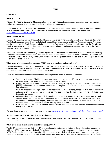# <span id="page-26-1"></span><span id="page-26-0"></span>**OVERVIEW**

# **What is FEMA?**

FEMA is the Federal Emergency Management Agency, which steps in to manage and coordinate many government assistance programs when the president declares a federal disaster area.

On October 10, 2017, President Trump declared Butte, Lake, Mendocino, Napa, Sonoma, Nevada and Yuba Counties federal disaster areas. Additional counties may be added to this list; for updated information, check here: *<https://www.fema.gov/disaster/4344>*.

## **What does FEMA do?**

FEMA is the starting point for obtaining federal financial assistance in the wake of a presidentially designated disaster. The federal resources it coordinates include the Disaster Housing Assistance and Home Repair Assistance Programs, special loans from the Small Business Administration or the Farm Service Agency, special grants from the Cora Brown Fund, or assistance from many other government-run organizations, including those under the umbrella of the Other Needs Assistance (ONA) Program.

FEMA also sponsors crisis counseling; disaster legal services; income tax assistance for filing casualty losses; advisory assistance for veterans' benefits and Social Security matters; and Disaster Unemployment Assistance. At FEMA's local assistance and disaster recovery centers, you can talk directly to representatives of state and volunteer agencies and get help with insurance questions.

## **What types of disaster assistance does FEMA help to administer and coordinate?**

The Individuals and Households Program (IHP) is a FEMA program providing a range of services to persons in a declared disaster area. The IHP provides money and services to disaster-affected persons whose property has been damaged or destroyed and whose losses are not covered by insurance.

There are several different types of assistance, including various forms of housing assistance:

- Temporary Housing: Eligible applicants can receive money to rent a different place to live, or a governmentprovided housing unit when rental properties are not available.
- Repair: Eligible homeowner applicants can receive money to help repair damage from the disaster to their primary residence if it is not covered by insurance. The goal is to make the damaged home safe, sanitary, and functional.
- Housing Replacement: Eligible homeowner applicants can receive money to replace their homes destroyed in the disaster if it is not covered by insurance. The goal is to help the homeowner with the cost of replacing the destroyed home.
- Other Needs Assistance (ONA): Eligible applicants can receive money to cover necessary expenses and serious needs that cannot be met through other forms of disaster assistance. This assistance may cover repairing/rebuilding personal property, clothing, household items, educational materials, transportation, and medical, dental, and funeral expenses incurred by disaster victims.
- Cora Brown Fund: This fund is used for disaster victims who have exhausted all other avenues of assistance but still have unmet needs.

For more information regarding housing assistance, see *<https://www.disasterassistance.gov/information/moving-forward>*.

### **Do I have to repay FEMA for any disaster assistance?**

IHP grants do not need to be repaid, but SBA loans (discussed in the **SBA Loan Assistance** chapter of this handbook) must be repaid.

# **What is the State Supplemental Grant Program (SSGP)?**

The SSGP is a state program that, like IHP, provides financial assistance to victims of declared disasters such as the wildfires. SSGP grants are awarded only for serious needs and necessary expenses directly caused by the disaster. SSGP funds must be spent on the items for which the money is awarded, which items may include rental assistance, housing, personal property, and medical, dental, funeral, transportation, moving, and storage expenses. SSGP funds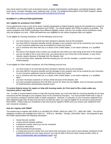may not be spent on items such as business losses, property improvements, landscaping, recreational property, debts, luxury items, cosmetic damages, pets, replacing cash, or food. For additional description of the SSGP program, please visit: *<http://www.cdss.ca.gov/cdssweb/entres/forms/English/SSGP45.pdf>*

# <span id="page-27-0"></span>**ELIGIBILITY & APPLICATION QUESTIONS**

# **Am I eligible for assistance from FEMA?**

If you experienced a loss in one of the seven counties designated as federal disaster areas by the president as a result of the wildfires, you may be eligible for assistance from FEMA. You should register with FEMA as quickly as possible. The various programs that FEMA coordinates have different eligibility criteria, and you can usually receive assistance under only one program at a time. FEMA will determine your eligibility for the various programs after you register.

To be eligible for Housing Assistance, all of the following must be true:

- you have losses in an area that has been declared a disaster area by the president;
- you have filed for insurance benefits and the damage to your property may not be covered by your insurance or your insurance settlement may be insufficient to meet your losses;
- you or someone who lives with you is a citizen of the United States, a non-citizen national, or a "qualified alien";
- the home in the disaster area is where you usually live and where you were living at the time of the disaster;
- you are not able to live in your home now, you cannot get to your home due to the disaster, or your home requires repairs because of damage from the disaster; and
- you do not have other, adequate rent-free housing you can use (for example, a vacation home or unused rental property).

To be eligible for Other Needs Assistance, all of the following must be true:

- you have losses in an area that has been declared a disaster area by the president;
- you have filed for insurance benefits and the damage to your property may not be covered by your insurance or your insurance settlement may be insufficient to meet your losses;
- you or someone who lives with you is a citizen of the United States, a non-citizen national, or a "qualified alien";
- you have necessary expenses or serious needs because of the disaster; and
- you have accepted assistance from all other sources for which you are eligible, such as insurance proceeds or Small Business Administration disaster loans.

## **To receive federal money for repairs or help with housing needs, do I first need to file a claim under any insurance policy I may have?**

Yes. In order to receive federal money or help with housing needs, you must have filed for insurance benefits (if you have insurance) and the damage to your property must not be covered by insurance. You must provide FEMA with a copy of your insurance company's decision letter to obtain assistance. However, if a decision on your insurance settlement has been delayed longer than 30 days from the time you filed the claim, you may be eligible for an insurance advancement from FEMA. (These funds are considered a loan and must be repaid to FEMA once you receive your settlement from your insurance company.)

### **How do I register with FEMA?**

The easiest way to register with FEMA is to call (800) 621-FEMA / (800) 621-3362 (TTY: (800) 462-7585). The toll-free telephone numbers are available from 4:00 a.m. – 8:00 p.m., Monday – Sunday, until further notice. Be prepared to give the FEMA representative the following information:

- Social Security number;
- current and pre-disaster address;
- a telephone number where you can be contacted;
- insurance information:
- total household annual income;
- a routing and account number from your bank (only necessary if you want to have disaster assistance funds transferred directly into your bank account; you may be able to find your bank routing number online at *<https://routingnumber.aba.com/default1.aspx>*); and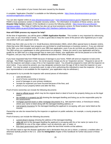a description of your losses that were caused by the disaster.

A complete "Application Checklist" is available on the following website: *[https://www.disasterassistance.gov/get](https://www.disasterassistance.gov/get-assistance/application-checklist)[assistance/application-checklist](https://www.disasterassistance.gov/get-assistance/application-checklist)*.

You can also register online at *[www.disasterassistance.gov](http://www.disasterassistance.gov/) / [www.disasterassistance.gov/es](http://www.disasterassistance.gov/es)* (Spanish) or at one of FEMA's local assistance centers or disaster recovery centers. For information on locations of these centers, see the **Disaster Help Centers** chapter of this handbook or access the following website: *[https://www.fema.gov/disaster](https://www.fema.gov/disaster-recovery-centers)[recovery-centers](https://www.fema.gov/disaster-recovery-centers)*. The State of California has also set up local assistance centers; for those locations, follow this link: *<http://www.caloes.ca.gov/ICESite/Pages/October-2017-Northern-California-Fires.aspx>*.

# **How will FEMA process my request for help?**

At the time of registration, you will be given a **FEMA Application Number**. This number is very important for referencing your case, so you must keep it handy. It is also a good idea to keep the name of the person who registered you in case any problem with your paperwork arises.

FEMA may then refer you to the U.S. Small Business Administration (SBA), which offers special loans to disaster victims. (Note that some SBA disaster loan programs are not limited to small businesses or business owners.) If you are referred to the SBA, you must complete and send in your SBA loan application, even if you do not think you will qualify for a loan. The SBA serves as a gatekeeper to other government-run programs. Unless you send in your application and fail to qualify for an SBA loan (or a large enough loan to meet your needs), your application will not be passed on to the ONA Programs, and you may not be eligible for additional assistance from other programs.

If you have requested help from FEMA because of damage to your home, FEMA will send an inspector to look at the damage. The FEMA Inspection is free. Do not let anyone charge you for an "inspection service." Request to see an ID from the inspector and obtain a copy of his or her inspection report. You should be prepared to meet with the inspector on short notice. If you cannot be present, you may designate someone (over the age of 18) to meet the inspector on your behalf. You may be asked, or proactively want, to sign a form authorizing this individual to meet the inspector. (If you or your representative is not available for the inspection, your application may be withdrawn.)

Be prepared to try to provide the inspector with several pieces of information:

- valid identification;
- proof of home ownership or tenancy;
- proof of damages to your primary residence;
- receipts for expenses you have incurred because of the fires; and
- photos of your property before and after the fires.

Proof of home ownership can include the following documents:

- deed or official record, which may be the original deed or deed of trust to the property listing you as the legal owner;
- tax receipts or a property tax bill showing the damaged dwelling and listing you as the responsible party for the assessments;
- mortgage payment book or other mortgage documents (e.g., late payment notice, or foreclosure notice), where your name is listed along with the damaged dwelling address; or
- real property insurance for the damaged dwelling the applicant is occupying, with your name listed as the insured.

Ownership can also be researched by the inspector or applicant on public websites, for example, a county property tax website.

Proof of tenancy can include the following documents:

- current driver's license showing the address of the damaged dwelling;
- utility bill sent to the damaged dwelling the applicant is occupying with his or her name (or name of coapplicant) for one of the major utilities, such as electricity, gas, or water; or
- first-class government mail sent to you within the last three months at that address.

You will also need to sign the disaster application and a declaration that you are a citizen, a national, a resident alien, or otherwise lawfully present in the U.S. (See the **Immigration** chapter of this handbook for further discussion of these issues.)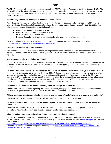The FEMA inspector will complete a report and transmit it to FEMA's National Processing Servicing Center (NPSC). The NPSC will review the information and decide whether you qualify for assistance. (In the interim, the NPSC may ask you for additional records, such as insurance papers, a copy of title, pay stubs, or repair estimates.) FEMA will mail you a notice of its decision.

# **Are there any application deadlines of which I need to be aware?**

Yes. There are important application deadlines that you must meet (unless specifically extended by FEMA), each of which is calculated from the date the president declared the seven counties as disaster areas, October 10, 2017. The following dates represent the earliest calculated deadlines:

- Housing Assistance: **December 9, 2017**
- Home Repair Assistance: **December 9, 2017**
- ONA Programs: **December 9, 2017**
- Disaster Unemployment Assistance: See the **Employment** chapter of this handbook.

To avoid any issues, you should apply as soon as possible. For updates regarding deadlines, check here: *<https://www.fema.gov/disaster/4344/updates-blog-and-news>*.

# **Can FEMA extend the registration deadline?**

Yes. In addition, FEMA is authorized to accept late registrations for an additional 60 days beyond the standard registration period. However, you should not rely on this; FEMA rules require suitable documentation of the reasons for the delay.

# **How long does it take to get help from FEMA?**

If you have damage to your home or its contents and you are uninsured, or you have suffered damage that is not covered by insurance, a FEMA inspector should contact you within 14 days of applying to set up an appointment to assess your damage.

Typically, within about 10 days after the inspection, if FEMA determines that you qualify for help, you will receive a direct deposit in your bank account or a check in the mail. If FEMA denies your application, you will receive a letter explaining why you were turned down and will be given a chance to appeal the decision. If you were referred to the SBA, you will receive an SBA application, which you must fill out and return in order to be considered for a loan, as well as other types of assistance. If the SBA approves you for a loan, they will contact you. If the SBA finds that you cannot afford a loan, they will automatically refer you to FEMA's IHP for help and FEMA will contact you.

# **If I am denied assistance from FEMA, how long do I have to appeal that decision?**

Appeals from FEMA's decisions regarding the Rental Assistance, Mortgage and Rental Assistance, and Home Repair Assistance Programs are due within 60 days of the date on FEMA's notice of decision.

# **If I have questions about my application or need to change some of the information provided, what should I do?**

Call the FEMA Disaster Helpline at (800) 621-FEMA / (800) 621-3362 (TTY: (800) 462-7585).

## **If it has been more than 12 days since the FEMA inspector's visit and there has been no word from FEMA, what should I do?**

Call the FEMA Disaster Helpline at (800) 621-FEMA / (800) 621-3362 (TTY: (800) 462-7585) to ask about your application. You may also inquire at a Disaster Recovery Center about your application.

# **Where can I find more information about FEMA's programs for wildfire victims?**

If you have questions about FEMA's programs for victims of the wildfires, you may contact FEMA at (800) 621-FEMA / (800) 621-3362. Additionally, if you have Internet access, you can review FEMA's website at *[www.fema.gov,](http://www.fema.gov/)* its California wildfire pages at

*[https://www.fema.gov/disaster/4344?utm\\_source=hp\\_promo&utm\\_medium=web&utm\\_campaign=disaster](https://www.fema.gov/disaster/4344?utm_source=hp_promo&utm_medium=web&utm_campaign=disaster)*, and the California Governor's Office of Emergency Services page at *[http://www.caloes.ca.gov/ICESite/Pages/October-2017-](http://www.caloes.ca.gov/ICESite/Pages/October-2017-Northern-California-Fires.aspx) [Northern-California-Fires.aspx](http://www.caloes.ca.gov/ICESite/Pages/October-2017-Northern-California-Fires.aspx)*.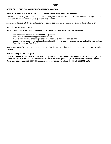# <span id="page-30-0"></span>**STATE SUPPLEMENTAL GRANT PROGRAM INFORMATION**

# **What is the amount of a SSGP grant? Do I have to repay any grant I may receive?**

The maximum SSGP grant is \$10,000, but the average grant is between \$200 and \$2,000. Because it is a grant, and not a loan, you will not have to repay any grant you may receive.

As mentioned above, SSGP is a state program that provides financial assistance to victims of declared disasters.

## **Am I eligible for a SSGP grant?**

SSGP is a program of last resort. Therefore, to be eligible for SSGP assistance, you must have:

- applied for and received the maximum IHP grant of \$33,300;
- completed a disaster loan application with the SBA;
- made claims for disaster damages against all applicable insurance policies; and
- accepted any available financial assistance offered from other sources such as private and public organizations (e.g*.*, the American Red Cross).

Applications for SSGP assistance are accepted by FEMA for 60 days following the date the president declares a major disaster.

## **How do I apply for a SSGP grant?**

There is no separate application process for SSGP grants. FEMA will transmit your application to SSGP once you have utilized the maximum amount available under IHP. If you have any questions you should call the California Department of Social Services at (800) 759-6807. Hearing and speech impaired individuals should call (800) 952-8349.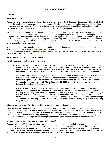# <span id="page-31-1"></span><span id="page-31-0"></span>**OVERVIEW**

### **What is the SBA?**

Despite its name, relative to federally declared disaster areas, the U.S. Small Business Administration (SBA) is a federal agency that assists homeowners and renters, businesses of all sizes, and private non-profit organizations by providing low-interest, long-term loans to (1) repair or replace real estate, personal property, machinery and equipment, and inventory and business assets that are damaged or destroyed or (2) offset economic injuries.

SBA loans are made for uninsured or otherwise uncompensated disaster losses. The SBA does not duplicate benefits that have already been provided by other governmental agencies or private insurance companies (with the possible exception of insurance proceeds that are required to be applied against outstanding mortgages). However, applying for an SBA loan does not preclude you from applying for and/or receiving assistance from other federal disaster assistance programs that you may be eligible for, such as a FEMA assistance program. See the **FEMA** chapter of this handbook for further information on its programs.

SBA loans are made on a non-discriminatory basis and without regard to an applicant's age. More information about the SBA can be found on its website, *<https://www.sba.gov/>*, and at *<https://disasterloan.sba.gov/ela/Declarations/ViewDisasterDocument/879>* (*SBA Fact Sheet on 2017 California Wildfires Disaster (Disaster # CA-00279)*).

## **What kinds of loans does the SBA provide?**

The SBA provides three types of disaster loans:

- 1. *Home and Personal Property Loan* (HPPL): These loans are available for homeowners, renters, and owners of personal property to repair or replace uninsured damage or loss of property for primary residences and personal property owned by the victim of a declared disaster. **The deadline for applying for an HPPL is December 11, 2017** (unless it is extended by the government following the publication of this handbook).
- 2. *[Business Physical Disaster Loan](http://www.sba.gov/gopher/Disaster/pdball.txt)* (BPDL): These loans are available to businesses, regardless of size, and to non-profit organizations to repair or replace disaster damage or loss of property, including real estate, machinery, equipment, fixtures, inventory, and leasehold improvements as a result of a declared disaster. **The deadline for applying for a BPDL is December 11, 2017** (unless it is extended by the government following the publication of this handbook).
- 3. *[Economic Injury Disaster Loan](http://www.sba.gov/gopher/Disaster/eidlall.txt)* (EIDL): These loans provide working capital to eligible small businesses, small agricultural cooperatives, and private non-profit organizations to assist them through the disaster recovery period. They cover financial obligations and operating expenses (as opposed to physical damage) that the small business could have paid if the disaster had not occurred. The loan amount will be based on financial need and actual economic injury regardless of whether the business suffered any property damage. **The deadline for applying for an EIDL is July 12, 2018** (unless it is extended by the government following the publication of this handbook).

### **What does the SBA look for when considering a disaster loan applicant?**

There must be reasonable assurance that you can repay your loan based on the SBA's analysis of your credit or your personal or business cash flow, and you must also have satisfactory character. The SBA will not make a loan to you if repayment depends upon the sale of collateral through foreclosure or any other disposition of assets owned by you. The SBA is prohibited by statute from making a loan to you if you are engaged in the production or distribution of any product or service that is considered illegal by the federal government or if it has been determined to be obscene by a court.

### **Are there restrictions on how disaster loans can be used?**

You may only use SBA disaster loans to restore or replace a primary residence (including a mobile home used as a primary residence) and personal or business property to pre-disaster condition and, within certain limits, to protect damaged or destroyed real property from future similar disasters. The loan will be made for specific and designated purposes. The SBA requires that you obtain receipts and maintain good records of all loan expenditures as you restore your damaged property and that you keep these receipts and records for three years.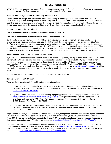*NOTE: If SBA loan proceeds are misused, you must immediately repay 1.5 times the proceeds disbursed to you under the loan. You may also face criminal prosecution or civil or administrative action.*

# **Does the SBA charge any fees for obtaining a disaster loan?**

The SBA does not charge fees (whether as points or as closing or servicing fees) for any disaster loan. You will, however, be responsible for the payment of any closing costs owed to third parties with respect to these loans, such as recording fees and title insurance premiums. If your loan is made in participation with a financial institution, the SBA will charge a guarantee fee to the financial institution, which may then recover such guarantee fee from you.

### **Is insurance required to get a loan?**

The SBA generally requires borrowers to obtain and maintain insurance.

### **Should I wait for my insurance settlement before I apply to the SBA?**

No. If you have private insurance, you must file a claim with your insurance company before applying for federal assistance; once that claim has been filed, you should then apply for federal assistance. *Do not miss the SBA filing deadline by waiting for an insurance settlement to arrive before applying*. Final insurance information can be added after an insurance settlement payment is received. The SBA can approve a loan for the total replacement cost up to the SBA's lending limits (described below for each type of loan). Once your insurance settles and makes a payment, if there is a duplication of benefits, the SBA will apply those funds as a prepayment to the outstanding balance of your disaster loan.

## **What do I need to do before I apply for an SBA loan?**

If you are an individual homeowner, a renter, or an owner of personal property looking to apply for an HPPL, you must first register with FEMA and obtain a nine-digit FEMA registration number. To register with FEMA, you or another member of your household (adult or minor) must have a Social Security number and be a U.S. citizen, non-citizen national, or "qualified alien". You can obtain a FEMA registration number by calling FEMA toll free at (800) 621-3362 (TTY: (800) 462-7585), seven days a week from 4:00 a.m. – 8:00 p.m., or by registering online at *[www.DisasterAssistance.gov](http://www.disasterassistance.gov/)*, which is the quickest way to register with FEMA. Once you have received a FEMA registration number, you can apply for an HPPL.

All other SBA disaster assistance loans may be applied for directly with the SBA.

# **How do I apply for an SBA loan?**

There are three ways to apply for an SBA disaster assistance loan:

- 1. Online: You can apply online for all three types of SBA disaster assistance loans. This is the fastest method to receive a decision about loan eligibility. The online application can be accessed at the SBA's secure website at *<https://disasterloan.sba.gov/ela>*.
- 2. By mail: You also have the option of submitting a paper application by mail. The paper forms can be found at *<https://disasterloan.sba.gov/ela/Information/PaperForms>*. All required forms listed on the website must be signed and dated and returned to: U.S. Small Business Administration, Processing and Disbursement Center, 14925 Kingsport Rd., Ft. Worth, TX 76155-2243.
- 3. In person: You may also apply in person at any open FEMA Disaster Recovery Center, where you can receive personal, one-on-one help from an SBA representative. See the **Disaster Help Centers** chapter of this handbook for locations.

Regardless of whether you submit your application online, by mail, or in person, you must also submit a signed and dated IRS Form 4506-T which gives permission to the IRS to provide the SBA with your tax return information. The IRS Form 4506-T must be completed and submitted with each SBA disaster loan application, even if you are not required to file a federal income tax return. This form can be found at *<https://disasterloan.sba.gov/ela/Information/PaperForms>*.

If you need assistance in completing the SBA loan, you may call the SBA toll free at (800) 659-2955 (TTY: (800) 877- 8339), Monday – Friday, 5:00 a.m. – 6:00 p.m., email the SBA at *[disastercustomerservice@sba.gov](mailto:disastercustomerservice@sba.gov)*, or seek the assistance of SBA loan officers at FEMA Disaster Recovery Centers or at an SBA Disaster Area Office whose locations can be found at *<https://www.sba.gov/tools/local-assistance/disasteroffices>*.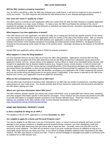## **Will the SBA conduct a property inspection?**

Yes, for HPPLs and BPDLs, after the SBA has reviewed your credit history, it will send an inspector to your property to verify your losses. The SBA inspector will estimate the total physical loss to your disaster-damaged property.

## **How soon will I know if I qualify for a loan?**

The SBA's goal is to decide on each application within four weeks from the date the SBA receives a complete application (missing information is a major cause of delay). To make a loan, the SBA must finalize the estimate of the cost of repairing the damage, be satisfied that the business or individual can repay the loan, and place reasonable safeguards to help ensure that the loan is repaid.

## **What happens if my loan application is denied?**

If the SBA denies your loan application, the SBA will notify you in writing and set forth the specific reasons for the denial. You may request reconsideration of your application within six months of the date of the decline notice. After six months, a new loan application is required. If the SBA declines your application a second time, you have the right to appeal in writing to the director of the Disaster Assistance Processing and Disbursement Center (DAPDC). All appeals must be received by the processing center within 30 days of the decline action. Generally, decisions by the director of the DAPDC are final.

Denied SBA loan applicants will be referred to FEMA for disaster assistance.

# **What happens if I miss the filing deadline?**

It is very important that you do your best not to miss the SBA's filing deadline. Applications received after the filing deadline may be accepted only if the SBA determines that the late filing resulted from substantial causes beyond the applicant's control, such as: serious illness of the applicant; serious illness or death of an immediate family member; late receipt of an application due to disaster-related reasons (e.g., frequent moves, remote location, or lack of normal mail service); applicant was out of the country during a substantial portion of the filing period; damages were hidden and not discovered before the deadline; or other issues during the filing period that prevented the applicant from making a timely filing. When submitting an application after the deadline, accompany your application with a letter explaining the reasons why you did not file during the filing period (or the grace period, if applicable). If the reason is deemed by the SBA to be beyond your control, your application may be accepted for processing.

### **What are the consequences of taking out an SBA loan?**

Like any other type of personal or business loan, defaulting on an SBA loan has similar consequences, including negative repercussions on your credit score. You should carefully read all loan disclosure statements and documents provided by the SBA before signing your loan.

### **Where can I get more information about SBA loans?**

The SBA releases disaster-specific fact sheets that contain information, such as applicable loan interest rates, deadlines, and other program information specific to that disaster and region. Press releases are also issued and posted by the SBA to provide information on available disaster assistance in the disaster-affected areas. These fact sheets and press releases are available at the SBA website under "Current Disaster Declaration Information" at *<https://disasterloan.sba.gov/ela/Declarations/Index>*.

# <span id="page-33-0"></span>**HOME AND PERSONAL PROPERTY LOANS**

# **Is there a deadline for filing for an HPPL?**

The deadline to file an HPPL application is currently **December 11, 2017**.

# **Am I eligible to apply for a Home and Personal Property Loan?**

You may be eligible for an SBA loan if you are a homeowner, renter, or owner of personal property and have incurred damage to your primary residence or tangible personal property during a disaster; you have satisfactory credit and character; and the SBA determines that you will be able to repay the loan. Generally, loans over \$25,000 must be secured by some collateral. The SBA will not decline a loan if you lack a particular amount of collateral as long as it is reasonably certain that you can repay your loan. If you refuse to pledge available collateral when requested by the SBA, however, the SBA may decline or cancel your loan. A first or second mortgage on damaged real estate is commonly used as collateral for an SBA disaster loan.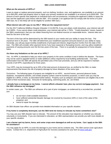### **What are the amounts of HPPLs?**

Loans to repair or replace personal property, such as clothing, furniture, cars, and appliances, are available in an amount up to \$40,000, while real property loans to repair your primary residence are available in an amount up to \$200,000. The amount of each specific loan depends on individual facts and circumstances, including the applicant's ability to repay the loan and the applicant's past history with the SBA. (For example, if an applicant did not comply with the terms of a prior SBA loan, he or she likely will not be eligible for another SBA loan.)

# **What interest rate will I pay on my HDL? What are the repayment terms?**

For the 2017 California Wildfires Disaster (Disaster # CA-00279), if you can obtain credit elsewhere, your interest rate will be 3.500%. If you cannot obtain credit elsewhere, your interest rate will be 1.750%. "Credit elsewhere" means, based on the SBA's assessment, that you can obtain financing from non-federal sources on reasonable terms. Interest rates are fixed for the term of the loan.

The term of the loan will be determined by the SBA based on your needs and your ability to repay the loan. The maximum term is 30 years. The SBA will determine your installment payment amounts based on your ability to repay. Generally, you will pay equal monthly installments of principal and interest, beginning five months from the date of the loan. The SBA will consider other payment terms if you have seasonal or fluctuating income, and may allow installment payments of varying amounts over the first two years of the loan. There is no penalty for prepayment of home disaster loans.

## **Are there any limitations on the use of an HPPL?**

Yes. An HPPL is intended to help you return your property to the same condition it was in before the disaster. The loans may not be used to upgrade homes or make additions unless required by local building authority/code. Your loan authorization from the SBA will specify the permitted uses of the loan proceeds, and you will be required to maintain records of all HPPL expenditures for three years.

Your HPPL may be increased by up to 20% of the total amount of physical loss, as verified by the SBA, to make improvements that lessen the risk of property damage by future disasters of the same type.

*Exclusions*: The following types of property are ineligible for an HPPL: second homes, personal pleasure boats, airplanes, recreational vehicles, and similar property (unless used for business purposes, in which case you may be eligible for a BPDL or EIDL as described further below). Property such as antiques and collections are eligible only to the extent of their functional value. Amounts for landscaping, swimming pools, etc. are limited.

### **I already have a mortgage on my home. I cannot afford a disaster loan, plus my current mortgage payment. Can the SBA refinance my mortgage?**

In certain cases, yes. The SBA can refinance all or part of prior mortgages, as evidenced by a recorded lien, provided you:

- do not have credit available elsewhere;
- have suffered substantial disaster damage not covered by insurance (40% or more of the value of the property); and
- intend to repair the damage.

An SBA disaster loan officer can provide more detailed information on your specific situation.

# **If my home is completely destroyed, can the SBA lend me money to relocate my home somewhere else?**

You may use your SBA disaster loan to relocate. The amount of the relocation loan depends on whether you relocate voluntarily or involuntarily. If you are interested in relocation, an SBA representative can provide you with more details on your specific situation.

# **I am a farmer and my barns, fence, and some crops were damaged as well as my home. Can I apply to the SBA for assistance?**

You may apply for an HPPL to cover the damage to your home and its contents only. The SBA cannot cover agriculture losses. Contact the U.S. Department of Agriculture for recovery assistance for your farm at *[www.usda.gov](http://www.usda.gov/)*.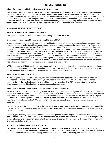# **What information should I include with my HPPL application?**

The necessary information is specified in the Disaster Home Loan Application (SBA Form 5c) and includes your contact information, Social Security number, FEMA registration number, deed or lease information, insurance information, and financial information (e.g., income, account balances, and monthly expenses), among other information. In addition to the loan application, you must also complete and sign the Tax Information Authorization Form (IRS Form 4506-T) to give permission for the IRS to give your federal tax information directly to the SBA, including information from your last three federal income tax returns. See the **How do I apply for an SBA loan?** section of this chapter.

# <span id="page-35-0"></span>**BUSINESS PHYSICAL DISASTER LOANS**

### **What is the deadline for applying for a BPDL?**

The deadline to file an application for a BPDL is currently **December 11, 2017**.

## **Is my business or non-profit organization eligible for a BPDL?**

Almost all businesses and charitable or other non-profit entities that are located in a declared disaster area and have incurred damage to real or tangible personal property (e.g., real estate, equipment, inventory, machinery, fixtures, and leasehold improvements) as a result of the disaster may apply for an SBA loan to help repair or replace the damaged property. Your business may be a sole proprietorship, partnership, corporation, limited liability company, or other legal entity recognized under California law. The size of your business (average annual receipts or number of employees) will not be taken into consideration in determining your eligibility for a BPDL. Private, non-critical, non-profit organizations, such as charities, churches, private universities, food banks, homeless shelters, museums, libraries, community centers etc., are also eligible for BPDLs. Private non-profit organizations that provide critical services are referred to FEMA. "Critical services" include power, water, sewer services, wastewater treatment, communications, education, emergency medical care, fire department services, emergency rescue, and nursing homes.

BPDLs in excess of \$25,000 require that you pledge collateral to the extent it is available, including real estate collateral. In addition, personal guarantees by the principals of a business are required for all BPDLs. The SBA will generally not decline a loan for lack of collateral, but you must pledge collateral that is available.

### **What are the amounts of BPDLs?**

BPDLs are generally capped at \$2.0 million, and loan amounts cannot exceed the verified uninsured or otherwise uncompensated disaster loss. Further, while you may receive both a BPDL and an EIDL, the combined assistance is capped at \$2.0 million for the business and its affiliates for each disaster. The SBA can waive this cap in certain circumstances, such as if the business is a major source of employment.

# **What interest rate will I pay on my BPDL? What are the repayment terms?**

For the 2017 California Wildfires Disaster (Disaster # CA-00279), if your business, together with its affiliates and principal owners, has credit elsewhere, your interest rate will be 6.610%. If your business is a non-profit organization, your interest rate will be 5.25%. If your business does not have credit elsewhere, your interest rate will not exceed 3.305%. If your business is a non-profit organization and does not have credit elsewhere, your interest rate will be 2.500%. "Credit elsewhere" means, based on the SBA's assessment, that you can obtain financing from non-federal sources on reasonable terms.

The interest rates are fixed, and the term of the loan will be determined by the SBA based on your needs and your ability to repay the loan, but it cannot exceed seven years if you can receive credit elsewhere. Otherwise, the repayment term may be up to 30 years.

Generally, you must pay equal monthly installments, of principal and interest, beginning five months from the date of the loan as shown on the loan note. The SBA will consider other payment terms if you have seasonal or fluctuating income, and the SBA may allow installment payments of varying amounts over the first two years of the loan. There is no penalty for prepayment of disaster loans.

### **Are there any limitations on the use of a BPDL?**

Yes. Physical disaster loans are intended to be used to repair or replace real and personal property damaged to pre-disaster conditions and, under certain conditions, protect structures from future disasters. Proceeds from the loan can be used to cover items such as real property, machinery, equipment, fixtures, inventory, and leasehold improvements.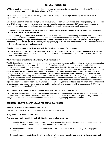### **SBA LOAN ASSISTANCE**

BPDLs to repair or replace real property or leasehold improvements may be increased by as much as 20% to protect the damaged property against possible future disasters of the same type.

A BPDL will be made for specific and designated purposes, and you will be required to keep records of all BPDL expenditures for three years.

*Exclusions*: Second homes, personal pleasure boats, airplanes, recreational vehicles, and similar property are not eligible for a BPDL unless you can demonstrate that they were used for business purposes. SBA funds cannot be used to expand or upgrade a business unless city or county building authorities/codes require such upgrades.

### **I already have a mortgage on my business, and I can't afford a disaster loan plus my current mortgage payment. Can the SBA refinance my mortgage?**

In certain cases, yes. The SBA can refinance all or part of prior mortgages, evidenced by a recorded lien, if you: (1) do not have credit available elsewhere; (2) have suffered substantial uncompensated disaster damage (40% or more of the value of the property); and (3) intend to repair the damage. Business owners may also be eligible for refinancing of mortgages or liens on real estate, machinery, and equipment, up to the amount of the loan for the repair or replacement of such real estate, machinery, and equipment.

### **If my business is completely destroyed, will the SBA lend me money for relocation?**

Yes. In certain circumstances, limited relocation costs can be included in the loan amount and depend on whether you relocate voluntarily or involuntarily. Whenever relocation is involved, you should contact the SBA Disaster Office before making any commitments.

## **What information should I include with my BPDL application?**

The BPDL application form asks for the same information about your business and its principal owners and managers that is generally required for a bank loan. The required information is specified in the loan application and includes: (i) Business Loan Application (SBA Form 5); (ii) IRS Form 4506-T signed by the business, each principal owning 20% or more of the applicant business, each general partner or managing member, and, for any owner who has more than a 50% ownership in an affiliate business (affiliates include parents, subsidiaries and/or businesses with common ownership or management); (iii) a complete copy of the business's recent federal income tax returns (including all schedules); and (iv) schedule of liabilities listing all fixed debts (SBA Form 2202 may be used). The SBA may also request (a) a complete copy of the most recent federal income tax returns (including all schedules) of each principal owning 20% of more of the business, each general partner or managing partners and each affiliate when the owner has more than 50% ownership; (b) if the most recent federal income tax return has not been filed, a year-end profit and loss statement and balance sheet for the tax year; (c) a current year-to-date profit and loss statement; and (d) additional filing requirements (SBA Form 1368) providing monthly sales figures.

#### **Am I required to submit a personal financial statement with my BPDL application?**

Yes. The SBA must review your financial statements and the financial statements for each partner, officer, director, and stockholder with 20% or more ownership. The SBA requires the principals of the business to personally guarantee repayment of the loan and, in some instances, to secure the loan by pledging additional collateral.

## **ECONOMIC INJURY DISASTER LOANS FOR SMALL BUSINESSES**

# **What is the deadline for applying for an EIDL?**

The deadline to file an application for an EIDL is currently **July 12, 2018.**

# **Is my business eligible for an EIDL?**

Your business may be eligible for an EIDL if the following conditions are met:

- 1. Your business is a small business, small agricultural cooperative, small business engaged in aquaculture, or a private non-profit organization of any size (under most circumstances);
- 2. Your business has suffered "substantial economic injury" as a result of the wildfires, regardless of physical damage;
- 3. Your business is located in a declared disaster area (or in a jurisdiction located next to the disaster area); and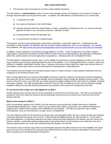### **SBA LOAN ASSISTANCE**

4. The business and its principals do not have credit available elsewhere.

The SBA defines a "**small business**" either in terms of the average number of employees over the past 12 months or average annual receipts over the past three years. In addition, the SBA defines a small business as a concern that:

- (i) is organized for profit;
- (ii) has a place of business in the United States;
- (iii) operates primarily within the United States or makes a significant contribution to the U.S. economy through payment of taxes or use of American products, materials, or labor;
- (iv) is independently owned and operated; and
- (v) is not dominant in its field on a national basis.

The business may be a sole proprietorship, partnership, corporation, or any other legal form. In determining what constitutes a small business, the definition will vary to reflect industry differences, such as size standards. For industry size guidelines, see *<https://www.sba.gov/contracting/getting-started-contractor/make-sure-you-meet-sba-size-standards>*.

In addition, certain categories of businesses are not eligible for an EIDL. These include some non-profits, religious organizations, businesses that derive one-third of their annual income from legal gambling, and agricultural enterprises (other than small nurseries and small agricultural cooperatives). Individuals also are not eligible for EIDLs.

The SBA defines "substantial economic injury" as the inability of a business to meet its obligations as they come due or to pay its ordinary and necessary operating expenses due to the wildfires. Loss of anticipated profits or a drop in sales is not sufficient to establish substantial economic injury. Indicators of economic injury might be a larger than normal volume of receivables, a lower sales volume, and the development of delinquencies in debt payments.

Your business must be located in the declared disaster areas or certain counties or other political subdivisions that are contiguous to the declared disaster area.

EIDL working capital loans are meant to help eligible businesses meet their ordinary and necessary financial obligations that cannot be met as a direct result of the disaster and are intended to assist through the disaster recovery period. If the amount of the EIDL loan is over \$25,000, you will be required to pledge collateral to the extent that it is available, including real estate collateral. The SBA will generally not decline a loan for lack of collateral, but you may be required to pledge available collateral and provide personal guarantees by principals of the business for repayment of the loan.

## **If I can borrow from a bank, am I still eligible for an EIDL?**

Private credit sources must be used as much as possible to overcome the economic injury. The SBA can provide EIDL assistance only to the extent the business (and its principals) cannot recover by using its own resources and normal lending channels.

## **What are the amounts of EIDLs?**

EIDLs are generally capped at \$2.0 million, and loan amounts cannot exceed the verified uninsured or otherwise uncompensated disaster loss. Further, while you may receive both a BPDL and an EIDL, the combined assistance is capped at \$2.0 million for the business and its affiliates for each disaster. The SBA can waive this cap in certain circumstances, such as if the business is a major source of employment.

You may request an EIDL for the amount of economic injury and operating needs, but not in excess of what your business could have paid had the disaster not occurred. In determining the eligible amount, the SBA will look at: (1) the total of your debt obligations; (2) operating expenses that mature during the period affected by the disaster, plus the amount you need to maintain a reasonable working capital position during that period; and (3) expenses you could have met and a working capital position you could have maintained had the disaster not occurred.

The amount of your economic injury does not automatically represent the dollar amount of your loan eligibility; the actual amount of each loan is limited to the economic injury determined by the SBA less business interruption insurance and other recoveries up to the administrative lending limit.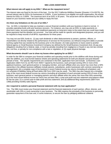### **SBA LOAN ASSISTANCE**

### **What interest rate will apply to my EIDL? What are the repayment terms?**

The interest rates are fixed for the term of the loan. For the 2017 California Wildfires Disaster (Disaster # CA-00279), the annual interest rate for EIDLs for businesses is 3.305%. If your business is an eligible non-profit organization, the annual interest for EIDLs is 2.500%. The maximum term of an EIDL is 30 years. The actual term will be determined by the SBA based on your business needs and your ability to repay the loan.

## **Are there any limitations on the use of an EIDL?**

Yes. An EIDL is intended to help you maintain a secure financial condition until your business is back to normal. It provides operating funds until your business recovers. For instance, you may use an EIDL to make payments on short-term notes, accounts payable, and installment payments on long-term notes to the extent that you could have made these payments had the disaster not occurred. Your loan will be made for specific and designated purposes, and you will be required to keep records of all BPDL expenditures for three years.

You may not use EIDL funds to: (1) pay cash dividends or other disbursements to owners, partners, officers, or shareholders not directly related to the performance of services for the business; (2) refinance long-term debts or provide working capital that was needed by the business prior to the disaster; (3) make payments on loans owed to another federal agency or Small Business Investment Company (as defined by the Small Business Investment Act); (4) pay any obligations resulting from a federal, state, or local tax penalty (resulting from negligence or fraud) or any non-tax criminal fine, civil fine, or penalty for non-compliance with a law or regulation; or (5) repair physical damage.

### **What documents should I use to show my losses when applying for an EIDL?**

In order for the SBA to compare your financial condition and operating results prior to the wildfires with those during and after the wildfires, you must furnish balance sheets and operating statements for both pre-disaster and post-disaster periods of time. The specific requirements are contained in the EIDL application form and include: (i) Business Loan Application (SBA Form 5); (ii) IRS Form 4506-T signed by the business, each principal owning 20% or more of the applicant business, each general partner or managing member, and each affiliate when any owner has more than a 50% ownership in the affiliate business (affiliates include parents, subsidiaries, and/or businesses with common ownership or management); (iii) a complete copy of the business's recent Federal income tax returns (including all schedules); and (iv) schedule of liabilities listing all fixed debts (SB Form 2202 may be used). The SBA may also request (a) a complete copy of the most recent federal income tax returns (including all schedules) of each principal owning 20% of more of the business, each general partner or managing partners and each affiliate when the owner has more than 50% ownership; (b) if the most recent federal income tax return has not been filed, a year-end profit and loss statement and balance sheet for the tax year; (c) a current year-to-date profit and loss statement; and (d) additional filing requirements (SBA Form 1368) providing monthly sales figures.

## **Am I required to submit a personal financial statement with my loan application?**

Yes. The SBA must review your financial statement and the financial statements of each partner, officer, director, and stockholder with 20% or more ownership in your business. The SBA requires the principals of the business to personally guarantee repayment of the loan and, in some instances, to secure the loan by pledging additional collateral.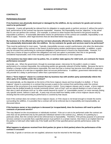## **CONTRACTS**

#### **Performance Excused**

#### **If my business was physically destroyed or damaged by the wildfires, do my contracts for goods and services need to be performed?**

It depends. A party will generally be relieved from its obligation to supply goods or perform services if, without the party's fault, performance of the contract has become impossible. However, the impossibility must be "objective," in the sense that no one can perform the contract. (For example, a contract to clean houses that burned to the ground would be impossible to perform.) If reasonable alternative means for performance of the contract are available, impossibility is not likely to apply. However, other legal doctrines that are described below may apply.

#### **My business is in the affected area and has not been physically affected by the wildfires; however, my business has substantially deteriorated after the wildfires. Do my contracts for goods and services need to be performed?**

They must be performed in most cases. Typically, impossibility excuses a party's performance only when the destruction of the subject matter of the contract or the means of performance renders performance impossible. In addition, a party may be excused from performing its contractual obligations if performance is found to be impracticable. However, if a party has a choice of ways to perform the obligations and only one option is precluded, then this is not generally considered impracticable, even if the remaining option is more burdensome or more expensive.

#### **If my business has been taken over by police, fire, or another state agency for relief work, are contracts for future performance excused?**

Generally, yes. When the government, through its sovereign power, intervenes for the public's needs or makes performance of a contract impossible, the contracting parties are generally relieved of further liability. Because the test is whether a change renders performance impossible, the mere fact that a contract has become more difficult or expensive to perform because of a new law or regulation does not excuse performance. In addition, government intervention may only provide for a delay in performance rather than a permanent excuse.

#### **Does a "force majeure" clause in a contract that my business has with another party automatically relieve the other party of its liability under the contract?**

Not automatically, as this depends on the terms of the force majeure clause and how broadly it is drafted. A "force majeure" clause is a provision in a contract that excuses a party to the contract from performing under the contract because of the occurrence of an event beyond the party's control. Force majeure clauses vary in scope: a force majeure clause may be drafted broadly (to include commonly known "acts of God" such as natural disasters or acts of war and then also a catch-all phrase such as "or other events beyond its control" or "unavoidable causes") or more narrowly (listing only specific events, without a catch-all). A party may excuse itself from liability under a force majeure clause only by showing that the event preventing its performance is covered by that clause.

Even if the contract does not contain a force majeure clause, or if the clause is not broad enough to include the events surrounding the wildfires, it is possible that a contract will not be enforced due to impossibility and impracticability, as discussed above.

#### **If the business owner or key employee is deceased (or incapacitated), does the business still need to perform contracts of personal service?**

This may depend on the circumstances or individuals involved. If the act or acts to be performed under the contract are ones that can be performed only by the particular individual named in the contract (e.g., delivery of a painting by a particular artist), then the contract will not be enforced due to impossibility. Therefore, if the primary purpose of a personal services contract is to provide that a specified person must perform in a certain manner, then there is an implied intent by the parties to hold each other liable only if the health and life of that specified person permits performance under the contract.

#### **What happens to advances received from third parties (or given to third parties) where the performance of the contract is excused?**

Generally, if goods or services are not supplied, advances must be returned to the third party.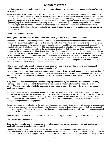#### **In a situation where I can no longer deliver or accept goods under my contracts, can someone else perform on my behalf?**

Absent a provision in the contract prohibiting assignment, a party may be able to delegate or assign its duties or rights under a contract to someone else unless the other party has a substantial interest in having the original promisor perform the acts required by the contract. The rights of the buyer or seller may also be assigned unless the assignment would significantly change the duty of the other party, increase the burden or risk imposed on him or her by the contract, or significantly impair the chance of obtaining return performance. Parties delegating or assigning duties will still be liable under the original contract if there is a failure of performance by the assignee. Please note that many commercial contracts provide that duties of the buyer and seller cannot be delegated or assigned without the prior written consent of the other party.

## **Liability for Damaged Property**

### **What if goods that were paid for by the buyer were destroyed before they could be delivered?**

It depends on whether the risk of the goods' loss had already passed to the buyer at the time of the destruction. If the seller and the buyer have explicitly agreed in their specific contract on when the risk of loss shifts to the buyer, the terms of such contract controls. In the absence of such a specific contract, risk of loss of sold goods generally passes from the seller to the buyer in the following manner: (1) if a contract requires physical delivery of identified goods to a specific destination, risk of loss passes on tender of the goods at that destination; (2) if the contract does not specify a place of delivery, but the goods need to be shipped to the buyer, risk of loss passes at the time and place the goods are delivered to the carrier or if delivery is to be made without moving the goods, risk of loss passes at the time and place documents of title are delivered; and (3) in all other cases, risk of loss passes, if the seller is a merchant, only when the buyer actually receives the goods or, if the seller is not a merchant, on tender of delivery. Special rules apply when the seller was already in breach of the specific contract at the time of destruction. (Please note in conjunction with these issues that an insurance policy may cover damage to or destruction of the goods.)

#### **If I have equipment that was either leased or purchased on credit and is now destroyed or damaged, am I obligated to continue making payments on the equipment?**

This question is usually governed by the terms of the specific contract, lease, or credit agreement. In addition, the loss of equipment could be covered by an insurance policy. If the equipment was not covered by an insurance policy, it is most likely that payments must continue to be made. You should contact your lender or lessor to discuss what options are available to you.

#### **Is my business liable for damage to a customer's property caused by the wildfires? For instance, is my dry cleaning or laundry business liable for damage to customers' clothing that was in the store? Or is my jewelry/TV/watch repair store liable for damages to customers' property that was in the store for purposes of repair or maintenance?**

Maybe not. When the owner of personal property (a "bailor") delivers the property to another (a "bailee") for a particular purpose, with the understanding that the property must be returned to the bailor, a bailment contract is formed. In each of the three situations above, a bailment relationship exists for the benefit of both parties because the bailee receives compensation and the bailor receives a service. Therefore, the bailee would only be liable to the bailor for property damaged through the bailee's negligence.

Because the relevant legal standard is the bailee's negligence, it is necessary to consider how the property was damaged or lost and what actions the bailee took to protect it. Destruction caused by the wildfires would not likely be a breach of the bailment contract. Courts of law determine whether someone acted negligently largely by asking if such person acted reasonably in the circumstances.

(Please note in conjunction with these issues that an insurance policy may cover damage to or destruction of the goods.)

#### **Lost Checks or Correspondence**

### **Has a contract been formed if, in response to my offer, the offeree sent an acceptance by mail but I never received it because it was lost or destroyed?**

Probably. Assuming that you, as the offeror, did not specify a mode of acceptance other than mail, acceptance of an offer becomes effective at the moment the letter is dropped in the mailbox, and not upon receipt. This is known among lawyers as the "mailbox rule" or "postal acceptance rule." The offeree has the power to accept and close the contract by mailing a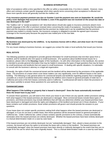letter of acceptance within a time specified in the offer (or within a reasonable time, if no time is stated). However, many offers and contracts contain specific language which does specify terms concerning when acceptance is effected and these more specific terms will generally override the mailbox rule.

#### **If my insurance payment premium was due on October 3 and the payment was sent on September 30, would the policy cover damages that occurred on October 2, even if the payment was not received on the actual due date or was destroyed in the mail?**

The "mailbox rule" or "postal acceptance rule" described above should also apply to insurance premiums absent more specific language in the offer or premium renewal notice concerning the mode of acceptance. Assuming that the policy is silent and the insurance company requested that the premium be mailed and it can be established that the premium payment was mailed in a timely manner, the insurance company is obligated to provide the agreed upon insurance coverage to the insured party because the payment was mailed prior to the due date.

#### **Business Licenses**

### **My business was destroyed by the wildfires. Is my business license still in effect, and what must I do if it needs to be replaced?**

For any issues relating to business licenses, we suggest you contact the state or local authority that issued your license.

# **REAL ESTATE**

The following questions are designed to provide general information for small businesses that rent their space from a landlord, and for landlords who rent space to small businesses. (For questions about landlord-tenant issues for a residence, please refer to the **Housing** chapter of this handbook.) As with other information in this handbook, this section is intended to provide general information that may be helpful in assessing the types of legal questions that may be faced by small businesses and landlords that rent space to small businesses. In dealing with specific situations, it is advisable to consult with the business's attorney or a legal aid organization.

Generally, the rights of both the commercial tenant and the landlord will be determined by the provisions of the applicable lease. The provisions of a lease which cover these matters can vary significantly, even for different leases in the same building. The following is only general advice for commercial tenants and landlords regarding property that is damaged or unusable as a result of accidental destruction relating to the wildfires and is based on general principles of state law in California and some of the form leases commonly used in California. A professional will need to check the provisions of your lease carefully to answer these questions for your particular case.

## **Commercial Leases**

## **What happens if the building or property that is leased is destroyed? Does the lease automatically terminate? Does the tenant have to pay rent?**

To answer these questions, you will need to first check your lease to see if there are any specific written provisions setting forth what happens if the leased premises are destroyed or damaged. Most commercial leases include these types of provisions, and these provisions may include definitions that will help you determine whether your leased premises have been destroyed or damaged and what the rights and obligations of the landlord and tenant are in those situations. If your lease contains such written provisions, those written provisions will govern and should provide the answers to your questions.

If your lease does not contain specific provisions setting forth what happens when the leased premises are destroyed or damaged, or if you do not have a written lease, then these questions will be answered based on general principles of California law. Under California law, unless a lease contains specific provisions to the contrary, a lease automatically terminates when the leased premises are entirely destroyed. Whether the leased premises have been entirely destroyed is a factual determination made on a case-by-case basis.

If the leased premises are not entirely destroyed, but are "substantially damaged," then, absent a lease provision to the contrary, the tenant will have the option to terminate the lease with a notice to the landlord. The leased premises are "substantially damaged" when the leased premises have been directly or indirectly damaged to the extent that they are no longer fit for the use for which they were originally leased. This is a factual determination made on a case-by-case basis.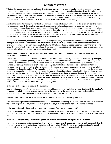Whether the leased premises are no longer fit for the use for which they were originally leased will depend on several factors. The primary factor is the extent of damage. For example, if a substantial portion of the leased premises burns to the ground, the leased premises would likely be considered substantially damaged. But if the damage to the leased premises is limited (for example, if only the roof is damaged or smoke or water from firefighting only damaged the ceiling, floor, or carpet of the leased premises), then the leased premises would likely not be considered substantially damaged and the tenant would likely not be able to terminate the lease on the basis of that damage.

Another factor in determining whether the leased premises were substantially damaged is the landlord's ability to repair the leased premises. If the landlord can repair the damage to the leased premises in a reasonable period of time, then the leased premises are less likely to be considered substantially damaged and the tenant may not be able to terminate the lease on the basis of that damage. A further factor in determining whether the leased premises were substantially damaged is understanding the use for which they were originally leased. For example, if the leased premises are a retail store, damage that results in the leased premises being inaccessible to the public may render the leased premises substantially damaged even if the extent of damage is not that great.

If the lease is terminated, the tenant is relieved of its obligation to pay rent after such termination. However, unless the lease provides otherwise, the tenant is not entitled to a refund of any prepaid rent. If the lease is not terminated, the tenant must continue to pay rent according to the terms of the lease. In some cases, depending upon the terms of the lease, the tenant may be able to pay an adjusted rent until necessary repairs are made, but the need for repairs does not automatically release the tenant from its obligation to pay rent.

### **What degree of damage to the leased premises constitutes "partially damaged" or "entirely destroyed" or "substantially damaged"?**

The answer depends on the individual facts involved. To be considered "entirely destroyed" or "substantially damaged," the leased premises must generally cease to be fit for the use for which they were originally leased. While major fire damage will likely result in the leased premises being entirely destroyed or substantially damaged, more limited fire damage and damage from smoke and/or water may only result in the leased premises being considered "partially damaged." When determining the extent of damage to the leased premises, it is important to carefully consider what constitutes the "leased premises." For example, in the case of a ground lease in which the tenant leases the underlying land and is responsible for all improvements upon the land, the leased premises are the land itself not the improvements constructed on the land. Therefore, the destruction of or damage to the improvements will generally not be considered destruction of or damage to the leased premises, and the tenant will not have a right to terminate the lease as the result of such destruction or damage. In other cases, the leased premises may be a suite within a building or a storefront within a shopping center and the extent of damage will be determined based on the direct and indirect damage to that specific suite or storefront and not the entire building or shopping center.

## **Is the landlord obligated to rebuild the building?**

Again, it is important to refer to your lease, as commercial leases generally include provisions dealing with the landlord's obligations to rebuild. Absent an express provision in the lease, while the lease may be terminated or subject to termination, the landlord is not obligated to rebuild the building or leased premises.

## **If the landlord terminates the lease, is the tenant entitled to receive its security deposit?**

Yes, unless the express terms of the lease make it non-refundable. According to California law, the landlord must refund the security deposit (less any lawful deductions) within 30 days after the tenant vacates the leased premises.

#### **Is the landlord required to repair and restore the tenant's furniture and equipment?**

Generally, the landlord is not required to repair any damage to the tenant's furniture and/or furnishings or any fixtures or equipment, improvements, or appurtenances that are removable. This damage may be covered by the tenant's insurance company.

#### **Is the tenant obligated to pay rent during the time that the landlord makes repairs on the building?**

If the lease is terminated as the result of the leased premises being entirely destroyed or substantially damaged, then the tenant is relieved of its obligation to pay rent after such termination. Under California law, rent reductions for partial damage will be governed by the terms of the lease or a negotiated resolution with the landlord.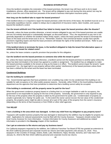Once the landlord completes the restoration of the leased premises, the tenant may still have work to do to repair installations, phones, office equipment, etc. The tenant will be obligated to pay rent during this time period, but may be able to cover the cost of that rent from proceeds of the tenant's business interruption insurance policy.

## **How long can the landlord take to repair the leased premises?**

If the landlord elects or is required to repair the leased premises under the terms of the lease, the landlord must do so in a reasonably expeditious manner, subject to delays due to adjustment of insurance claims, labor troubles, and causes beyond the landlord's control.

### **Can the tenant withhold rent if the landlord has failed to timely repair the leased premises after the disaster?**

Generally, unless the lease provides otherwise, a tenant remains obligated to pay rent if the leased premises are usable and are not entirely destroyed or substantially damaged, as discussed above. Thus, the requirement to pay rent is not generally dependent on whether the landlord makes timely repairs, unless the lease permits the tenant to terminate the lease on this basis and the tenant acts to do so. Remember, however, that commercial leases usually have specific provisions regarding repairs and that the lease provisions will dictate the rights of the landlord and tenant. Refer to your lease for more information.

#### **If the landlord elects to terminate the lease, is the landlord obligated to help the tenant find alternative space or reimburse the tenant for related costs?**

No, unless the lease contains a specific provision that provides for this obligation.

### **Can the landlord rent the leased premises to someone else while the tenant is gone?**

No, unless the lease expressly provides otherwise, a landlord cannot rent the leased premises to another party unless the lease has been terminated or the tenant has agreed to a sublet or assignment. The landlord has an obligation to make the leased premises available to the tenant as long as the lease is in effect. The landlord cannot impair the tenant's "quiet possession" (i.e., the legal right to use property without other parties' interference) of the leased premises unless there has been a default by the tenant and the lease has been terminated.

### **Condemned Buildings**

#### **Can the building be condemned?**

Yes. Governmental agencies that have jurisdiction over a building may order it to be condemned if the building is not suitable for safe occupancy or for other public purpose reasons. Generally, either FEMA or the local building inspection department are the agencies that have jurisdiction to determine that a building cannot safely be occupied.

#### **If the building is condemned, will the property owner be paid for the loss?**

When the government condemns property based on a finding that it is no longer habitable or safe for occupancy, the government is not responsible for paying for the loss of the property. Generally, the government is only required to pay for the loss of the property when the property is taken by the government for public use. Condemnation of property as unsafe is generally not a "taking" for public use. To the extent the owner cannot recover the lost value of the condemned property, the property owner might be able to recover all or part of the value of the property from the owner's insurance (depending on the terms of that insurance) or from FEMA or other relief agencies.

#### **TAX RELIEF**

#### **I own a building in the area which was damaged. Is there any relief from my obligation to pay property taxes?**

Taxpayers with taxable business property that was damaged or destroyed by the wildfires may be eligible for property tax relief. Applications for reduced assessments must be filed with the County Assessor. Taxpayers should contact their local County Assessor for more information. Contact information for County Assessors and additional tax-related information is provided in the **Housing** chapter of this handbook.

#### **Can I get an extension to file returns and pay my business taxes?**

For California taxpayers impacted by the wildfires, the California Franchise Tax Board (FTB) has granted an extension to file 2016 California personal and corporate income tax returns and make payments until January 31, 2018. Thus, taxpayers in the Counties of Orange, Solano, Butte, Lake, Mendocino, Napa, Nevada, Sonoma, and Yuba have until January 31, 2018 to file their 2016 California personal and corporate income tax returns.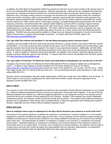In addition, the State Board of Equalization (BOE) has granted an extension of up to three months to file and pay taxes or fees for the following BOE-administered programs: alcoholic beverage tax; California tire fee; childhood lead poisoning prevention fee; cigarette and tobacco products tax; covered electronic waste recycling fee; diesel fuel tax; emergency telephone users surcharge; energy resources surcharge; fire prevention fee; hazardous waste activity fee; hazardous waste disposal fee; hazardous waste environmental fee; hazardous waste facility fee; hazardous waste generator fee; hazardous waste management fee; interstate user diesel fuel tax; jet fuel tax; lumber products assessment fee; marine invasive species fee; motor vehicle fuel tax; natural gas surcharge; occupational lead poisoning prevention fee; oil spill response, prevention, and administration fee; prepaid mobile telephony services (MTS) surcharge; regional railroad accident preparedness and immediate response fee; sales and use tax; timber yield tax; underground storage tank maintenance fee; use fuel tax; and water rights fee. This relief is offered to any business owner or feepayer who was directly affected by the wildfires in the counties listed above and who, as a result, cannot meet their filing and payment deadlines. The BOE has also extended the deadline for filings that were delayed by disruption of service of the United States Postal Service or private mail and freight companies. To request relief from the BOE, please visit *<http://www.boe.ca.gov/pdf/fdisas.pdf>*.

## **Can I get relief from interest and penalties if I am late filing and paying various business taxes?**

Taxpayers who are unable to file their returns and pay taxes and fees in a timely manner may receive relief from interest and penalties. In the case of personal and corporate income taxes, the FTB will cancel interest and any late filing or late payment penalties that would otherwise apply for the length of any postponement periods. Additionally, the BOE offers relief from interest and penalties for the late filing and payment of the types of tax or fee administered by the BOE listed above. In order to qualify for relief from interest and penalties, the taxpayer must include a statement signed under the penalty of perjury stating the cause for the late filing. To request relief from interest and penalties from the BOE, please visit *<http://www.boe.ca.gov/pdf/fdisas.pdf>*.

### **Can I get copies of Franchise Tax Board tax returns and State Board of Equalization tax records lost in the fire?**

Taxpayers may receive copies of California tax returns filed with the FTB at no charge to replace lost or damaged tax returns. To obtain a copy, taxpayers should complete Form FTB 3516, Request for Copy of Tax Return (*<https://www.ftb.ca.gov/forms/misc/3516.pdf>*) and print the name of the specific fire, your country, and 2017 (e.g., "Tubbs Fire, Napa County, 2017") in red ink at the top of the form. You can download the form at the link above or order one by calling (800) 852-5711.

Business owners and feepayers may also obtain replacements of BOE tax records lost in the wildfires, free of charge. To obtain copies of such records, including prior tax returns filed with the BOE, audits, and permit application forms, taxpayers should call (800) 400-7115.

## **EMPLOYMENT**

The answers to each of the following questions are based on the assumption that the affected employees are not covered by a collective bargaining agreement and do not have an employment contract with their employer. In the event that the affected employees are covered by a collective bargaining agreement or an employment contract, the employer should consult the terms and conditions of those agreements and contracts. Similarly, if the employer has certain established employment policies, the employer should consult and comply with its policies. The answers below address situations in general and it is advisable to obtain advice from a qualified lawyer or legal aid organization when dealing with a specific situation, especially one that involves difficult employer-employee issues.

## **Salary and Leave**

#### **Does an employer have to pay its employees for the days that its business was closed as a result of the fires?**

The answer to this question depends on whether the employee is considered an "exempt" employee or a "non-exempt" employee for purposes of federal and state wage-and-hour laws. Every employee must be treated as either exempt (not entitled to premium pay for overtime hours worked) or non-exempt (entitled to premium pay for overtime hours worked) under these laws. The determination of whether an employee is exempt or non-exempt is a complicated, fact-specific determination. Generally speaking, an employee is considered a non-exempt employee if the employee is paid on an hourly basis and not on a salary basis. In contrast, to be considered an exempt employee, an employee must be paid on a salary basis and must have certain job duties and responsibilities that are executive, administrative, or professional (among others) as required under the applicable federal and state wage-and-hour laws.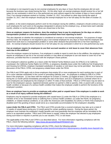An employer is not required to pay its non-exempt employees for any days or hours that the employees did not work because the business was closed during the fires. On the other hand, an exempt employee should receive his or her full salary for any workweek in which he or she performed any work without regard to the number of days or hours worked. Thus, if an exempt employee worked on Sunday, October 15, 2017, but worked no other days during the week of October 15, 2017, then the employer should pay the exempt employee his or her full salary for the week of October 15, 2017.

In addition, to the extent employees perform work for the employer during the wildfires, employers should continue to pay such employees for such work on the paydays designated in advance by the employer (e.g., at least twice each calendar month), whether or not the employer's offices are closed due to the fires.

#### **Once an employer reopens its business, does the employer have to pay its employees for the days on which a transportation problem or some other obstacle prevented them from reporting to work?**

This also depends on whether the employee is considered an exempt or non-exempt employee. For purposes of wageand-hour laws, the employer is not required to pay a non-exempt employee for any days or hours that the employee was absent from work due to a transportation problem or some other obstacle that prevented him or her from reporting to work. An exempt employee should receive his or her full salary for any workweek in which he or she performed any work.

#### **Can an employer require its employees to use their accrued vacation or sick leave to cover their absences from work due to the wildfires?**

Once the employer reopens its business, if an employee is unable to report to work due to the wildfires, the employer may require an employee to use his or her accrued vacation or may allow an employee to use sick leave to cover his or her absences, provided that this is consistent with the employer's leave policies.

If an employee's absence qualifies as a leave under the federal Family Medical Leave Act (FMLA) or its California counterpart, the California Family Rights Act (CFRA), or pregnancy disability leave under the California Fair Employment and Housing Act (FEHA), employer-mandated substitution of vacation or sick leave may not be permitted. See below for discussion of the FMLA, CFRA, and pregnancy-related leave under the FEHA.

The FMLA and CFRA apply only to those employers that employ 50 or more employees for each working day in each of 20 or more calendar workweeks in the current or preceding calendar year. An employee is entitled to FMLA or CFRA leave if the employee: (1) has been with the employer for at least 12 months; (2) logged at least 1,250 hours of services during the 12-month period immediately preceding the start of the leave; and (3) is employed at a worksite where 50 or more employees are employed by the employer or within 75 miles of that worksite. FMLA or CFRA leave may be taken to care for the employee's spouse, registered domestic partner (or partner's child or parent), child, or parent with a serious health condition or because of a serious health condition that makes the employee unable to perform the functions of the employee's position.

### **Does an employer have to provide an employee with either paid or unpaid leave if the employee is unable to work as a result of an injury suffered during the wildfires?**

Employers may be required to provide employees with unpaid leave (1) under the FMLA or CFRA if the employee or a member of his or her immediate family is suffering from a serious health condition; (2) under the FEHA, for pregnancy, childbirth, or related medical conditions; or (3) under the Americans with Disabilities Act (ADA) or FEHA if the employee is disabled and if the granting of leave would serve as a reasonable accommodation for the employee's disability.

*Leave Under the FMLA and CFRA.* The FMLA and CFRA provide that a covered employee may take up to a total of 12 weeks of unpaid leave during any 12-month period for certain qualifying reasons. During the leave period, the employer must maintain the employee's health benefits and must guarantee that the employee will be reinstated to the same or an equivalent position. FMLA and CFRA leave is unpaid, unless the employer has elected to pay employees during such leave or requires or permits you to use vacation, PTO, or sick leave.

The applicability of the FMLA and CFRA is as described above. For more information regarding compliance with the FMLA, check the following website: *<https://www.dol.gov/whd/fmla/APPENDIXF.htm>*.

For more information regarding compliance with the CFRA, check the following website: *[https://www.dfeh.ca.gov/resources/frequently-asked-questions/employment-faqs/pregnancy-disability-leave-faqs/pdl-cfra](https://www.dfeh.ca.gov/resources/frequently-asked-questions/employment-faqs/pregnancy-disability-leave-faqs/pdl-cfra-fmla-guide/)[fmla-guide/](https://www.dfeh.ca.gov/resources/frequently-asked-questions/employment-faqs/pregnancy-disability-leave-faqs/pdl-cfra-fmla-guide/)*.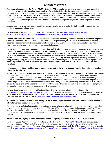*Pregnancy-Related Leave Under the FEHA.* Under the FEHA, employers with five or more employees must allow female employees to take up to four months of leave for periods of disability due to pregnancy, childbirth, or related medical conditions. The employee may elect to use accrued vacation leave, and may be required to substitute sick leave, or any other accrued leave which is made available by the employer to temporarily disabled employees. Pregnancyrelated leave under the FEHA is unpaid, unless your employer has elected to pay employees during such leave. The employer must continue to provide the same benefits or privileges of employment granted by that employer to other employees.

As described below, you may also be eligible to receive disability benefits under the California SDI program during a qualifying pregnancy-related leave.

For more information regarding the FEHA, check the following website: *[https://www.dfeh.ca.gov/wp](https://www.dfeh.ca.gov/wp-content/uploads/sites/32/2017/06/CAamendedFEHAregsEmployers20160401Final.pdf)[content/uploads/sites/32/2017/06/CAamendedFEHAregsEmployers20160401Final.pdf](https://www.dfeh.ca.gov/wp-content/uploads/sites/32/2017/06/CAamendedFEHAregsEmployers20160401Final.pdf)*.

*Leave Under the ADA and FEHA.* Under certain circumstances, an employer may be required to provide an employee with leave under the ADA and FEHA. The ADA and FEHA require employers, in certain circumstances, to provide reasonable accommodations to employees who have a disability. Such a reasonable accommodation may include providing an employee with an unpaid or paid leave of absence.

The FEHA generally provides broader protections than its federal counterpart, the ADA. Though the ADA applies to only those employers that employ 15 or more employees for each working day in each of 20 or more calendar workweeks in the current or preceding calendar year, the FEHA applies to employers with five or more employees. In addition, under the ADA, an employee is "disabled" if the employee has a physical or mental impairment that substantially limits a "major life activity" of an individual, including activities such as walking, seeing, hearing, speaking, breathing, learning, working, sitting, standing, lifting, or reaching, whereas under the FEHA, an employee is "disabled" if he or she has a physical or mental impairment that limits a "major life activity." Generally, temporary impairments are not considered protected disabilities.

#### **Is an employee entitled to either paid or unpaid leave so that he or she can care for children or family members injured by the wildfires?**

As described above, employees may be entitled to FMLA or CFRA leave, which they can use to care for children or family members injured in the wildfires. If employees are entitled to FMLA or CFRA leave as described above, then the employer must allow them to take FMLA or CFRA leave. This leave does not have to be paid leave, but employees are entitled to use their accrued vacation or sick leave for the absence as well as unpaid leave. In addition, employees may also be eligible to receive benefits under the California Paid Family Leave program during a qualifying FMLA or CFRA leave if the leave is taken to care for a seriously ill family member. In addition, employers should be sure to comply with any specific policies providing for leave under such circumstances.

For more information regarding the California Paid Family Leave program, check the following website: *[http://www.edd.ca.gov/Disability/Paid\\_Family\\_Leave.htm](http://www.edd.ca.gov/Disability/Paid_Family_Leave.htm)*. To the extent employees request leave to care for a seriously ill family member, employers are required to provide such employees with the following pamphlet, which describes the California Paid Family Leave program: *[http://www.edd.ca.gov/pdf\\_pub\\_ctr/de2511.pdf](http://www.edd.ca.gov/pdf_pub_ctr/de2511.pdf)*.

#### **Is an employee entitled to either paid or unpaid leave if the employee is too afraid or emotionally traumatized to return to work as a result of the wildfires?**

If an employee is suffering from post-traumatic stress or some other mental condition, the employer may be required to provide the employee with unpaid leave under the FMLA or CFRA or as an accommodation under the ADA or FEHA. However, the employee will have to meet the applicable requirements of the FMLA or CFRA and ADA, as set forth above. If the employer provides paid leave, the employee may be able to use his or her accrued vacation or sick leave for the absence.

## **Where can an employer get more information about complying with the FMLA, CFRA, ADA, and FEHA?**

The United States Department of Labor's website at *<https://www.dol.gov/whd/fmla/APPENDIXF.htm>* contains detailed information about the FMLA, including a fact sheet, a compliance guide, the text of the statute and accompanying regulations, and relevant forms. For more information regarding compliance with the CFRA, check the following website: *[https://www.dfeh.ca.gov/resources/frequently-asked-questions/employment-faqs/pregnancy-disability-leave-faqs/pdl-cfra](https://www.dfeh.ca.gov/resources/frequently-asked-questions/employment-faqs/pregnancy-disability-leave-faqs/pdl-cfra-fmla-guide/)[fmla-guide/](https://www.dfeh.ca.gov/resources/frequently-asked-questions/employment-faqs/pregnancy-disability-leave-faqs/pdl-cfra-fmla-guide/)*.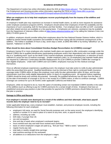The Department of Justice has online information about the ADA at *<https://www.ada.gov/>*. The California Department of Fair Employment and Housing provides online information regarding the FEHA at *[https://www.dfeh.ca.gov/wp](https://www.dfeh.ca.gov/wp-content/uploads/sites/32/2017/06/CAamendedFEHAregsEmployers20160401Final.pdf)[content/uploads/sites/32/2017/06/CAamendedFEHAregsEmployers20160401Final.pdf](https://www.dfeh.ca.gov/wp-content/uploads/sites/32/2017/06/CAamendedFEHAregsEmployers20160401Final.pdf)*.

#### **What can employers do to help their employees recover psychologically from the trauma of the wildfires and their aftermath?**

An employer's health plan may experience an increase in mental health claims, as well as more requests for assistance under employee assistance programs (EAPs). Employers should advise their employees of both the availability and the importance of such counseling, both for themselves and their families. If an employer does not offer an EAP, counseling and other related services are available on a fee-paying basis. If employees are veterans, assistance may be available from the Department of Veterans Affairs online at *<https://www.veteranscrisisline.net/>* or by calling the Veterans Crisis Line (800) 273-8255 (press 1).

In addition, employers should consider telling their employees about the free National Disaster Distress Hotline, which is staffed by trained mental health counselors and available to help those coping with the emotional consequences of the wildfires. The hotline is available 24 hours a day, seven days a week, at (800) 985-5990 or by texting "talkwithus" (or, for Spanish, "hablanos") to 66746.

### **What should be done about Consolidated Omnibus Budget Reconciliation Act (COBRA) coverage?**

Employers having 20 or more employees who maintain health plans are required to offer continuation coverage under the federal COBRA law to qualified beneficiaries (participating employees and/or their dependents) who lose health coverage due to a "qualifying event" (such as the death of the covered employee, termination of employment, or reduction of hours sufficient to cause the loss of medical coverage). Smaller employers (with 2 to 19 employees) that maintain health plans are required by California's Continuation Benefits Replacement Act (Cal-COBRA) to provide COBRA-like coverage to their eligible employees. Under both COBRA and Cal-COBRA, employees must pay for this medical coverage themselves.

Once an affected employee experiences a qualifying event, the employer must take action to notify its plan administrator within the prescribed time period. Qualified beneficiaries must be informed of their right to continued health insurance coverage under COBRA within 44 days (the employer must notify the plan administrator within 30 days, and the plan administrator must then notify eligible dependents within 14 days) of a qualifying event. All required notices regarding COBRA should be timely and carefully documented. Generally, the qualified beneficiary has 60 days from the later of (a) the date of termination of coverage or (b) his or her receipt of a COBRA notice, to elect to continue coverage. COBRA coverage can continue for up to 36 months under applicable California and federal law.

Employers, while not required to do so, have the option of extending certain non-mandated COBRA benefits in the wake of the wildfires (such as offering to pay for COBRA premiums for a certain length of time). Employers that have an established severance pay practice or plan that provides for payment for COBRA premiums should follow the terms of that plan or practice.

## **Damage to Office and Records**

#### **If an employer's records were destroyed as a result of the wildfires and their aftermath, what basic payroll records does the employer need to try to recreate?**

Under applicable federal law, every employer must establish, maintain, and preserve employee records, including the following information for each employee:

- employee's full name, as used for Social Security purposes and, on the same record, the employee's identifying symbol or number if it is used in place of a name on any time, work, or payroll records;
- address, including zip code;
- birth date, if younger than 19;
- sex and occupation;
- time and day of week when employee's workweek begins;
- hours worked each day and total hours worked each workweek;
- basis on which employee's wages are paid (e.g., "\$15 per hour," "\$600 a week," "piecework");
- regular hourly pay rate;
- total daily or weekly straight-time earnings;
- total overtime earnings for the workweek;
- all additions to or deductions from the employee's wages;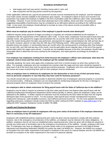- total wages paid each pay period, including money paid in cash; and
- date of payment and the pay period covered by the payment.

Under applicable California law, payroll and personnel records must be maintained by the employer, and the employer must make certain records available to the employee upon request. An employer's failure to have such records in its possession may subject the employer to liability in the form of penalties under the California Labor Code, and possible civil liability. However, if such records have been destroyed due to the wildfires, these and other circumstances suggesting impossibility of performance may be considered as an affirmative defense according to the California Labor Code. In any event, the employer should attempt to recreate as many of the above records as possible within a reasonable period of time.

## **When must an employer pay its workers if the employer's payroll records were destroyed?**

California requires timely payment of wages according to a regularly set schedule established by the employer, in compliance with the requirements of the California Labor Code. In most cases, employees must be paid at least twice per calendar month, with payment for wages earned between the 1st and the 15th of the month paid no later than the 26th day of the month during which the labor was performed, and payment for wages earned between the 16th and last day of the month, inclusive, paid for no later than the 10th day of the following month. Other payroll periods such as weekly, biweekly (every two weeks), or semimonthly (twice per month) when the earning period is something other than between the 1st and 15th, and 16th and last day of the month, must be paid within seven calendar days of the end of the payroll period within which the wages were earned. If records are not available because of the fires, the employer should make a reasonable effort to determine the hours worked by the employees, and make payment accordingly as promptly as possible.

### **If an employer has employees working from home because the employer's offices were destroyed, what does the employer need to know and how does the employer get the needed information?**

Generally speaking, the same rules apply when employees work from a remote location as when they worked in the office. For example, employees who are considered non-exempt under the wage-and-hour laws should be required to keep track of all of the hours they work for payroll and overtime purposes. Employees who incur work-related expenses in the course and scope of performing their work for their employer must be reimbursed.

### **Does an employer have to reimburse its employees for the destruction or loss of any of their personal items, such as personal computers or cars that they may have used for business purposes?**

You should consult with your insurance provider to determine whether loss of employees' personal property is covered by any insurance policy. Ordinarily, employers are not responsible for reimbursing employees for the loss or damage to personal property which an employee chose to bring to the worksite.

#### **Are employers able to obtain extensions for filing payroll taxes with the State of California due to the wildfires?**

Employers may be able to request an extension to file their state payroll taxes and deposit state payroll taxes with the California Employment Development Department (EDD) without penalty or interest, where the employer's delay can be attributed to the wildfires. A written request for extension must be received by the EDD within 60 days from the original delinquent date of the payment or return. For this purpose, state payroll taxes include unemployment insurance, employment training tax, state disability insurance, and California personal income tax. For the most updated information regarding extensions, employers should contact the EDD by either visiting the EDD's website at *www.edd.ca.gov* or by calling the EDD Taxpayer Assistance Center at (888) 745-3886.

## **Layoffs and Closing the Business**

### **Does an employer have to provide its employees with any prior notice of termination if the employer determines that it is necessary to lay off employees?**

Employers with established policies requiring that prior notice be given may be required to comply with their policies; however, due to the emergency circumstances of the wildfires, an employer may be relieved of its notice obligations. In addition, employers that do not have an established policy requiring that prior notice be given will not likely be required to provide any notice prior to termination due to the emergency circumstances of the wildfires. Usually, employers with more than 75 employees may have an obligation to provide certain notice to its employees pursuant to the federal Worker Adjustment and Retraining Notification (WARN) Act and/or the state Cal-WARN Act. However, the WARN Act contains an exception from the notice requirement if the layoff or shutdown is the result of a natural disaster and the Cal-WARN Act provides an exception to the notice requirement in the event of a physical calamity.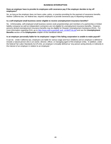#### **Does an employer have to provide its employees with severance pay if the employer decides to lay off employees?**

No, as long as the employer does not have a plan, policy, or practice providing for the payment of severance benefits. Neither California law, nor federal law, requires employers to provide severance pay to departing employees.

### **Is a self-employed small business owner eligible to receive unemployment insurance benefits?**

No. Unfortunately, self-employed small business owners (sole proprietorships and members of a partnership or limited liability company) as well as independent contractors are not eligible for unemployment insurance benefits. However, persons denied unemployment insurance benefits may be eligible for Disaster Unemployment Assistance (DUA). For more information regarding DUA, go to *[http://www.edd.ca.gov/pdf\\_pub\\_ctr/de8714y.pdf](http://www.edd.ca.gov/pdf_pub_ctr/de8714y.pdf)* and see the **Unemployment Benefits** section of the **Employment** chapter of this handbook above.

## **Is an employer personally liable for its employees' wages if the failing corporation is unable to make payroll?**

It can be. Under California law, employers are liable for various wage and hour violations and an employer is defined to include a natural person who is an owner, director, officer, or managing agent of the employer entity. In addition, under the federal Fair Labor Standards Act (FLSA), an employer is broadly defined as "any person acting directly or indirectly in the interest of an employer in relation to an employee."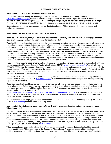### **What should I do first to address my personal finances?**

If you haven't already, among the first things to do is to register for assistance. Registering online at *[www.DisasterAssistance.gov](https://www.disasterassistance.gov/)* is the quickest way to register for FEMA assistance. If you are unable to access the Internet, you can also call (800) 621-3362. In addition to providing a way to register, the website provides lots of helpful information on mortgages for rebuilding, how to replace paper savings bonds, and many other valuable references.

Be sure to save all receipts for expenses incurred due to the disaster. This is important for insurance, taxes, and assistance programs.

## **DEALING WITH CREDITORS, BANKS, AND CASH NEEDS**

#### **Because of the wildfires, I may not be able to pay off some or all of my bills on time or make mortgage or other loan payments, especially in the short term. What should I do?**

You should immediately contact creditors, financial institutions, and any other parties to whom you owe or will owe money in the short term to alert them that you have been affected by the fires, discuss your specific circumstances with them, and request that payments be reduced or delayed while you attempt to recover. Many banks and lenders already have a hardship or natural disaster plan in place that they can apply to your account which may allow you to forego payment without it affecting your credit report for a few months. Some credit card lenders may have similar mechanisms and may also agree to provide increases to your credit limits. In both cases, consider whether you need to update your contact information. In all events, each financial institution will have different policies so take detailed notes about who you are speaking with and what they are saying and follow up any conversation with a letter or email that reiterates the substance of your conversation and any agreements reached during the conversation.

If you don't have your mortgage lender's contact information, your monthly mortgage statement, or coupon book with you, you can search the Mortgage Electronic Registration Systems (MERS) (*[www.mers-servicerid.org/sis/](http://www.mers-servicerid.org/sis/)*) or call toll free (888) 679-6377 to find the company that services your mortgage. Also, deed and mortgage records are maintained by the Clerk-Recorder's Office for the county where the property is located. If the deed or mortgage was filed for record, it will be accessible there. (For a list of contact information for County Recorder's Offices, see the **Document & Record Replacement** chapter of this handbook.)

If you have a California Department of Veterans Affairs (CalVet) loan and have suffered damage caused by a disaster, contact CalVet at (800) 626-1613 or *[www.calvet.ca.gov](https://www.calvet.ca.gov/)*. CalVet homeowner insurance also provides for temporary living expenses for evacuations.

Depending upon the type of loan you have, your lender may be willing to temporarily reduce or suspend your payments; this is referred to as *forbearance*. You may contact your lenders to see whether such forbearance relief has been or will be granted as a result of the wildfires and/or, if you have an FHA mortgage, you can contact the U.S. Department of Housing and Urban Development (HUD)

(*[https://portal.hud.gov/hudportal/HUD?src=/program\\_offices/housing/sfh/nsc/qaho0121](https://portal.hud.gov/hudportal/HUD?src=/program_offices/housing/sfh/nsc/qaho0121)*). If you have student loans, ask your student loan servicer if you qualify for a temporary forbearance. Federal student loan borrowers may be eligible for up to three months of forbearance*.*

In addition to the above steps, you can also contact the National Foundation for Credit Counseling at (800) 388-2227 or online at *[www.nfcc.org](https://www.nfcc.org/)* to obtain credit counseling services.

#### **As a result of the wildfires, my credit card, ATM card, and/or checks and related statements were destroyed. What should I do?**

If you don't have an ATM card or your bank information, checks, or cards have been destroyed, the first step should be to contact a branch of your bank. Most banks and credit card companies have toll-free numbers to report lost or stolen cards. If you need replacement checks or bank statements but have no identification, you should go to the branch where you opened the account. For your bank's contact information or information on how to gain access to your funds, or to obtain additional information you can call the Federal Deposit Insurance Corporation (FDIC) on its toll-free hotline from 8:00 a.m. – 8:00 p.m. ET, Monday – Friday, or from 9:00 a.m. – 5:00 p.m. ET, Saturday and Sunday, at (877) ASK-FDIC or (877) 275-3342, or visit their website at *[www.fdic.gov](http://www.fdic.gov/)*.

When personal documents and credit cards are floating around, authorities suggest that people should be on guard against identity theft. This is addressed in the **Consumer Tips & Fraud Prevention** chapter of this handbook. In addition, you may want to add a free fraud alert on their credit report. To do this, contact TransUnion: (800) 680-7289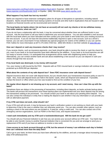(*[www.transunion.com/fraud-victim-resource/place-fraud-alert](https://www.transunion.com/fraud-victim-resource/place-fraud-alert)*), Experian: (888) 397-3742 (*[www.experian.com/fraud/center.html](http://www.experian.com/fraud/center.html)*), or Equifax: (888) 766-0008 (*[www.alerts.equifax.com](http://www.alerts.equifax.com/)*).

## **What happens if my bank has lost my records?**

Banks are required to have extensive contingency plans for all types of disruptions to operations, including natural disasters. Banks should therefore have backup systems of records and other built-in duplications that are housed in safe locations so financial records can be reconstructed and restored.

#### **The local banks (or banks where I do not have an account) will not cash my checks or let me withdraw money from teller stations; what can I do?**

If you do not have a relationship with the bank, it may be concerned about whether there are sufficient funds in your account. Ask the local bank to call your bank to determine your account balance. You can also establish a new account with the local bank where you have relocated and then contact your prior bank to wire funds from your existing account to the new account. If you do not have the documents traditionally required to open a new account, such as a driver's license, you can ask a local bank if it has instituted any special programs for victims of the wildfires or you can call the FDIC hotline for more information at (877) 275-3342 (TDD line: (800) 925-4618) or visit their website at *[www.fdic.gov](http://www.fdic.gov/)*.

### **How can I deposit or cash any insurance checks that I may receive?**

If you receive checks, such as insurance payments, your bank should be able to receive the check or cash the check for you, even if your bank or its local branches have been affected by the wildfires. If your bank or its local branches are still not ready to receive checks, it is anticipated that arrangements will be made with neighboring banks to help you. Alternatively, you can contact another bank and ask about establishing a new account so you can deposit or cash your checks through that new account.

### **If my local bank was destroyed, is my money still insured?**

Yes, your money is still insured by the FDIC. Deposits with an FDIC-insured bank or savings institution will continue to be protected up to \$250,000 per depositor.

### **What about the contents of my safe deposit box? Does FDIC insurance cover safe deposit boxes?**

Deposit insurance does not cover safe deposit boxes, but you should check your homeowners insurance policy to see if it might. Also, most safe deposit boxes are held in the banks' vaults, which are fireproof and waterproof. If possible, contact the branch or office where your box was located to find out the condition of your box.

#### **My regular direct deposit is not showing up in my account, and I need money. How can I clear this up with the bank?**

Sometimes there are delays in the processing of transactions, including direct deposits, as banks activate backup plans. The banks will process the transactions once these backup plans are implemented and your direct deposit may be among the transactions waiting to be processed. You should contact your bank to ask about your pending direct deposit. You can also contact the individual or entity that is making the deposit to ask whether it has any information or can provide you with an alternative payment.

#### **If my ATM card does not work, what should I do?**

If your ATM card will not work, it may be because your bank's verification system is not working so check with your bank to determine if that is the case or whether they can otherwise assist you. You can also consider other options, such as cashing a check in the area where you are located or, if need be, using a credit card. You can also contact one of the emergency service organizations, such as FEMA or the Red Cross, and request assistance.

#### **I need cash immediately and my ATM card is lost/stolen/destroyed. Will the bank let me get cash?**

You should call your financial institution to ask how you can access your account without an ATM card. Your bank may be able to wire transfer money to another financial institution that is convenient for you and can arrange to send you a replacement ATM card (if you have an address to receive a new card).

#### **I have access to my bank account through an ATM, but the amount of money I can withdraw each day is limited. How can I withdraw more than the daily limit?**

Call or go to your bank, let them know you have been affected by the wildfires, and ask a manager about increasing your daily ATM withdrawal limit.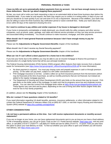#### **I have my bills set up to automatically deduct payments from my account. I do not have enough money to cover those deductions. How do I go about stopping these payments?**

By law, you must call or write your bank requesting a stop on an automated debit at least three business days before the scheduled debit. If you make an oral request, the bank may require you to confirm it in writing within 14 days of your call and you should do so more quickly if you can and even if it is not a requirement. Because of the wildfires, your bank may also be willing to waive the three business day notification period or waive overdraft fees. Notify your bank about any errors within 60 days of the statement showing the error.

## **Do I need to continue to pay utilities and similar expenses if my house is damaged or destroyed?**

If your home is temporarily uninhabitable or totally destroyed, you should notify the utility company and other service companies, such as phone, water, garbage, and cable and Internet service providers so they can stop service provision and associated billing immediately. You should continue to make insurance, mortgage, and other payments.

### **What should I do if I need general financial assistance because I don't have enough money to pay for necessities?**

Please see the **Adjustments to Regular Government Benefits** chapter of this handbook.

**What should I do if I don't receive my Social Security payment?**

Please see the **Adjustments to Regular Government Benefits** chapter of this handbook.

## **What can I do if I can't afford a down payment for a home lost in the wildfires?**

If you lost your home due to the wildfires you may be able to use an insured mortgage to finance the purchase or reconstruction of a single family home that will be your principal residence.

The Federal Housing Administration (FHA) Section 203(h) program offers features that make recovery from a disaster easier for homeowners (see *[https://www.hud.gov/program\\_offices/housing/sfh/ins/203h-dft](https://www.hud.gov/program_offices/housing/sfh/ins/203h-dft)* for more information):

- No down payment is required. You must pay closing costs and prepaid expenses in cash or through premium pricing. Or the seller can pay them, subject to a 6% seller concessions limit.
- FHA mortgage insurance is not free. Lenders collect an up-front insurance premium from the borrowers (which may be financed) at the time of purchase, as well as monthly premiums that are not financed, but instead are added to the regular mortgage payment.
- The Department of Housing and Urban Development (HUD) sets limits on the amount that may be insured. FHA sets limits on the dollar value of the mortgage, to make sure that its programs serve low and moderate income people. You can view the current FHA mortgage limits online at *<https://entp.hud.gov/idapp/html/hicostlook.cfm>*. These figures vary over time and by place, depending on the cost of living and other factors (higher limits also exist for two to four family properties).

(In addition, please see the **Housing** chapter of this handbook.)

## **Who do I contact if I have questions related to VA benefits?**

If you need information regarding VA death benefits, pensions, insurance settlements, or other information related to VA, contact the Federal Department of Veterans Affairs (VA) at (800) 827-1000, or visit their Inquiry Routing and Information System (IRIS) website at *<https://iris.custhelp.com/app/home>*.

## **OTHER CONSIDERATIONS**

#### **I do not have a permanent address at this time. Can I still receive replacement documents or monthly account statements?**

If you are no longer at your home, you can have replacement documents sent to you as long as you have a fixed address. To file a forwarding request, you can go to Quick Tools on the U.S. Postal Service website, *[www.usps.com,](https://www.usps.com/)* visit any post office, or call (800) 275-8777 (TDD/TTY: call (800) 877-8339 and ask for (800) 275-8777). In Quick Tools you also have the option to place your mail delivery on hold. To find out whether your post office is open and whether you will receive mail delivery, see *[https://www.usps.com/.](https://www.usps.com/)*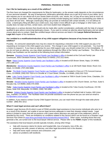### **Can I file for bankruptcy as a result of the wildfires?**

The fires have not changed the requirements for filing for bankruptcy, so the answer really depends on the circumstances of your personal situation. By way of background, bankruptcy generally allows you to get rid of most of your debts, but it also requires you to use almost all of your assets (bank accounts, cars, stocks, etc.) to pay off as many (and as much of) of your debts as possible. Other bankruptcy options currently include keeping your assets but rescheduling your debts to pay them off over time. Although a bankruptcy filing can provide an individual with certain benefits, it is not without its costs: a bankruptcy filing will affect your credit score, may make it more difficult to get a mortgage or other loans, and usually does not wipe out fines, certain taxes, and most student loan obligations.

Bankruptcy is a serious decision that should only be made after careful consideration, preferably with the help of a lawyer qualified to give advice concerning bankruptcy issues. If you want to contact an attorney about bankruptcy and are about unsure about who to contact, State Bar-certified lawyer referral services are listed in the **Lawyer Referral Services & Legal Aid** chapter of this handbook.

#### **Am I entitled to a modification/reduction of my child support obligations because of my losses due to the wildfires?**

Possibly. An uninsured catastrophic loss may be a basis for requesting a reduction in the child support you pay or for requesting an increase in the child support you receive. The change in your child support is not automatic. You must file a motion to request it. If you have an attorney for your child support case, you should contact him or her immediately. If you do not have an attorney, you may obtain assistance through the Office of the Family Law Facilitator. The Office of the Family Law Facilitator can be reached at the following local contact information:

*Sonoma: [Sonoma County Superior Court Family Law Facilitator's office](http://sonoma.courts.ca.gov/self-help/family-law-facilitator)* is located at the Civil and Family Law Courthouse, 3055 Cleveland Avenue, Santa Rosa CA 95403, (707) 521-6545.

*Napa: [Napa County Superior Court Family Law Facilitator's office](http://www.napa.courts.ca.gov/divisions/family)* is located at 825 Brown Street, Napa, CA 94559, (707) 299-1137.

*Mendocino: [Mendocino County Superior Court Family Law Facilitator's office](http://www.mendocino.courts.ca.gov/divisions/family/family.asp)* is at 100 North State Street, Room 212, Ukiah, CA 95482, (707) 463-5666.

*Butte: [The Butte County Superior Court Family Law Facilitator's offices](http://www.buttecourt.ca.gov/Departments/FamilyLaw/)* are located in Chico at 1775 Concord Avenue Chico, CA 95928, (530) 532-7024 or in Oroville at 1 Court Street, Oroville, CA 95965, (530) 532-7015.

*Lake: [Lake County Superior Court Family Law Facilitator's office](http://www.lake.courts.ca.gov/sh/index.htm)* is located at 7000-A South Center Drive, Clearlake, CA 95422, (707) 994-6598 Option #3.

*Nevada: [Nevada County Superior Court Family Law Facilitator's office](http://nccourt.net/divisions/fam-support.shtml)* is located at 201 Church Street, 1st Floor, Suite 9, Nevada City, CA 95959, (530) 470-2594.

*Yuba: [Yuba County Superior Court Family Law Facilitator's office](http://www.yubacourts.org/self-help/family-law-facilitator)* is located at the Yuba County Courthouse, 215 5th Street, Suite 318, Marysville, CA 95901, (530) 740-1850.

*Solano: [Solano County Superior Court Family Law Facilitator's office](http://www.solano.courts.ca.gov/Courts/SolanoLegalAccessCenterSLACandFamilyLawFacilitator.html)* is located at Fairfield Hall of Justice, 600 Union Ave., Fairfield, CA 94533. The Facilitator does not provide assistance over the phone but you can send an email to *[FLF@solano.courts.ca.gov](mailto:FLF@solano.courts.ca.gov)*.

In addition, if you need to contact County Child Support Services, you can reach them through the state-wide phone number: (866) 901-3212.

## **What if I need legal services and can't afford them?**

Disaster Legal Services (DLS) which is part of FEMA provides legal assistance to low-income individuals who prior to or as a result of the disaster, are unable to secure legal services adequate to meet their disaster-related needs. Legal advice is limited to cases that will not produce a fee (cases where attorneys are paid part of the settlement, which is awarded by the court). There are limitations on conditions related to this service which can be found on a Disaster Legal Services Fact Sheet at *[www.fema.gov/media-library/assets/documents/24413](https://www.fema.gov/media-library/assets/documents/24413)*. Other cases, including those that may generate a fee, are turned over to the local lawyer referral service. Please refer to the **FEMA** chapter of this handbook.

The assistance that local lawyers provide typically includes, among other things:

- help with insurance claims for doctor and hospital bills, loss of property, loss of life, etc.;
- preparing new wills, powers of attorney, and other legal documents lost in the disaster;
- help with home repair contracts and contractors; and
- advice on problems with landlords.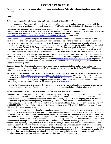If you do not have a lawyer or cannot afford one, please see the **Lawyer Referral Services & Legal Aid** chapter of this handbook.

# **TAXES**

### **Can I defer filing my tax returns and paying taxes as a result of the wildfires?**

In some cases, yes. The answer will depend on whether the relevant tax return and payment obligation are with the federal government or another authority (such as the State of California), and the relief offered by that specific authority.

The federal government has declared Butte, Lake, Mendocino, Napa, Nevada, Sonoma, and Yuba Counties as presidential disaster areas because of recent wildfires. As a result, individuals who reside in or have businesses in any of these counties may be entitled to extended federal tax filing and payment deadlines. (See *<https://www.irs.gov/newsroom/tax-relief-for-victims-of-wildfires-in-california>* for more details.)

As of October 20, 2017, certain filing and payment deadlines that had an original or extended due date on or after October 8, 2017 and before January 31, 2018 have been extended. This extension applies to individual, corporate, and estate and trust income tax returns; partnership returns, S corporation returns, and trust returns; estate, gift, and generation-skipping transfer tax returns; and employment and certain excise tax returns that had an original or extended due date on or after October 8, 2017 and before January 31, 2018. Further, as a result of the extension, failure to make estimated income tax payments originally due on or after October 8, 2017, and before January 31, 2018, will not result in penalties for failure to pay estimated tax installments as long as such payments are paid on or before January 31, 2018.

By contrast, no extension has been provided for information returns in the W-2, 1094, 1095, 1097, 1098, or 1099 series; Forms 1042-S, 3921, 3922 or 8027; or employment or excise tax deposits. For a complete list of extensions provided by the IRS, see Revenue Procedure 2007-56, available online at *<https://www.irs.gov/pub/irs-irbs/irb07-34.pdf>* (beginning on page 388). If an item is not listed as having an extension in this Revenue Procedure, then you should assume that no extension has been granted.

Before relying on the information above, you are strongly urged to obtain updated information by consulting your accountant or other tax advisor, checking the IRS website at *[www.irs.gov](https://www.irs.gov/)*, or calling the IRS at (800) 829-1040 (Monday-Friday, 7:00 a.m. – 7:00 p.m. local time).

For California taxes, the Franchise Tax Board (FTB) has announced special tax relief for California taxpayers impacted by the wildfires (see *<https://www.ftb.ca.gov/aboutFTB/press/2017/09-10132017.shtml>* for more details). Affected taxpayers are granted an extension to file 2016 California tax returns and make payments until January 31, 2018. For other filings, including estimated tax payments, the FTB appears to automatically follow federal postponement periods for any presidentially declared disasters. For more information, go to *[www.ftb.ca.gov.](https://www.ftb.ca.gov/)*

In addition to obtaining extensions, you may be able to reduce one or more tax liabilities based on property loss you have suffered as a result of wildfires. Please see the response to the next question below for further information.

## **My property was damaged. Does this reduce how much federal income tax I will owe?**

You may be able to lower your federal income tax liabilities by taking "casualty loss" deductions for property damaged or destroyed due to casualties, such as the wildfires. The amount of your deduction depends on your adjusted gross income, the nature of your property (personal-use versus business-use), your basis in the property, and in the case of business-use property, whether the property is completely destroyed. Because the rules described below are complicated, you should consult with your accountant or tax advisor about them if you can; you can also contact the IRS at (800) 829-1040 (Monday – Friday, 7:00 a.m. – 7:00 p.m. local time) or the FTB at (800) 852-5711 (Monday – Friday,  $7:00$  a.m.  $-5:00$  p.m.) for assistance.

Calculating your casualty loss deductions for personal-use property requires measuring the loss separately for each item of damaged or destroyed property. If your land or any of your buildings were damaged or destroyed, you should generally calculate your loss and your basis by treating the real property and buildings as a single item of property for this purpose. The amount of loss for each piece of personal property that was damaged should generally be calculated separately. The amount of casualty losses for a piece of damaged or destroyed property should generally equal the amount of the decline in value of the relevant property. You will not be able to deduct this full amount. Instead, you must first reduce the loss for each piece of property by any insurance or other reimbursement you receive or expect to receive in respect of that property. Second, the amount of loss for each piece of property should be further reduced by another \$100 (but it should not be reduced below zero). The amount of the casualty loss deduction for the piece of property in question will equal the resulting amount unless the resulting amount exceeds your "basis" in the property. If the resulting amount is greater than your basis, then your deduction must be reduced so that it equals your basis in the relevant property. An individual's basis in personal-use property usually equals the amount that was paid for that property.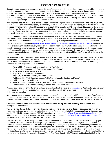Casualty losses for personal-use property are "itemized" deductions, which means that they are not available if you take a "standard" deduction. Further, personal casualty loss deductions can be used only to the extent that they exceed the sum of (i) any "personal casualty gains" and (ii) 10% of your adjusted gross income for the relevant tax year. Solely for purposes of calculating this sum, you may deduct all personal casualty loss deductions to the extent that they equal your personal casualty gains. Generally, personal casualty gains will equal the excess of any insurance proceeds you receive in respect of a piece of property over that property's basis.

With respect to casualty losses of business or income-producing property (such as rental property), the amount you may deduct depends on whether the property is completely destroyed. If it is not completely destroyed, first determine: (1) the decrease in the fair market value of the property as a result of the casualty and (2) your adjusted tax basis in the property, and then, from the smaller of these two amounts, subtract any insurance or other reimbursement you received or expect to receive. Conversely, if the property is completely destroyed, your loss is your adjusted basis in the property, reduced by any salvage value and any insurance or other reimbursement you received or expect to receive.

If your property is covered by insurance (regardless of whether it is personal-use or business-use property), you should file a timely insurance claim for reimbursement of the loss. Otherwise, you will not be able to deduct the amount of the loss for which you failed to claim coverage. (This does not apply to any portion of the loss not covered by insurance.)

According to the IRS website at *<https://www.irs.gov/newsroom/tax-relief-for-victims-of-wildfires-in-california>*, you have the option of claiming fire-related casualty losses on your federal income tax return for either 2016 or 2017. Claiming such casualty losses on an amended return for 2016 may qualify you for a refund now, but waiting to claim the losses on your 2017 return could result in a greater tax saving, depending on other income factors. If you want to claim such casualty losses on an amended return for 2016, you should write "Disaster-Northern CA Wildfires 2017" in red ink at the top of the amended return.

For more information on casualty losses, please refer to IRS Publication 2194, "Disaster Losses Kit for Individuals – Help From the IRS," or IRS Publication 2194B, "Disaster Losses Kit for Business – Help from the IRS." These publications contain information about IRS tax services, forms and publications that will assist you with your loss. In addition, you may also need the following forms and publications:

- Form 1040X, "Amended U.S. Individual Income Tax Return"
- Form 1120X, "Amended U.S. Corporation Income Tax Return"
- Form 4684, "Casualties and Thefts"
- Topic 507, "Casualty and Theft Losses"
- Topic 515, "Casualty, Disaster, and Theft Losses"
- Publication 536, "Net Operating Losses (NOLs) for Individuals, Estates, and Trusts"
- Publication 547, "Casualties, Disasters, and Thefts"
- Publication 584, "Casualty, Disaster, and Theft Loss Workbook (Personal-Use Property)"
- Publication 584B, "Business Casualty, Disaster, and Theft Loss Workbook"

You may download and print IRS forms and publications from the IRS website at *[www.irs.gov](https://www.irs.gov/)*. Additionally, you are again encouraged to consult with an accountant, tax lawyer, or other tax advisor, as the rules governing casualty loss deductions are complex.

*Note: With respect to property taxes on real property damaged or destroyed in the wildfires, see the <b>Housing <i>chapter* of this handbook. *With respect to California state income taxes, see the next question immediately below. To determine whether insurance proceeds are taxable, see the second question below ("Will I be taxed on my insurance proceeds?").*

### **Can I take a deduction on my California state income taxes for my personal property that has been lost, damaged, or destroyed?**

Taxpayers may claim a deduction on their California state income tax returns for a disaster loss sustained in an area proclaimed by the governor to be in a state of emergency. For a complete list of all disasters declared by the governor, see the "Qualified Disasters" chart on FTB's Disaster Loss web page at *<https://www.ftb.ca.gov/individuals/disaster.shtml>*. Additional information and instructions are available in FTB Pub. 1034 at *<https://www.ftb.ca.gov/forms/misc/1034.pdf>*, "How to Claim a State Tax Deduction for Your Disaster Loss."

California disaster-loss rules apply to victims in governor-declared or presidentially declared disaster areas. Taxpayers may claim a disaster loss in one of two ways: (1) they may claim the disaster loss in the tax year that the disaster occurred, when they file their 2017 tax return next spring, or (2) taxpayers may claim the loss in the tax year before the disaster occurred by filing either an amended or original 2016 tax return. The advantage of claiming the disaster loss in the prior tax year is that the FTB can more quickly issue a refund, but waiting to claim the losses on your 2017 return could result in a greater tax saving, depending on other income factors. In order to expedite your refund, you should print the name of the disaster (for example, "Disaster-Tubbs Fire, Napa County, 2017") in red ink at the top of side 1 of the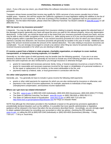return. If you e-file your tax return, you should follow the software instructions to enter the information above when prompted.

Taxpayers whose losses exceed their income *may* qualify for 100% carryover of any excess casualty loss to future taxable years. However, this will first require the California Legislature to enact legislation adding the wildfires to the list of eligible disasters for such treatment. At the time of printing of this handbook, the Legislature had not yet enacted such legislation. For the latest information, please check the California Franchise Tax Board's website at *[www.ftb.ca.gov](http://www.ftb.ca.gov/)* or call (800) 852-5711.

# **Will I be taxed on my insurance proceeds?**

It depends. You may be able to offset proceeds from insurance relating to property damage against the adjusted basis of the damaged property (generally your basis will equal the price you paid for the relevant property, minus any depreciation deductions). In that case, you would be taxed only to the extent that your insurance proceeds exceed your basis, and you may be able to elect to defer recognition of that income (i.e., defer paying taxes on it) if you use the proceeds to purchase similar property within a specified time period. If you receive insurance proceeds for a loss for which you have already claimed a casualty loss deduction, the insurance proceeds will generally be taxable in the year of receipt. Additional rules apply if the amount received exceeds the amount of the claimed deduction. The rules relating to insurance recoveries are complicated. You are strongly encouraged to consult a tax advisor when filing tax returns for periods during which you received insurance proceeds or for which you are electing to defer gain.

### **If I receive a grant from a federal or state program, charitable organization, or employer to cover medical, transportation, or temporary housing expenses, is it taxable?**

Generally no, but other types of relief payments may be taxable (see the following question). If you are in an area declared a disaster due to the fire, you generally do not have to include any of the following receipts in gross income, unless the same expenses are also reimbursed to you through insurance or otherwise through:

- grants for reasonable and necessary personal, family, living, or funeral expenses incurred as a result of the fire;
- grants for reasonable and necessary expenses incurred for the repair or rehabilitation of a personal residence, or for the repair or replacement of its contents, to the extent attributable to the fire; and
- payments made by a federal, state, or local government in connection with the fire.

## **Are other relief payments taxable?**

Generally, yes. You generally do have to include in gross income the following relief payments:

- grants or other relief payments for expenses for which you are also reimbursed by insurance or otherwise; and
- payments in the nature of income replacement, for example, payments to individuals of lost wages, unemployment compensation, and business income replacement.

## **Where can I get more tax-related information?**

- The IRS: *[www.irs.gov](https://www.irs.gov/)* or (800) 829-1040 (individuals), (800) 829-4933 (businesses), (800) 829-4059 (TTY/TDD)
- The State of California Franchise Tax Board: *[www.ftb.ca.gov](https://www.ftb.ca.gov/)* or (800) 338-0505 or (800) 852-5711
- The State of California Board of Equalization: *[www.boe.ca.gov](http://www.boe.ca.gov/)* or (800) 400-7115 and see *<http://www.boe.ca.gov/proptaxes/faqs/disaster.htm>* for FAQs on Disaster Relief.

NOTE that although the information provided in this handbook is based on the general tax provisions applicable to presidentially declared disasters such as the wildfires, it is possible that more specific administrative or legislative guidance will be released in the future that alters the tax provisions described herein. Accordingly, you are strongly urged to obtain updated information by consulting your accountant or other tax advisor, checking the IRS website at *[www.irs.gov](https://www.irs.gov/)*, or calling the IRS at (800) 829-1040 (individuals) or (800) 829-4933 (businesses) (Monday ‒ Friday, 7:00 a.m. – 7:00 p.m. local time).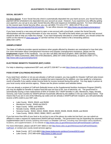## **ADJUSTMENTS TO REGULAR GOVERNMENT BENEFITS**

## **SOCIAL SECURITY**

For direct deposit: If your Social Security check is automatically deposited into your bank account, your Social Security payment will be scheduled to be deposited into your account as usual. However, if you experience any difficulty getting your payment, you can go to any open Social Security office and request an immediate payment. For more information on the nearest open Social Security office, you can call (800) 772-1213 (TTY: (800) 325-0778) or visit *<https://secure.ssa.gov/apps6z/FOLO/Controller>*. To see office closures visit *<https://www.ssa.gov/agency/emergency/>*.

If you have moved to a new area and want to open a new account with a local bank, contact the Social Security Administration with the routing information of your new account. The staff at the bank where you open the new account should be able to help you make this change. If you have temporarily relocated to a fixed address, you should contact the USPS on the Internet at *[www.usps.gov/](http://www.usps.gov/)* or call their toll-free 24-hour hotline to file a forwarding address: (800) ASK-USPS.

### **UNEMPLOYMENT**

The State of California provides special assistance when people affected by disasters are unemployed or lose their jobs. For more information about Unemployment Insurance and Disaster Unemployment Assistance, please see the **Employment** chapter of this handbook. You can also call (800) 300-5616 (English), (800) 326-8937 (Spanish), (800) 547-3506 (Cantonese), (866) 303-0706 (Mandarin), (800) 547-2058 (Vietnamese), or (800) 815-9387 (TTY). *<http://www.edd.ca.gov/unemployment/>*.

## **ELECTRONIC BENEFITS TRANSFER (EBT) CARDS**

For help in obtaining a replacement EBT card, call (877) 328-9677 or visit *<https://www.ebt.ca.gov/caebtclient/lostcard.jsp>*.

## **FOOD STAMP (CALFRESH) RECIPIENTS**

If you need food, whether or not you are already a CalFresh recipient, you may qualify for Disaster CalFresh (also known as "D-CalFresh"). If you are not already a recipient but were impacted by the wildfires, you may qualify for a temporary month of benefits if you satisfy certain income limits for income received during this period. You may apply in person at your local county social services agency. Please see the phone numbers and websites below.

If you are already a recipient of CalFresh (federally known as the Supplemental Nutrition Assistance Program (SNAP)), you may be eligible for benefits to replace food that was lost due to fire, loss of electricity, etc. The government is automatically issuing a mass replacement of 60% of October 2017 SNAP benefits in Lake, Mendocino, Napa, Nevada, Sonoma, and Yuba Counties for SNAP/CalFresh households affected by the wildfires in the zip codes listed below. That means that if you are in one of the following zip codes and are already a SNAP/CalFresh recipient, you will automatically receive a 60% credit to your EBT card.

- Lake County: 95424, 95443, and 95458
- Mendocino County: 95469 and 95470
- Napa County: 94581 and 94558
- Nevada County: 95946 and 95975
- Sonoma County: 95452, 94515, 95492, 95442, 95403, 95406, 95439, 95409, and 95433
- Yuba County: 95918, 95922, 95962, 95972, and 95977

If you lost more than 60% of your food or do not live in one of the above zip codes but lost food, you can submit an affidavit to make a request for replacement SNAP/CalFresh benefits. The government may be expanding the automatic supplementation and is actively updating information on Disaster CalFresh, including new information about deadlines, locations, and supplementation, on its website at *<http://www.cdss.ca.gov/inforesources/CalFresh/Disaster-CalFresh>*.

For more information, please call (877) 847-3663 or visit *[http://www.cdss.ca.gov/inforesources/CalFresh/Disaster-](http://www.cdss.ca.gov/inforesources/CalFresh/Disaster-CalFresh)[CalFresh](http://www.cdss.ca.gov/inforesources/CalFresh/Disaster-CalFresh)*, or contact your county social services agency:

- Butte County: (877) 410-8803 (*<http://www.buttecounty.net/dess/ConnectDESS.aspx>*)
- Lake County: (707) 995-4200 (*<http://www.co.lake.ca.us/>*)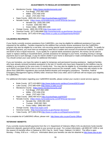# **ADJUSTMENTS TO REGULAR GOVERNMENT BENEFITS**

- Mendocino County: (*<https://www.mendocinocounty.org/>*)
	- Fort Bragg: (707) 962-1000
	- Willits: (707) 456-3700
	- Ukiah: (707) 463-7700
- Napa County: (800) 464-4214 (*<http://countyofnapa.org/HHSA/>*)
	- Nevada County: (*<https://www.mynevadacounty.com/879/Social-Services>*)
		- Nevada City: (530) 265-1340
		- Truckee: (530) 582-7803
		- Grass Valley: (888) 809-1340
	- Orange County: (800) 281-9799 (*[http://ssa.ocgov.com](http://ssa.ocgov.com/)*)
- Sonoma County: (877) 699-6868 (*<http://sonomacounty.ca.gov/Human-Services/>*)
- Yuba County: (877) 652-0739 (*<http://www.co.yuba.ca.us/Departments/HHSD/>*)

### **CALWORKS RECIPIENTS**

If your family currently receives assistance from CalWORKs, you may be eligible for additional assistance if you were impacted by the wildfires. Families impacted by the wildfires that currently receive assistance from the CalWORKs program may also be eligible for a one-time, non-recurring special needs assistance payment of up to \$600. To qualify for this special payment, you must have an emergency need due to sudden and unusual circumstances beyond your control and \$100 or less in liquid resources. If you qualify for a special needs assistance payment, the money can be used to repair or replace clothing or household items, provide assistance for damage to your home, including moving or storage payments due to such damage, or pay for interim shelter if your home is destroyed or made uninhabitable or inaccessible. You should contact your case worker for additional information.

If you are homeless, you have the option to apply for temporary and permanent housing assistance. Applicant families who have already received homeless assistance in the last 12 months who have been impacted by the wildfires may be entitled to an exception to the once every 12 months limit. You may also be eligible for an immediate needs payment of up to \$200 if you have \$100 or less in non-exempt liquid resources (for example, cash). Please note with respect to the above that CalWORKs regulations also exclude federal disaster and emergency assistance. Therefore, Federal Emergency Management Agency (FEMA) relief, American Red Cross relief, and D-CalFresh will not impact your eligibility for CalWORKs.

For additional information regarding your CalWORKS benefits, please contact your county's social services agency:

- Butte County: (877) 410-8803 (*<http://www.buttecounty.net/dess/ConnectDESS.aspx>*)
	- Lake County: (707) 995-4200 (*<http://www.co.lake.ca.us/>*)
- Mendocino County: (*<https://www.mendocinocounty.org/>*)
	- Fort Bragg: (707) 962-1000
	- Willits: (707) 456-3700
	- Ukiah: (707) 463-7700
- Napa County: (800) 464-4214 (*<http://countyofnapa.org/HHSA/>*)
	- Nevada County: (*<https://www.mynevadacounty.com/879/Social-Services>*)
		- Nevada City: (530) 265-1340
		- Truckee: (530) 582-7803
		- Grass Valley: (888) 809-1340
- Orange County: (*[http://ssa.ocgov.com](http://ssa.ocgov.com/)*)
- Sonoma County: (*<http://sonomacounty.ca.gov/Human-Services/>*)
- Yuba County: (877) 652-0739 (*<http://www.co.yuba.ca.us/Departments/HHSD/>*)

For a complete list of CalWORKS offices, please visit: *<http://www.cdss.ca.gov/County-Offices>*.

#### **VETERANS' BENEFITS**

If you currently receive benefit payments from the U.S. Department of Veterans Affairs (VA) via electronic funds transfer (electronic deposit), payment will be made to your account as usual. For contact information, call (800) 827-1000 or visit the nearest VA benefits office in Oakland at 1301 Clay St., North Tower, Oakland, CA 94612. The office is open Monday – Friday, 9:00 a.m. – 4:00 p.m. Information about your benefits can also be obtained at *[http://www.vba.va.gov.](http://www.vba.va.gov/)*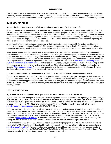## **IMMIGRATION**

The information below is meant to provide some basic answers to immigration questions and related issues. Individuals with immigration-related questions are strongly encouraged to consult an attorney since this is a complicated area of law. Please see the **Lawyer Referral Services & Legal Aid** chapter of this handbook, for legal services available in your area.

# **ELIGIBILITY FOR RELIEF**

### **Do I need to be a U.S. citizen or lawfully present immigrant to apply for disaster relief?**

FEMA non-emergency monetary disaster assistance and unemployment assistance programs are available only to U.S. citizens, non-citizen nationals, and "qualified aliens" (which includes people with lawful permanent resident status with a Permanent Resident Card, referred to herein as a "Green Card," as well as certain other immigrants). The **FEMA** chapter of this handbook describes these programs in detail. If any member of the household is eligible, including a minor child, the household may be eligible, and, as of October 20, 2017, FEMA's website indicates that no information regarding the status of other household members will be gathered.

All individuals affected by the disaster, regardless of their immigration status, may qualify for certain short-term nonmonetary emergency assistance from FEMA if it is necessary to prevent injury or death. Such assistance may include evacuation, emergency medical care, emergency shelter, search and rescue, and emergency food, water, and medicine.

Given that all people fleeing a disaster may lack paperwork, agencies should be flexible about what they accept from disaster survivors. Under a California law (Cal. Gov. Code § 8596(b)), state employees are required to provide assistance to survivors of a disaster without asking for information or documents that are not strictly necessary to determine eligibility under state or federal law. In addition, private and non-profit organizations, such as the American Red Cross, should be providing services to all survivors regardless of their status Contact the Red Cross at *[http://www.redcross.org/about](http://www.redcross.org/about-us/our-work/disaster-relief/wildfire-relief)[us/our-work/disaster-relief/wildfire-relief](http://www.redcross.org/about-us/our-work/disaster-relief/wildfire-relief)*. Another resource is UndocuFund, an organization raising money to help provide direct assistance to undocumented victims of the wildfires. More information about UndocuFund can be found on its website: *<http://undocufund.org/>*. You may also contact one of the legal services organizations in the **Lawyer Referral Services & Legal Aid** chapter of this handbook if you have questions.

#### **I am undocumented but my child was born in the U.S. Is my child eligible to receive disaster relief?**

If you have a minor child who is a U.S. citizen or a "qualified alien" residing with you, you can apply for FEMA assistance on your child's behalf. As of October 20, 2017, FEMA's website indicates that no information regarding your status will be gathered as part of the application process for your child. However, you will be asked to sign a declaration that your child is eligible as a U.S. citizen, non-citizen national, or "qualified alien". You may also be required to provide his or her Social Security number.

## **LOST DOCUMENTATION**

## **My Green Card was damaged or destroyed by the wildfires. What can I do to replace it?**

If your Green Card was damaged or destroyed, you must replace it as soon as possible. To replace your Green Card you must fill out a USCIS Form I-90. To fill out this form you must use your complete name, Alien Registration Number (also known as an A-number) and date of admission into the United States. If you do not have this information, you can make an appointment to see a U.S. Citizenship and Immigration Services (USCIS (formerly known as INS)) officer at *<https://my.uscis.gov/appointment>*, using USCIS's INFOPASS system.

Once you have this information, you can fill out Form I-90. All paper I-90 forms must be mailed to one of these addresses (based on carrier): (A) for the United States Postal Service – USCIS, P.O. Box 21262, Phoenix, AZ 85036; and (B) for FedEx, UPS, and DHL – USCIS, Attention I-90, 1820 E. Skyharbor, Circle S, Floor 1, Suite 100, Phoenix, AZ 85034. You may also file the Form I-90 electronically if you have a credit card in your name or your spouse's name. Form I-90 is available at *<https://www.uscis.gov/i-90>* or you may call the USCIS forms request line at (800) 870-3676. You may also pick up the form in person at the San Francisco District Office, the address for which is provided below.

The filing fee for the I-90 is \$540.00, which includes an \$85 biometric (fingerprint) fee. All checks or money orders are payable to the U.S. Department of Homeland Security. Additionally, you may file a Form I-912 fee waiver (available at *<https://www.uscis.gov/i-912>*) if you are eligible for a complete or partial fee waiver based on annual income, receipt of means-tested benefits (e.g., SNAP/CalFresh, TANF/CalWORKs, or SSI), and can demonstrate financial hardship. The Form I-90 must be filed by mail if accompanied by a Form I-912 fee waiver.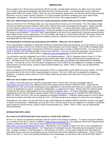## **IMMIGRATION**

Once a paper Form I-90 has been received by USCIS via mail, a receipt will be issued to you within one to two months. Such receipt is generated immediately upon filing the Form I-90 electronically. You will generally receive a biometric appointment within two months of filing. When you go to this biometric appointment, you will also need to bring an identity document, such as a driver's license, passport, or a copy of another document containing your name, date of birth, photograph, and signature. The total processing time for the Form I-90 is approximately 12 months.

### **How can I obtain temporary proof that I am a lawful permanent resident while my Form I-90 is being processed?**

Once you have the Form I-90 filing receipt, you may request what is known as an I-551 stamp. This I-551 stamp is legal proof of your lawful permanent residency status and is valid for both travel and employment purposes. *Please note that an I-551 stamp is required for you to travel outside the United States*. To request this stamp, make an INFOPASS appointment at *<https://my.uscis.gov/appointment>*. Bring your passport to your appointment so the USCIS officer can place the stamp on your passport. If you don't have a valid passport at the time of your appointment, bring two passport photos taken within 30 days of your appointment. The USCIS officer will create an I-94 document with the I-551 stamp, which will serve as temporary proof of lawful permanent residency status for a period of one year from issuance. There is no fee associated with the I-551 stamp.

# **My Naturalization Certificate was destroyed by the wildfires. What can I do to replace it?**

If your Naturalization Certificate or Citizenship Certificate (Citizenship Paper) was destroyed, you must replace it as soon as possible by filing a USCIS Form N-565 by mail or electronically on the USCIS website. Form N-565 is available online at *<https://www.uscis.gov/n-565>* or through the USCIS form request phone number at (800) 870-3676. You use your full name, A-number, and Certificate Number to fill out the N-565 form. If you do not have this information, you will need to make an appointment with a USCIS officer at *<https://my.uscis.gov/appointment>* using the INFOPASS system.

You will need to mail the completed Form N-565 to the following address: USCIS, Nebraska Service Center, P.O. Box 87565, Lincoln, NE 68501-7565. Two passport-sized photos taken within 30 days of filing must be included with your form. The filing fee for Form N-565 is \$555. All checks or money orders are payable to the Department of Homeland Security. You may file a Form I-912 fee waiver alongside your Form N-565 if you are eligible for a complete or partial fee waiver based on annual income, receipt of means-tested benefits (e.g., SNAP, TANF, or SSI), and can demonstrate financial hardship.

Once a completed Form N-565 has been received by USCIS, a receipt will be issued within one to two months. The total processing time for the Form N-565 is approximately six months. The Form N-565 can be expedited in emergency situations – if required, please speak to a USCIS officer about this procedure and make sure to bring the Form N-565 filing receipt.

## **What can I do to replace a lost work permit?**

To replace a lost work permit you must fill out and submit Form I-765 by mail. The form is available online at *<https://www.uscis.gov/i-765>* or by calling the USCIS form request phone number at (800) 870-3676. Along with the completed form, you must include a photocopy of any applications or documents that entitle you to obtain a work permit, such as an application for asylum, suspension of deportation, or adjustment of status. Please check the USCIS website to determine the proper mailing address for your particular immigration status. For further information regarding the replacement of your lost work permit, please contact USCIS at *[https://www.uscis.gov](https://www.uscis.gov/)* or call (800) 375-5283 (TDD line: (800) 767-1833). The Form I-765 can be expedited in emergency situations – if required, please speak to a USCIS officer about this procedure and make sure to bring the Form I-765 filing receipt and any papers you have from your employer.

Depending on your status, you may also have to pay a \$410 filing fee (an additional \$85 for biometric services may apply in certain circumstances). Additionally, you may file a Form I-912 fee waiver if you are eligible for a complete or partial fee waiver based on annual income, receipt of means-tested benefits (e.g., SNAP, TANF, or SSI), and can demonstrate financial hardship.

# **INTERACTION WITH USCIS**

## **Do I need to let USCIS know that I have moved as a result of the wildfires?**

All non-U.S. citizens are required to promptly notify the USCIS of any change of address. To report a change of address, you must file a Form AR-11, which is available at *<https://www.uscis.gov/ar-11>* or by calling the USCIS form request phone number at (800) 870-3676. Form AR-11 may be filed by mail or electronically at *<https://egov.uscis.gov/coa/displayCOAForm.do>*. Alternatively, if you complete a paper Form AR-11, the completed form must be mailed to the following address: U.S. Department of Homeland Security, Citizenship and Immigration Services, Attn: Change of Address, 1344 Pleasants Dr., Harrisonburg, VA 22801. In most cases, filing this form will update the information for any case you have pending, but you should check the USCIS website for confirmation. There is no fee for filing a Form AR-11. If you have pending immigration court proceedings, you will need to file Form EOIR-33/IC (Alien's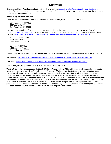#### **IMMIGRATION**

Change of Address Form/Immigration Court) which is available at *[https://www.justice.gov/eoir/list-downloadable-eoir](https://www.justice.gov/eoir/list-downloadable-eoir-forms)[forms](https://www.justice.gov/eoir/list-downloadable-eoir-forms)*. If you do not have a permanent address as a result of the natural disaster, you will need to provide the address of a trusted family member or friend.

### **Where is my local USCIS office?**

There are three field offices in Northern California in San Francisco, Sacramento, and San Jose.

San Francisco Field Office 444 Washington St. San Francisco, CA 94111

The San Francisco Field Office requires appointments, which can be made through the website on INFOPASS (*<https://my.uscis.gov/appointment>*) or by calling (800) 375-5283. For more information about this office, please visit its website: *<https://www.uscis.gov/about-us/find-uscis-office/field-offices/california-san-francisco-field-office>*.

Sacramento Field Office 650 Capitol Mall Sacramento, CA 95814

San Jose Field Office 1450 Coleman Ave. Santa Clara, CA 95050

Please check the websites for the Sacramento and San Jose Field Offices, for further information about these locations:

Sacramento: *<https://www.uscis.gov/about-us/find-uscis-office/field-offices/california-sacramento-field-office>*

San Jose: *<https://www.uscis.gov/about-us/find-uscis-office/field-offices/california-san-jose-field-office>*

# **I missed my USCIS appointment due to the wildfires. What do I do?**

The USCIS website has announced that the USCIS San Francisco Field Office will automatically reschedule applicants who missed naturalization (N-400) or adjustment of status (I-485) interviews due to the wildfires or evacuation orders. This policy will remain active only until evacuation orders and road closures are lifted in affected counties. USCIS does not require applicants to contact the office and will mail a notice to applicants who miss their interviews. Anyone who misses an INFOPASS appointment may also reschedule the appointment online or go to the office where the appointment was originally scheduled with the appointment notice. If your appointment is with the Sacramento Field Office, San Jose Field Office, or any other USCIS field or district office, please ensure that you contact the appropriate office to reschedule your appointment. Please check the USCIS website for updates. If you have any doubt about whether your appointment has been rescheduled, you should contact USCIS as soon as possible to confirm.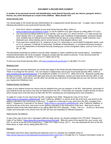## **A number of my personal records and identification cards (Social Security card, tax returns, passport, driver's license, etc.) were destroyed as a result of the wildfires. What should I do?**

### Social Security Card

You should apply to the Social Security Administration for a replacement Social Security card. To apply, mail or bring the following documents to your local Social Security office:

- Form SS-5, which is available at your local Social Security office, online at *www.socialsecurity.gov/online/ss-5.html*, or can be mailed to you upon request by calling (800) 772-1213;
- one document providing evidence of your identity, such as your U.S. driver's license, U.S. state-issued nondriver identity card, U.S. passport, U.S. military identity card, Certificate of Naturalization, employee identity card, certified copy of medical record (uncertified may be okay for young children), health insurance card, Medicaid card, school identity card or school record, or final adoption decree; and
- if you were born outside the U.S., evidence of your U.S. citizenship or current lawful immigration status, such as a U.S. passport, Certificate of Citizenship, Certificate of Naturalization, or unexpired document issued to you by the Department of Homeland Security showing your current immigration status, such as Form I-551, I-94, or I-766.

The documents presented as evidence must be either originals or copies certified by the issuing agency. Uncertified or notarized photocopies will not be accepted. Requests usually take two weeks to process. If you cannot provide the evidentiary documents, call (800) 772-1213 (TTY (800) 325-0778).

To find your local Social Security office, visit *www.socialsecurity.gov/locator* or call (800) 772-1213.

### Medicare Card

If your Medicare card was destroyed, you should also apply to the Social Security Administration for a replacement card. There is no charge for this service. You can request a replacement card at your local Social Security office, online at *www.socialsecurity.gov/medicarecard*, or by telephone at (800) 772-1213 (TTY: (800) 325-0778). Requests usually take 30 days to process. If you need proof right away that you have Medicare, contact your local Social Security office or call the toll-free number noted above, and the office can provide you with proof of coverage that you can use until you receive your replacement Medicare card.

## Federal Income Tax Returns

Copies of your federal income tax returns may be obtained from your tax preparer or the IRS. Alternatively, transcripts of your federal income tax returns may also be obtained from the IRS. (Transcripts are computer-created records of returns which include most of the line items as filed with the IRS, including any accompanying forms and schedules.)

To apply for a copy of a tax return from the IRS, complete Form 4506, "Request for Copy of Tax Form" (*[https://www.irs.gov/pub/irs-pdf/f4506.pdf](https://protect-us.mimecast.com/s/rxdnBMhq92Dbtr)*), write "California, Wildfires" in red ink at the top of the form, and send it to the address indicated in the instructions on the form. To apply for a transcript of a tax return from the IRS, complete Form 4506-T, "Request for Transcript of Tax Return" (*[https://www.irs.gov/pub/irs-pdf/f4506t.pdf](https://protect-us.mimecast.com/s/ZpkABqIdoZ0qSl)*), write "California, Wildfires" in red ink at the top of the form, and send it to the address indicated on the instructions to the form. Both forms may be obtained online at the links listed above or by calling (866) 562-5227 (Monday – Friday, 7:00 a.m. – 10:00 p.m. local time). Copies and transcripts of tax returns from the IRS are free and expedited for affected taxpayers.

#### State Income Tax Returns

To get a free copy of your lost or damaged California state returns, you should complete Form FTB 3516, "Request for Copy of Tax Return" (*<https://www.ftb.ca.gov/forms/misc/3516.pdf>*). Write the name of the specific fire, your county, and 2017 in red ink at the top of the request (e.g., "Tubbs Fire, Napa County, 2017"). You may download the form at the link listed above or order one by calling (800) 852-5711.

## Passport

Information and forms about reporting and replacing a lost U.S. passport are available online at *<https://travel.state.gov/content/passports/en/passports/lost-stolen.html>* or through the U.S. Passport Information Center at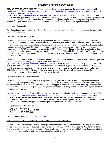(877) 487-2778 (TDD/TTY: (888) 874-7793). You must file a statement regarding the lost or stolen passport with Form DS-64 (*<https://travel.state.gov/content/dam/passports/Forms/Form%20Upload%208.1.17/ds64.pdf>*) as well as file for a new passport with Form DS-11

(*<https://travel.state.gov/content/dam/passports/Forms/Form%20Upload%208.1.17/ds11.pdf>*). If you have your passport but it is damaged, you must submit a signed statement explaining the damaged or mutilated condition of the passport, and the damaged passport should be submitted with Form DS-11. If your passport was issued by a country other than the United States, you should contact that country's consulate and file an application for a replacement passport.

### Immigration Documents

For information on how to replace your Green Card or certain other immigration documents, please see the **Immigration** chapter of this handbook.

### California Driver's License/ID Card

For a limited time period, you may be able to replace at no cost the following items if damaged due to the wildfires: driver's licenses, identification cards, vehicle registrations and titles, and disabled person parking placards. In addition, you can acquire substitute license plates and stickers, vehicle disposal paperwork, and driver record printouts, as well as process a change of address. Replacement of these documents may be expedited by going in person to a local assistance center (LAC) or a disaster recovery center (DRC). Please see the **Disaster Help Centers** chapter of this handbook for more information. You can also receive support at local DMV field offices, by calling DMV customer service at (800) 777-0133 (TTY (800) 368-4327), during business hours, or by visiting *[www.dmv.ca.gov](http://www.dmv.ca.gov/portal/dmv)*, and identifying yourself as a wildfire victim.

To replace your California driver's license and/or identification card, unless otherwise advised at an LAC or DRC, you can make an appointment to visit your local DMV office either online at *<https://www.dmv.ca.gov/portal/dmv/detail/portal/foa/welcome>* or by calling (800) 777-0133 (TTY: (800) 368-4327). You must submit application Form DL 44 (available at your local DMV or order by phone at (800) 777-0133 (TTY: (800) 368- 4327)), give a thumb print, have your picture taken, and, unless waived due to the wildfires, pay the application fee (\$27.00 for license, \$29.00 for ID card, or free for a senior citizen ID card). You will be issued an interim license and/or receipt for your ID card until you receive your new card in the mail.

## Certificate of Title (Cars, Boats/Vessels)

For a limited time period, you may be able to replace vehicle registration and title at no cost. Replacement of these documents may be expedited by going in person to an LAC or a DRC. Please see the **Disaster Help Centers** chapter of this handbook for more information. You also can receive support at local DMV field offices, by calling DMV customer service at (800) 777-0133 (TTY: (800) 368-4327), during business hours, or by visiting *[www.dmv.ca.gov](http://www.dmv.ca.gov/portal/dmv)*, and identifying yourself as a wildfire victim.

To obtain a replacement certificate of title, you must complete an Application for Duplicate or Paperless Title REG 227 (*[https://www.dmv.ca.gov/portal/dmv/?1dmy&urile=wcm:path:/dmv\\_content\\_en/dmv/forms/reg/reg227](https://www.dmv.ca.gov/portal/dmv/?1dmy&urile=wcm:path:/dmv_content_en/dmv/forms/reg/reg227)*), attach the damaged title if mutilated, and, unless waived due to the wildfires, pay the duplicate title fee of \$20.00 (\$15.00 for boats/vessels). REG 277 may be obtained online at the link listed above or at your local DMV. Unless otherwise advised at a DRC, you may submit the application either in person at your local DMV office or mail it to:

Department of Motor Vehicles Registration Operations P.O. Box 942869 Mail Station E-254 Sacramento, CA 94269-0001

Instructions are available at *[http://www.dmv.ca.gov](http://www.dmv.ca.gov/)*.

## Birth Certificates, Marriage Certificates, Death Certificates, and Divorce Decrees

For a limited time, certified copies of birth, marriage, and death certificates and divorce records will be provided free of charge. These records may be obtained by going in person to an LAC or DRC. Please see the **Disaster Help Centers** chapter of this handbook for more information. You may also go in person to the applicable County Recorder's office to obtain the records free of charge by identifying yourself as a wildfire victim.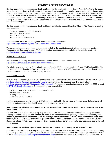Certified copies of birth, marriage, and death certificates can be obtained from the County Recorder's office in the county where the birth, marriage, or death occurred. You must fill out an application with information such as the full name of the person, date of event, and place of event. Unless waived due to the wildfires, a fee in the amount of \$25.00 to \$30.00 for a birth certificate, \$15.00 to \$17.00 for a marriage certificate, or \$21.00 to \$23.00 for a death certificate, is also required. If you need the documents quickly, you should go directly to the Recorder's office to apply for the certificate. A list of the County Recorders' offices in Butte, Lake, Mendocino, Napa, Nevada, Solano, Sonoma, and Yuba Counties is provided at the end of this chapter.

Certified copies of birth, marriage, and death certificates can also be obtained from the Office of Vital Records by mailing your request to:

California Department of Public Health Vital Records – MS 5103 P.O. Box 997410 Sacramento, CA 95899-7410

Instructions and forms for requesting such certified copies are available at *<https://www.cdph.ca.gov/Programs/CHSI/Pages/Vital-Records.aspx>*.

To replace a divorce decree or judgment, contact the clerk of the court in the county where the judgment was issued. Procedures vary from court to court. To find the location, phone number, and website of the superior court, visit *<http://www.courts.ca.gov/find-my-court.htm>*.

#### Military Service Records

Instructions for requesting military service records online, by mail, or by fax can be found at *<https://www.archives.gov/veterans/military-service-records>*.

For priority service to replace a Separation Document (usually DD Form 214 or equivalent), write "California Wildfires" in the "Comments" section of eVetRecs or in the "Purpose" section of Form SF-180, Request Pertaining to Military Records. Fax your request to customer service at (314) 801-9195.

#### Immunization Records

Immunization records for yourself or your child may be obtained from the California Immunization Registry (CAIR). Go to *<http://cairweb.org/wheres-my-immunization-record/>* for information. To request a record, fill out this form: *<http://cairweb.org/docs/CAIR2AuthorizationToRelease.pdf>*. For fastest service, fax the request to (888) 436-8320 or email to *[CAIRHelpDesk@cdph.ca.gov](mailto:CAIRHelpDesk@cdph.ca.gov)*. The request may also be mailed to:

California Dept. of Public Health, Immunization Branch 850 Marina Bay Parkway Building P, 2nd Fl. Richmond, CA 94804-6403

If immunization records are not found in CAIR, look for copies kept by the physician or medical group that administered the immunizations, at your local health department, or at your child's school.

#### **As a result of the wildfires, records related to real property I own (such as the deed to my house) were destroyed. What should I do?**

Certified copies of deeds to real property may be obtained from the County Recorder's office in the county where the property is located. To apply, you will need the name of the owner of the deed, property address, and, preferably, the recorded year of the deed and the title of the document (or document number). Unless waived due to the wildfires, copy fees vary from \$1.25 to \$7.00 for the first page, and from \$0.50 to \$3.00 for each page thereafter. A list of the County Recorders' offices in Butte, Lake, Mendocino, Napa, Nevada, Solano, Sonoma, and Yuba Counties is provided at the end of this chapter.

## **As a result of the wildfires, my will and/or family trust document was destroyed. What should I do?**

If the will and/or family trust was prepared by an attorney, you may be able to obtain a copy of the document by contacting the attorney who drafted it. If you do not have the attorney's current address, search for the attorney's contact information online at *<http://members.calbar.ca.gov/search/member.aspx>* or contact the State Bar of California at (415) 538-2000. If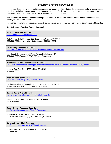the attorney does not have a copy of the document, you should consider whether the document may have been recorded elsewhere, and check with the appropriate County Recorder's office by using the contact information provided below. Otherwise, you should have a new will, trust, and/or other document drafted.

#### **As a result of the wildfires, my insurance policy, premium notice, or other insurance-related document was destroyed. What should I do?**

If insurance documents are destroyed, contact your insurance agent or insurance company to obtain a copy of the policy.

# **County Recorder's Office Contact Information**

## **Butte County Clerk-Recorder**

<https://clerk-recorder.buttecounty.net/>

Butte County Hall of Records, 155 Nelson Ave., Oroville, CA 95965 (530) 538-7691 (toll free within Butte County: (800) 894-7761)

**Lake County Assessor-Recorder**

<http://www.co.lake.ca.us/Government/Directory/Assessor-Recorder.htm>

Lake County Courthouse, 255 North Forbes St., Lakeport, CA 95453 (707) 263-2293 (Recorder); (707) 263-2302 (Assessor)

# **Mendocino County Assessor-Clerk-Recorder**

<https://www.mendocinocounty.org/government/assessor-county-clerk-recorder-elections/county-recorder>

501 Low Gap Rd., Room 1020, Ukiah, CA 95482 (707) 234-6822

**Napa County Clerk-Recorder**

<http://www.countyofnapa.org/Recorder-Clerk/>

Carithers Building, 900 Coombs St., Room 116, Napa, CA 94559 (707) 253-4247 (Clerk); (707) 253-4105 (Recorder)

## **Nevada County Clerk-Recorder**

<https://www.mynevadacounty.com/235/Clerk-Recorder>

950 Maidu Ave., Suite 210, Nevada City, CA 95959 (530) 265-1221

**Solano County Assessor-Recorder** <http://www.solanocounty.com/depts/ar/home.asp>

675 Texas St., Suite 2700, Fairfield, CA 94533 (707) 784-6210 (Assessor); (707) 784-6290 (Recorder)

**Sonoma County Clerk-Recorder** <http://sonomacounty.ca.gov/CRA/Clerk-Recorder/>

585 Fiscal Dr., Room 103, Santa Rosa, CA 95403 (707) 565-3800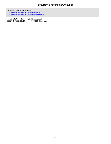**Yuba County Clerk-Recorder** <http://www.co.yuba.ca.us/departments/clerk/> <http://www.co.yuba.ca.us/departments/recorder/>

915 8th St., Suite 107, Marysville, CA 95901 (530) 749-7851 (Clerk); (530) 749-7850 (Recorder)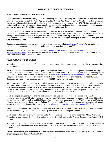## **INTERNET & TELEPHONE RESOURCES**

### **PUBLIC SAFETY NEWS AND INFORMATION**

The California Department of Forestry and Fire Protection (CAL FIRE) is providing a free "Ready for Wildfire" application which is now available in both the Apple App Store and the Google Play Store—search for CAL Fire to install. Users can sign up for customized alerts that will send texts or push notifications to their device when CAL FIRE is responding to or assisting with a wildfire in their area. Users can also set up alerts for single counties, multiple counties, or statewide, or can also set up an alert if a wildfire is reported within 30 miles of their device.

In addition to free over-the-air broadcast channels, XM Satellite Radio is broadcasting updates and public safety information, including traffic, weather, and evacuation news regarding the California wildfires on its 24-hour radio channel Emergency Alert (XM channel 247). Anyone who has an XM receiver (even if you are not an XM subscriber) can tune in to this station. So, for example, if you have an XM radio in your car (even if you do not pay to subscribe to XM), you can tune in to these updates.

Emergency operations centers are also sending out information via Nixle (*<http://www.nixle.com/>*). To get up-to-date information on evacuations, shelters, and road closures, text your zip code to 888777.

Sonoma County residents may also join SoCoAlert: *[http://sonomacounty.ca.gov/FES/Emergency-](http://sonomacounty.ca.gov/FES/Emergency-Management/SoCoAlert/)[Management/SoCoAlert/](http://sonomacounty.ca.gov/FES/Emergency-Management/SoCoAlert/)*. This free service provides local alerts via home, cell, work, email, and/or text. A free app for Apple and android devices is also available.

### TELECOMMUNICATION SERVICES

Several telephone companies are offering free call forwarding and other services to customers who have evacuated due to the wildfires.

**Verizon** customers in affected areas are eligible for certain free services. Postpaid mobile phone customers are eligible for talk, text, and data relief while prepaid customers will receive an extra 3 GB for talk, text, and data. A list of eligible zip codes for qualifying areas of relief is available online at *<https://www.verizonwireless.com/featured/relief/>*. Depending on area, relief is available for service provided from October 10 – October 18, 2017 or October 13 – October 18, 2017. Customers may also contact customer care at (800) 922-0204 for further information.

**AT&T** customers in affected areas are also eligible for several free services. AT&T wireless customers will automatically be issued credits for unlimited data, voice, and text for service provided from October 9 – October 18. AT&T prepaid customers in the same counties will receive credits for the same service time period for unlimited voice and text. This applies to AT&T wireless customers with billing addresses and AT&T prepaid customers with phone numbers in the following counties: Butte, Lake, Mendocino, Napa, Nevada, Solano, Sonoma, and Yuba.

AT&T is also providing consumer landline customers with free wireless connections for a limited time. Landline consumers can visit an AT&T retail location to receive a free AT&T prepaid device, while supplies last, and a \$25 pin that can be used for \$0.25/min calling and \$0.20 texts. This offer applies to customers with an AT&T landline or VoIP service in Butte, Lake, Mendocino, Napa, Nevada, Solano, Sonoma, and Yuba Counties, *and* who do not have active cell phone service from AT&T. Further details are available at *[http://about.att.com/inside\\_connections\\_blog/california\\_fires](http://about.att.com/inside_connections_blog/california_fires).* 

Affected video subscribers and home Internet customers can contact AT&T at (800) 288-2020 with questions about their service and/or damaged equipment, or to voluntarily pause their service to suspend charges.

AT&T video customers with an active account and a Wi-Fi or wireless connection can access their DIRECTV or U-verse TV content by downloading the respective mobile app in the Google Play Store for Android Devices or on iTunes for iOS devices.

**U.S. Cellular** customers in affected areas are also eligible for free services. U.S. Cellular is waiving any overage charges for postpaid customers who have billing addresses in the affected counties for services provided from October 9 – October 15, 2017.

**Sprint**, **Boost Mobile**, and **Virgin Mobile** customers in affected areas will have text, call, and data overage fees waived for services provided through October 15, 2017.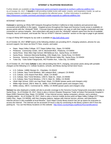## **INTERNET & TELEPHONE RESOURCES**

Further details are available at *<http://newsroom.sprint.com/sprint-responds-to-northern-california-wildfires.htm>*. As of October 20, 2017, **T-Mobile** is still providing mobile trucks with water, snacks, and respiratory masks, as well as charging stations and portable chargers throughout the affected areas. Further information is available at *<https://newsroom.t-mobile.com/news-and-blogs/t-mobile-responds-to-california-wildfires.htm>*.

# INTERNET SERVICES

**Comcast** is opening up Xfinity WiFi hotspots throughout Northern California to help residents and personnel stay connected amid wildfires in the region. Ungated access throughout the Napa and Sonoma County areas is available on access points with the "xfinitywifi" SSID. Comcast Internet subscribers can sign on with their regular credentials and stay connected on various hotspots. Non-subscribers will need to pick the "xfinitywifi" network name from the list of available hotspots, launch a browser, and locate the "Not an XFINITY Internet Customer" section on the sign-in page to get started.

A map of Xfinity WiFi hotspots by zip code is available at *<http://wifi.xfinity.com/>*.

As of October 20, 2017 **AT&T** teams at the following shelters are providing Wi-Fi, charging solutions, phones for use, account support, live news via DirecTV Now, snacks, and water:

- Napa: Napa Valley College, 2277 Napa-Vallejo Hwy., Napa, CA 94558
- Petaluma: Community Center, 320 N. McDowell Blvd., Petaluma, CA 94954
- Santa Rosa: Elsie Allen High School, 599 Bellevue Ave., Santa Rosa, CA 95407
- Santa Rosa: Veterans Memorial Building, 1351 Maple Ave., Santa Rosa, CA 95404
- Sonoma: Sonoma County Fairgrounds, 1350 Bennet Valley Rd., Santa Rosa, CA 95404
- Yuba City: Yuba Sutter Fairgrounds, 442 Franklin Ave., Yuba City, CA 95991

As of October 20, 2017 **U.S. Cellular** is also still providing free Wi-Fi, charging, and power packs along with portable chargers at the following U.S. Cellular locations, schools, and library during normal store hours:

- U.S. Cellular, 14896 Olympic Dr., Clearlake, CA 95422
- U.S. Cellular, New Trend Wireless, 365 Lakeport Blvd., Lakeport, CA 95453
- U.S. Cellular, 1232 Airport Park Blvd., Ukiah, CA 95482
- U.S. Cellular, New Trend Wireless, 1393 N. State St., Ukiah, CA 95482
- U.S. Cellular, New Trend Wireless, 1702 S. Main St., Willits, CA 95490
- Ukiah High School, 1000 Low Gap Road, Ukiah, CA 95482 (power packs and chargers only)
- Willits High School, 299 N. Main St., Willits, CA 95490 (power packs and chargers only)
- Willits Library, 390 E. Commercial St., Willits, CA 95490 (power packs and chargers only)

**Verizon** has also deployed a mobile cell site to provide coverage to the Sonoma County Fairgrounds evacuation shelter in Santa Rosa. As of October 20, 2017, there is also a Verizon Disaster Response Trailer at Kaiser Permanente Hospital in Napa (3285 Claremont Way, Napa, CA 94558). It has Internet access, laptop computers, phones, and a wireless charging station. As of October 20, 2017, there is also a Verizon mobile access point at Napa Valley College (2277 Napa Valley Hwy., Napa, CA 94558), with free charging stations, laptops with Internet service, phones, and televisions. Internet service is also available at local libraries. Each Napa County library branch has set up space for evacuees to access the Internet. The Internet can be accessed 24 hours a day by connecting to the library system's Wi-Fi from the parking lot. You can find library locations on this website: *<http://www.countyofnapa.org/library/hoursandlocations/>*.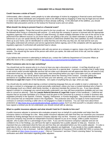## **CONSUMER TIPS & FRAUD PREVENTION**

### **Could I become a victim of fraud?**

Unfortunately, after a disaster, some people try to take advantage of victims by engaging in financial scams and frauds. In some cases these individuals and companies claim to be offering help by engaging in what may be legal acts but which in reality result in additional financial hardship to those already suffering. In the aftermath of the wildfires, you should therefore take precautions and be on the lookout for financial scams and con artists.

### **What should I be doing to prevent fraud or a financial scam?**

The old saying applies: *Things that sound too good to be true usually are*. As a general matter, the following tips should be followed when hiring or contracting with anyone: (1) verify that the company or person is licensed with the appropriate regulatory agencies if the industry is subject to state licensing; (2) obtain multiple estimates of the cost of the service to be performed from different sources so you know that you are getting a fair price; (3) obtain estimates in writing; (4) ask for references so you can speak directly with prior customers to determine whether they were satisfied; (5) when individuals show up at your home, ask for identification to verify that they are who they say they are; (6) read and be sure you thoroughly understand all contracts and service agreements before signing; and (7) file complaints with the appropriate regulatory agencies if confronted with potential fraud or abuse.

Additionally, whenever you have telephone calls with any person at a company or agency, keep a log of the calls for your records. You should log the name of the person with whom you spoke, the date and time of the call, and the subject matter of the call.

If you believe that someone is attempting to defraud you, contact the California Department of Consumer Affairs at (800) 952-5210 or file a complaint online at *<http://www.dca.ca.gov/consumer/complaints.shtml>*.

## **What if someone asks me to sign something?**

You should look out for anyone who is in a hurry to have you sign a document or contract. A red flag should go up if someone says that you must sign right away to get a low price or a special deal. A person or company that is really trying to aid victims and/or provide legitimate services will not make such demands and will appreciate that you will need to truly understand what you are signing. Most importantly, read everything before you sign it and make sure you understand what you are signing. Do not be afraid to ask questions about the meaning of the contract. Consider getting the assistance of a qualified attorney (if you do not have your own attorney, you may want to refer to the **Lawyer Referral Services & Legal Aid** chapter of this handbook). Get copies of anything that you sign, when you sign.

You should also be careful about signing a contract containing language that you are unable to read or understand. Do not sign a contract in a language you cannot personally understand, unless you have a trusted individual who is fluent in that language (such as a friend, adult family member, or attorney) translate the contract for you. If you have already signed a contract in a language you cannot personally understand, you may still have protections available and you may want to consult an attorney. (See the **Lawyer Referral Services & Legal Aid** chapter of this handbook.) California law requires that an accurate translation of a contract must be given to the consumer by a person in a trade or business who negotiates primarily in the Spanish, Chinese, Tagalog, Vietnamese, or Korean languages. This protection does not apply if the consumer has an interpreter assist in the negotiation. This protection also does not apply to home improvement contracts or contracts involving a seller who is not engaged in a trade or business. You can read more about these protections at *[http://www.dca.ca.gov/publications/legal\\_guides/k-4.shtml](http://www.dca.ca.gov/publications/legal_guides/k-4.shtml)*, but if you find yourself in a situation where you have signed a contract you do not understand, you should consult with an attorney.

#### **What is a public insurance adjuster and what should I look for if I decide to hire one?**

A public insurance adjuster is someone who evaluates property loss on behalf of a policyholder and helps them file insurance claims in exchange for a fee. Many public insurance adjusters will claim that they can maximize your insurance benefits by finding damage that an insurance company adjuster may not find. However, you should understand that your insurance company may provide an independent insurance adjuster to you at no charge, unlike a public insurance adjuster, who is paid a fee or a percentage of your claim. If you use the insurance company's adjuster and are not confident in his or her findings, you still have the right to separately hire a public adjuster to help you. However, it is important that you understand what the fees are and how they are calculated before you hire a public adjuster. It is also a good idea to rely on referrals to determine which public adjusters are legitimate. If you decide to hire a public adjuster, make sure that he or she is licensed. Call the California Department of Insurance (CDI) at (800) 967-9331 or access the CDI's website at *<https://www.insurance.ca.gov/>*. Click on "Consumers" and then "Check Licensing Status" for licensing verification and other information regarding public adjusters.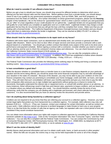## **CONSUMER TIPS & FRAUD PREVENTION**

## **What do I need to consider if I am offered a home loan?**

Before you get a loan to rebuild your house, you should shop around for different lenders to determine which one is offering you the best interest rates and the lowest fees. Before getting a loan from a private lender, you should always check to see if you qualify for any government assistance programs, such as FEMA, SBA, and HUD programs, or assistance from the State of California. (For further information on these government programs, please see the **Housing** chapter of this handbook.) Be on the lookout for "guaranteed loans" which is when a person contacts you and guarantees you an "offer" of a loan regardless of your credit situation for an upfront fee. Legitimate lenders do not guarantee that you will qualify for a loan before you complete an application and run a credit check. Legitimate lenders may charge a small application fee but they do not promise that you will get the loan until they complete their review. Make sure that you are dealing with a licensed lender. The California Department of Business Oversight licenses most lenders and you should check with them to determine whether the lender is legitimate. They can be reached at (866) 275-2677 or online at *[https://docqnet.dbo.ca.gov/licensesearch/.](https://docqnet.dbo.ca.gov/licensesearch/)*

## **What should I look for when hiring contractors to do repair work on my house?**

Problems with home repair contractors, such as abandonment and shoddy work, are common in general and often happen after disasters. Watch out for door-to-door offers of repair services and never provide a contractor with a cash deposit based on a handshake. You should get a written contract that details every aspect of the work to be done and a performance and payment schedule. Before signing a contract with a contractor, consider whether you need to consult with an attorney and be sure to check the contractor's license status and references. You can check licenses online on the California Contractor State License Board (CSLB) website, at

*<https://www2.cslb.ca.gov/onlineservices/CheckLicenseII/checklicense.aspx>*. You can also file complaints online at *[http://www.cslb.ca.gov/Consumers/Filing\\_A\\_Complaint/](http://www.cslb.ca.gov/Consumers/Filing_A_Complaint/)*. In addition, the CSLB has established a hotline where disaster victims can obtain more information: (800) 962-1125 (Monday – Friday, 8:30 a.m. – 5:00 p.m.).

The Federal Trade Commission also provides the following article outlining steps for finding and hiring a contractor and spotting scams: *<https://www.consumer.ftc.gov/articles/0242-hiring-contractor>.*

## **Is loan consolidation a good idea?**

While the decision whether to consolidate loans or transfer loans to a new finance company depends on your particular situation and the terms being offered, you should be aware that some financial companies may try and take advantage of your situation in the wake of a disaster. Because of the disaster, you may not be able to pay your creditors on time and finance companies may contact you promising to consolidate your home mortgage, credit card debt, car loans, and repair loans. They will claim that such consolidation will lower your monthly payments and give you more time to pay the debt. Such companies often pressure you to sign multiple loan agreements without giving you a chance to review the documents, thoroughly understand the interest rate or repayment terms, or consult with another person or an attorney. In many instances, these refinancings result in high fees and interest rates, payments to bogus creditors, and can leave you in a situation where you default and damage your credit. You should therefore carefully review the terms of any refinancing, verify that the company you are dealing with is legitimate and licensed, and check referrals from previous customers. It is also recommended that you have an attorney review the documents and provide advice.

## **Can I do anything about being hassled by a collection agency?**

Creditors are not required to let you know that they are referring your account to a collection agency. However, you have certain legal rights that protect you from harassment by a collection agency. For example, debt collectors may only call between 8:00 a.m. – 9:00 p.m. (They can, however, contact your employer for certain information, as well as contact you at your work.) Debt collectors cannot use obscene or profane language or make threats to harm you or your property. There is no law that limits the number of calls that an agency can make, but repeated calls over a short period of time are prohibited if they would constitute harassment.

You can obtain more information about your rights with respect to collection agencies by consulting the California Attorney General's website at *[http://oag.ca.gov.](http://oag.ca.gov/)* Click on the "Consumer Information" link, then "Consumer Topics," and then "Debt Collectors." You can also file a complaint with the Federal Trade Commission. You can contact the Commission by mail at Consumer Response Center, 600 Pennsylvania Avenue, NW, Washington, D.C. 20580-0001; by telephone at (877) FTC-HELP/(877) 382-4357 (TTY: (866) 653-4261); or via its website at *[www.ftc.gov.](http://www.ftc.gov/)*

## **What if I am the victim of identity theft?**

Identity thieves steal personal information and use it to obtain credit cards, loans, or bank accounts in other peoples' names. When the bills are not paid, the victims may or may not be held responsible for some or all of the charges.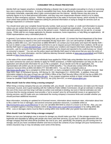## **CONSUMER TIPS & FRAUD PREVENTION**

Identity theft can happen anywhere, including following a disaster due in part to people evacuating in a hurry or exercising less care in giving out information. In trying to reestablish their lives, those affected by disasters can make their personal information vulnerable, especially when it gets communicated over the Internet. Identity thieves may also pose as authority figures to try to steal personal information, and they may even impersonate disaster victims to try to obtain checks or other emergency services. FEMA has reported that in the wake of Hurricane Harvey, which recently hit Texas, scam artists have posed as FEMA inspectors asking for personal information or trying to charge for services such as damage inspections or contractor repairs.

You should never give your complete Social Security number, bank account number, or credit card information to anyone unless you are certain that the person is actually a representative of a legitimate organization. If you have any doubt, check with the organization and do not rely on the person's word. Federal and state workers do not ask for, or accept, money. FEMA staff do not charge applicants for disaster assistance, home inspections, or help filling out applications. All FEMA representatives carry a laminated photo ID.

In general, if you believe that you are a victim of identity theft, you should: (1) contact the fraud department of the three major credit bureaus to request a free (and renewable) 90-day fraud alert—you can call Experian at (888) 397-3742, Equifax at (800) 685-1111, and TransUnion at (888) 909-8872; (2) contact your local police and report the identity theft be sure to obtain a copy of the police report and forms to use to request account information from creditors; (3) fill out an identity-theft report at *[www.identitytheft.gov](http://www.identitytheft.gov/)*; and (4) contact your creditors and request information about the fraudulent accounts—ask for accounts that have been used fraudulently to be closed and reported to the credit bureaus as "closed at consumer's request." You can use the police report and identity theft report to help prove that you were the victim of identity theft. For more information, visit the California Attorney General's website at *[www.oag.ca.gov/idtheft](http://www.oag.ca.gov/idtheft)* and FEMA's website at *<https://www.fema.gov/>*.

In the wake of the recent wildfires, some individuals have applied for FEMA help using identities that are not their own. If you learn someone has used your identity to apply for FEMA assistance, a FEMA representative can help you file a new application and will provide information for you to file a complaint. (If you decide not to file an application, the representative will confirm you do not want to access FEMA benefits.) You should also contact DHS Office of the Inspector General (OIG) at (800) 323-8603 (TTY 844-889-4357). You can file a complaint online at *<http://www.oig.dhs.gov/>*, fax a complaint to (202) 254-4297, or mail a complaint to DHS Office of Inspector General: Mail Stop 0305, Dept. of Homeland Security, 245 Murray Dr. SW, Washington D.C. 20528-0305. In addition, those with information related to this type of fraud can call FEMA's Office of the Chief Security Officer (OCSC) tip line at (866) 223- 0814 or email *[FEMA-OCSO-Tipline@fema.dhs.gov.](mailto:FEMA-OCSO-Tipline@fema.dhs.gov)* If you suspect suspicious activity or fraud, contact the National Center for Disaster Fraud Hotline at (866) 720-5721, fax (225) 334-4707, or email *[disaster@leo.gov.](mailto:disaster@leo.gov)*

## **What should I look for when hiring a moving company?**

When hiring a moving company that you are unfamiliar with, you should: (1) ask for references; (2) make sure the mover is licensed, insured, and in good standing with the California Public Utilities Commission; (3) get an estimate in writing of the cost of the move and how long it will take (a written cost estimate is binding, but oral or Internet estimates are not); (4) know that the moving company must provide a "not to exceed" price for all household moves in an agreement for moving services; and (5) make sure you understand the moving company's insurance limits and consider whether you should purchase additional insurance.

More information, including an updated list of licensed movers, information about maximum rates, information about how to file a claim for loss or damages, and several consumer-protection resources, is available online at *<http://consumers.cpuc.ca.gov/Movercic/>* or you can call (800) 894-9444 to check if a mover is on the list. Also, you can file a complaint against a moving company online at *<http://www.cpuc.ca.gov/movercomplaint/>* or by calling (800) 366- 4782. Loss or damages claims must be filed in writing within nine months after your goods have been delivered.

#### **What should I look for when hiring a storage company?**

Before you turn your belongings over to anyone for storage you should make sure that: (1) the storage company is legitimate and reputable by talking with people who have used their services; (2) you have a written agreement with the storage company that lists what will be provided, the cost to you, and, specifically, the property you are turning over for storage; and (3) you have considered whether and how to insure the contents of your storage unit (your homeowners or renters insurance may or may not already cover some of the items).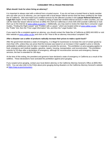## **CONSUMER TIPS & FRAUD PREVENTION**

#### **What should I look for when hiring an attorney?**

It is important to always start with a referral from a trusted source. If you do not have a trusted friend or family member who can refer you to an attorney, you can inquire with a local lawyer referral service that has been certified by the State Bar of California. (We have listed such certified services for the affected counties in the **Lawyer Referral Services & Legal Aid** chapter of this handbook.) To obtain a listing of State Bar-certified referral services in other counties, you can call the State Bar lawyer referral services at (866) 442-2529 (in California) or (415) 538-2250 (outside California) or look them up on the Internet at *[www.calbar.ca.gov/lrs](http://www.calbar.ca.gov/lrs)*.) Additionally, you may want to review the State Bar's consumer Legal Guides, "Finding the Right Lawyer" and "Problem with a Lawyer," which are located online at *[www.calbar.ca.gov](http://www.calbar.ca.gov/)*. Click the "Public" link, then the "Free Legal Information" link, and then the "Legal Guides" link.

If you need to file a complaint against an attorney, you should contact the State Bar of California at (800) 843-9053 or visit their website at *[www.calbar.ca.gov](http://www.calbar.ca.gov/)* and click on the "How to file an attorney misconduct complaint" link.

## **After a disaster can a seller of products radically increase their prices to make a quick buck?**

After the government declares a state of emergency, it is illegal for businesses to increase the cost of certain goods by more than 10%, unless they can prove that the increase was based on an increase in their supplier's price or directly attributable to additional costs for labor or materials to provide the services. The prohibition on price gouging applies to food, emergency and medical supplies, gasoline, repairs, housing, transportation, and reconstruction. The prohibition extends for 30 days after a declaration of emergency, although for reconstruction services and emergency cleanup services, the ban is extended for 180 days.

At the time of this writing, the president and governor have declared a state of emergency in California as a result of the wildfires. These declarations have activated the prohibition against price gouging.

If you suspect price gouging, contact your local district attorney or the California Attorney General's Office at (800) 952- 5225. You can also refer to the FAQs about price gouging during disasters on the California Attorney General's website at *[https://oag.ca.gov/consumers.](https://oag.ca.gov/consumers)*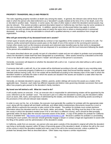# **PROPERTY TRANSFERS; WILLS AND PROBATE**

The rules regarding property transfers at death vary among the states. In general, the relevant rules will be those of the state in which the person who died (referred to as a "decedent") usually resided at the time of his or her death, even if he or she died in another state. However, in some cases, the rules of other states in which the decedent owned assets may also be relevant. This section provides a general description based on California law, but there may be some variations in the rules involving states outside California. In addition, special rules not discussed below may apply in certain circumstances such as where spouses pass away at nearly the same time or where a missing person is presumed deceased. Accordingly, it may be advisable to consult with a qualified attorney or seek assistance from a legal aid organization.

## **Who will get ownership of my deceased loved one's assets?**

Certain types of assets will pass automatically by contract or law regardless of the existence of or contents of a will. For instance, jointly owned (joint tenancy) assets pass on the death of one of the owners to the surviving joint owner(s). Certain other assets (such as life insurance proceeds and retirement plan benefits) pass by their terms to designated beneficiaries. Assets held in a revocable trust are disposed of in accordance with the trust instrument following the death of the person who established the trust.

The assets described above are usually not part of a decedent's estate and are not subject to probate court proceedings unless the decedent's estate itself has been designated as a beneficiary. Other assets owned by a decedent at the time of his or her death will make up that person's "estate" and will pass to that person's successors.

Generally, succession will depend on whether the decedent left a will or not. A person who died without a will is said to have died "intestate"

If someone died with a valid will, his or her estate will be distributed according to the will, subject to any overriding state laws, such as community property (California is a community property state) and forced heirship statutes. If a person died intestate (without having a will), his or her estate will be distributed according to the intestacy laws of the state in which the decedent resided or possibly the state in which the assets are situated if the assets are located in a state other than the state of residence of the decedent.

Generally, an intestate decedent's spouse, children, parents, and/or siblings will receive the assets as a matter of the applicable laws. However, each state has different separate and distinct rules governing intestate succession that could affect how property gets passed to the decedent's family members.

# **My loved one left behind a will. What do I need to do?**

A will usually names an executor. If not, an executor who is responsible for administering estates will be appointed by the court, referred to as the "probate" court. The executor's job is to collect the decedent's assets, pay the decedent's debts (such as taxes, bills, loans, and expenses of administering the estate), and distribute any remaining assets according to the provisions of the will and relevant state statutes.

In order to carry out his, her, or its duties, the executor must generally file a petition for probate with the appropriate state court, along with the original will and death certificate, and obtain letters testamentary (documents issued by a court or public official to authorize the executor to take control of the estate). The petition for probate must contain pertinent information about the decedent and his or her family, debts, and assets. Usually, this filing must be done in the court in the county in which the decedent resided (even if he or she died in a different county), and it should be filed promptly (generally within 30 days) after the executor becomes aware of the death. A copy of the petition for probate for California courts is available here: *<http://www.courts.ca.gov/documents/de111.pdf>*. Because a petition for probate is a proceeding involving the court system, the executor should generally engage a lawyer or contact a legal aid organization to assist with the filing of the petition and the administration of the decedent's estate.

In California, aside from an executor, any person who was given custody of the decedent's original will while the decedent was living is technically required, within 30 days of becoming aware of the decedent's death, to deliver the will to the court of the county in which the decedent resided and mail a copy of the will to the named executor, unless a petition for probate has already been filed as described above. Other states may impose a similar requirement.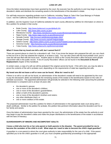# **LOSS OF LIFE**

Once the letters testamentary have been granted by the court, the executor has the authority to and may begin to pay the decedent's debts and distribute the remaining assets to the beneficiaries of the decedent's estate.

For self-help resources regarding probate court in California, including "Steps to Take if the Case Belongs in Probate Court," visit the California Judicial Branch website: *<http://www.courts.ca.gov/8865.htm>*.

In addition, see the Superior Court of California websites for each county affected by wildfires for information on where to file a petition for probate in that county:

- Butte County: *<http://www.buttecourt.ca.gov/default.cfm>*
- Lake County: *<http://www.lake.courts.ca.gov/>*
- Mendocino County: *<http://www.mendocino.courts.ca.gov/divisions/probate/probate.asp>*
- Napa County: *<http://www.napa.courts.ca.gov/divisions/civil>*
- Nevada County: *<http://nccourt.net/divisions/probate.shtml>*
- Orange County: *<http://www.occourts.org/self-help/probate/>*
- Solano County: *<http://www.solano.courts.ca.gov/Courts/ProbateConservatorshipGuardianship.html>*
- Sonoma County: *<http://sonoma.courts.ca.gov/divisions/probate>*
- Yuba County: *<http://www.yubacourts.org/divisions/probate>*

#### **What if I know that my loved one left a will, but I cannot find it?**

There are several places to check for a decedent's will. First, if you know the lawyer who prepared the will, you can check to find out if he or she has retained the original, or at least a copy. You can also check with the local probate court, just in case the will was filed with the local court. Another place to check is the County Recorder's office because some people record their wills in the public record. A list of County Recorders' offices can be found in the **Document & Record Replacement** chapter of this handbook.

In certain cases, a copy of a will can still be probated if the original cannot be found. If the will is lost, you may be able to prove the contents of the will in probate court, depending on the requirements of state law regarding lost wills.

#### **My loved one did not leave a will or none can be found. What do I need to do?**

If there is no will or no will can be found, an administrator of the decedent's estate will need to be appointed by the court to pay the deceased's debts and distribute the remaining assets of the estate to the beneficiaries based on the rules of intestate succession. The appointed administrator will generally be selected in the following order (assuming the potential administrator is competent and is at least 18 years old):

- the decedent's spouse;
- one or more of the decedent's children;
- one or more of the decedent's grandchildren;
- either or both of the decedent's parents;
- one or more of the decedent's brothers and sisters;
- any other distributee (heir); or
- one or more creditors of the estate.

The proposed administrator must file a petition for letters of administration in the appropriate state court along with a death certificate. Similar to the petition for probate, this petition lists pertinent information about the decedent and his or her family and assets.

Once the letters of administration have been granted by the court, the administrator of the estate has the authority to and may begin to pay the decedent's debts and make the proper distributions to the beneficiaries of the estate in accordance with the laws of intestacy.

# **GUARDIANSHIPS OF MINORS AND INCOMPETENT ADULTS**

## **I know a child who lost his or her only parent or both parents in the disaster. The parent provided for me to become the caretaker of the child in a will. What steps do I need to take to become the child's legal guardian?**

A guardian is a non-parent to whom the court gives authority to take responsibility for the care of a child. If the parent specified you to be the child's guardian in a will, you must complete guardianship proceedings in the appropriate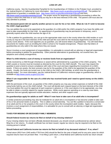# **LOSS OF LIFE**

California county. See the Guardianship Pamphlet for the Guardianships of Children in the Probate Court, provided by the Judicial Branch of California for more information: *<http://www.courts.ca.gov/documents/gc205.pdf>*. The petition for appointment of guardian is available here: *<http://www.courts.ca.gov/documents/gc210p.pdf>* and here: *<http://www.courts.ca.gov/documents/gc210.pdf>*. The proper venue for beginning a guardianship proceeding is either the county in which the child lives or such county as may be in the best interests of the child. The parent's will must also be duly admitted to probate.

## **The deceased parent did not specify another person to care for his or her child. What do I do if I wish to become the child's legal guardian?**

You can petition the court to be appointed as the guardian of a child and/or the child's property if you have the ability and want to take responsibility for that child. An appointment of guardianship may be permanent or temporary, and it generally expires when the child reaches the age of 18.

To file a petition for guardianship, you can go to the appropriate state court in the county where the child resides or such county as may be in the best interests of the child and ask the court clerk for the necessary legal forms (see the list of county courts above). If the court appoints you as guardian, you will receive letters of guardianship. You will need these documents for matters such as enrolling the child in school or for hospital emergencies. Please note that letters of guardianship are only valid in the state where they are issued.

Since it involves a court assignment of responsibilities, it is advisable to consult with an attorney or legal aid organization before proceeding to petition for guardianship. Other potential alternatives to guardianship, not covered here, are adoptions and custody arrangements.

# **What if a child inherits a sum of money or receives funds from an organization?**

Funds received by a child through inheritance or award will be administered by a guardian of the child's property. The child's assets or income must be invested as directed by the court for the child's benefit. The court may require the guardian to post a bond to ensure compliance with rules of the court and laws regarding the investment of a child's assets. If there are assets, the best scenario may be for the guardian of the child to be appointed the guardian of the assets. Usually, the funds are turned over to the child on the child's 18th birthday, at which time the guardianship is typically ended. For more information, see the Judicial Branch of California's resource page on guardianship, which is available at *<http://www.courts.ca.gov/1212.htm>*.

## **What if I am responsible for the care of a child who has received funds and I need to spend money on the child's behalf?**

With the permission of the court, as guardian of the child's property you may pay certain expenses on behalf of the child using funds held by you on the child's behalf. The court will decide each request based on the best interests of the child. You must petition the court for approval of each expense in advance or, if the court deems it to be appropriate, you may be able to obtain a monthly stipend for regular expenses. While courts approve spending on a case-by-case basis, expenses that are typically approved include education, medical, and other support costs.

# **Do guardianships apply for adults as well? What if I now have to take care of an adult who is incompetent?**

A similar protective proceeding may also be instituted for an adult who is incompetent or has become unable to take care of his or her personal needs or property. This is called a conservatorship. You can file a petition to become a conservator of an adult and his or her property in the court in the county where the incompetent adult resides. Again, because this involves a court assignment of responsibilities, it is advisable for you to consult with an attorney or legal aid organization before proceeding.

# **TAXES FOR MISSING OR DECEASED FAMILY MEMBERS**

#### **Should federal income tax returns be filed on behalf of my missing relatives?**

If your missing relative has not been officially declared deceased, you should consult a professional tax advisor about filing his or her returns. If a death certificate has not been issued, regular tax returns may be required to be filed on the missing person's behalf.

#### **Should federal and California income tax returns be filed on behalf of my deceased relatives? If so, when?**

A final return (IRS Form 1040 and/or FTB Form 540) should be filed for the year of death and for any prior years for which required returns have not yet been filed. If not filing a joint return, a final federal and California income tax return should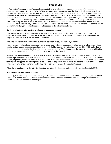# **LOSS OF LIFE**

be filed by the "executor" or the "personal representative" or another administrator of the estate of the decedent, appointed by the court. The word "**DECEASED**," the name of the deceased, and the date of death should be written across the top of the return. If it is a joint return, the name and address of the decedent and the surviving spouse should be written in the name and address space. If it is not a joint return, the name of the decedent should be written in the name space and the name and address of the estate administrator or another person filing the return should be written in the remaining space. Generally, the final income tax return for a decedent who was a calendar-year taxpayer is due on April 15 following the year of his or her death. Thus, in this case, the final return would ordinarily be due on April 15, 2018. Income tax returns may also be required on behalf of the estate of the decedent. It is advisable to consult with an accountant, tax lawyer, or other tax advisor with respect to the information above.

## **Can I file a joint tax return with my missing or deceased spouse?**

Yes, unless you remarry before the end of the year of his or her death. If filing a joint return with your missing or deceased spouse, you should indicate at the top of the return that you are doing so. Consult with an accountant, tax lawyer, or other tax advisor for additional information.

## **Should a federal or California estate tax return be filed? If so, when and by whom?**

Most relatively simple estates (e.g., consisting of cash, publicly traded securities, small amounts of other easily valued assets, and no special deductions or elections or jointly held property) with a total value under \$5,490,00 and a date of death in 2017 do not require the filing of a federal estate tax return. (For this purpose, the value of lifetime taxable gifts made by a decedent during or after 1977 is treated as part of the estate.)

However, the determination whether a federal estate tax return must be filed can be very complicated and you should consult a professional tax advisor regarding the need to file a federal estate tax return. If a federal estate tax return must be filed, in general, the return (Form 706) must be filed within nine months after the date of decedent's death. Extensions for filing can be applied for, although any taxes due should be paid on time to avoid interest and penalty charges. Federal estate tax returns should generally be filed by the person administering the decedent's estate.

(There is no requirement to file a California estate tax return for deceased individuals with a date of death in 2017.)

#### **Are life insurance proceeds taxable?**

Generally, life insurance proceeds are not subject to California or federal income tax. However, they may be subject to estate tax in certain instances. The taxation of life insurance proceeds is complex, and consulting a professional tax advisor regarding this matter is encouraged.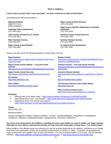#### **PETS & ANIMALS**

## **I had to leave my pets when I was evacuated. Are there resources to help me find them?**

The following are lost animal hotlines:

**National Hotlines** (888) PETS-911 (800) HUMANE-1

**Calistoga Police Department** (707) 942-2810

**Lake County Animal Care & Control**  (707) 263-0278

**Marin Humane Society** (415) 883-4621

**Napa County Animal Shelter** (707) 253-4382

**Napa County Animal Services** (707) 253-4509

**Napa County Sheriff's Department Yountville substation** (707) 944-9228

**Sonoma County Animal Services** (707) 565-7100

**Sonoma Humane Society** (707) 542-0882

**St. Helena Police Department** (707) 967-2850

Owners can also check the following websites to help locate a lost pet:

**Napa Humane**

*[https://napahumane.org/lost-and-found/what-to-do-if-you](https://napahumane.org/lost-and-found/what-to-do-if-you-have-lost-a-pet/)[have-lost-a-pet/](https://napahumane.org/lost-and-found/what-to-do-if-you-have-lost-a-pet/)*

**Napa County Animal Shelter – Lost and Found Animals** *<http://services.countyofnapa.org/PetAdoption/Found.aspx>*

**Napa County Animal Services** *<http://www.countyofnapa.org/Sheriff/AnimalControl/>*

**Pet Harbor** *[http://www.petharbor.com](http://www.petharbor.com/)*

**Pets Lifeline** *<http://www.petslifeline.org/lost--found>*

#### **Solano County**

*[https://www.solanocounty.com/depts/sheriff/psd/animal\\_c](https://www.solanocounty.com/depts/sheriff/psd/animal_control/lost_pets/default.asp) [ontrol/lost\\_pets/default.asp](https://www.solanocounty.com/depts/sheriff/psd/animal_control/lost_pets/default.asp)*

**Sonoma County – Lost and Found Animals** *[http://sonomacounty.ca.gov/Health/Animal-Services/Lost](http://sonomacounty.ca.gov/Health/Animal-Services/Lost-and-Found/)[and-Found/](http://sonomacounty.ca.gov/Health/Animal-Services/Lost-and-Found/)*

**Sonoma Humane Society** *[http://sonomahumane.org/owner-support/lost-or-found-a](http://sonomahumane.org/owner-support/lost-or-found-a-pet/)[pet/](http://sonomahumane.org/owner-support/lost-or-found-a-pet/)*

*<http://sonomahumane.org/fire/>*

**The Humane Society of the United States** *[http://www.hsus.org](http://www.hsus.org/)*

**Wine Country Animal Lovers** *<http://www.winecountryanimallovers.org/about/>*

#### **Facebook**

- Missing Pets of the Napa Valley **–** *<https://www.facebook.com/groups/1528329097403205/>*
- Napa/Santa Rosa Fires: Lost Animals **–** *<https://www.facebook.com/groups/1487787007975978/>*
- Napa/Santa Rosa Fires Animal Evacuations **–** *<https://www.facebook.com/groups/NapaSantaRosaFireAnimalEvacuations/>*

**Twitter** [@CALFIRE\\_PIO](https://twitter.com/CALFIRE_PIO)

# [@napacountyfire](https://twitter.com/napacountyfire)

Popular hashtags for Northern California wildfires: #CAfires, #CaliforniaWildfires, #NapaFires, #northbayfires, #TubbsFire, #AtlasFire, #RedwoodComplex, #RedwoodFire, #NunsFire, #PatrickFire

#### **Our house was destroyed by the wildfires, including the barns and stables we used to shelter our larger animals. Although we were able to evacuate the animals, we now must find some place to keep them. Can anyone help?**

Many shelters in the affected areas are continuing to care for animals displaced by the wildfires, sometimes at no charge. Most Red Cross evacuation centers are accepting household pets in carriers or crates. If possible, pet guardians are urged to bring their own supplies such as food and leashes. For a list of animal shelters in your area, visit the following websites: *<https://www.petfinder.com/animal-shelters-and-rescues/>* or *<http://www.rescuers.com/shelters.htm>*.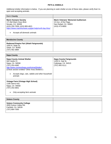## **PETS & ANIMALS**

Additional shelter information is below. If you are planning to seek shelter at one of these sites, please verify that it is open and accepting animals.

| <b>Marin Veterans' Memorial Auditorium</b><br><b>Marin Humane Society</b><br>171 Bel Marin Keys Blvd.<br>10 Ave. of the Flags<br>San Rafael, CA 94903<br>Novato, CA 94949<br>(415) 250-7009; (415) 883-4621<br>(415) 473-6800<br>https://www.marinhumane.org/get-help/north-bay-fires/<br>Accepts all domestic animals | <b>Marin County</b> |  |
|------------------------------------------------------------------------------------------------------------------------------------------------------------------------------------------------------------------------------------------------------------------------------------------------------------------------|---------------------|--|
|                                                                                                                                                                                                                                                                                                                        |                     |  |

# **Mendocino County**

**Redwood Empire Fair (Ukiah Fairgrounds)** 1055 N. State St. Ukiah, CA 95482 (707) 462-3884

| <b>Napa County</b>                                                                                                                                                                                                                                    |                                                                                            |
|-------------------------------------------------------------------------------------------------------------------------------------------------------------------------------------------------------------------------------------------------------|--------------------------------------------------------------------------------------------|
| <b>Napa County Animal Shelter</b><br>942 Hartle Ct.<br>Napa, CA 94558<br>(707) 253-4382<br>http://www.countyofnapa.org/AnimalShelter/<br>(Check section entitled "Other Area Shelters")<br>Accepts dogs, cats, rabbits and other household<br>animals | <b>Napa County Fairgrounds</b><br>1435 N. Oak St.<br>Calistoga, CA 94515<br>(707) 942-5111 |
| <b>Vintage Farm (Vintage High School)</b><br>1185 Sierra Ave.<br>Napa, CA 94558<br>(707) 253-3601<br>Only accepting farm animals                                                                                                                      |                                                                                            |

| <b>Solano County</b>                                                                               |  |
|----------------------------------------------------------------------------------------------------|--|
| <b>Solano Community College</b><br>4000 Suisun Valley Rd.<br>Fairfield, CA 94534<br>(707) 864-7000 |  |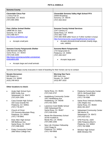| <b>Sonoma County</b>                                                                                                                                                                                          |                                                                                                                                                                                                                                                                                                    |
|---------------------------------------------------------------------------------------------------------------------------------------------------------------------------------------------------------------|----------------------------------------------------------------------------------------------------------------------------------------------------------------------------------------------------------------------------------------------------------------------------------------------------|
| <b>Cloverdale Citrus Fair</b><br>1 Citrus Fair Dr.<br>Cloverdale, CA 95425<br>(707) 894-3992                                                                                                                  | <b>Cloverdale Sonoma Valley High School FFA</b><br>20000 Broadway<br>Sonoma, CA 95476<br>(707) 933-4010                                                                                                                                                                                            |
| <b>Pets Lifeline Animal Shelter</b><br>19686 8th St. East<br>Sonoma, CA 95476<br>(707) 996-4577<br>http://www.petslifeline.org/<br>Accepts small pets                                                         | <b>Sonoma County Animal Services</b><br>1247 Century Ct.<br>Santa Rosa, CA 95403<br>(707) 565-7100<br>(707) 565-4648 (after hours or if other number is busy)<br>http://sonomacounty.ca.gov/health/animal-services/<br>Accepts domestic/small animals (mainly dogs,<br>$\bullet$<br>cats, rabbits) |
| <b>Sonoma County Fairgrounds Shelter</b><br>1350 Bennett Valley Rd.<br>Santa Rosa, CA 95404<br>(707) 545-4200<br>http://www.sonomacountyfair.com/animal-<br>evacuation.php<br>Accepts large and small animals | Sonoma-Marin Fairgrounds<br>175 Fairgrounds Dr.<br>Petaluma, CA 94952<br>(707) 283-3247<br>Accepts large pets                                                                                                                                                                                      |

Sonoma and Napa county evacuees in need of boarding for their horses can try to contact:

| <b>Novato Horsemen</b> | <b>Morning Star Farm</b> |
|------------------------|--------------------------|
| 600 Bugeia Ln.         | 885 Sutro Ave.           |
| Novato, CA 94945       | Novato, CA 94947         |
| (415) 246-9423         | (415) 897-1633           |

# **Other locations to check:**

- Analy High School Gym 6950 Analy Ave. Sebastopol, CA 95472 (707) 824-2300
- Casa Grande High School 333 Casa Grande Rd. Petaluma, CA 94954, (707) 778-4677
- Church of Christ 370 Sonoma Mountain Pkwy. Petaluma, CA 94954 (707) 778-0842
- Elsie Allen High School 599 Bellevue Ave. Santa Rosa, CA 95407 (707) 598-5020
- **Finley Community Center** 2060 West College Ave.

Santa Rosa, CA 95401 (707) 543-3737

- Healdsburg Community Center 1557 Healdsburg Ave. Healdsburg, CA 95548 (707) 431-3303
- Lawrence Cook Middle School 2480 Sebastopol Rd. Santa Rosa, CA 95407 (707) 528-5156
- Monte Rio Elementary School 20700 Foothill Dr. Monte Rio, CA 95462 (707) 865-2266
- New Life Christian Fellowship 1310 Clegg St. Petaluma, CA 94954 (707) 765-0956
- Petaluma Community Center 320 N. McDowell Blvd. Petaluma, CA 94954 (707) 778-4380
- Santa Rosa Veterans Building 1351 Maple Ave. Santa Rosa, CA 95404 (844) 301-8227
- Sebastopol Community Center 390 Morris St. Sebastopol, CA 95472 (707) 823-1511
- VFW Post No. 1929 1094 Petaluma Blvd S. Petaluma, CA 94952 (707) 762-5698
- Windsor High School 8695 Windsor Rd.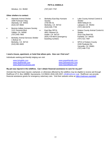## **PETS & ANIMALS**

Windsor, CA 95492 (707) 837-7767

# **Other shelters to contact:**

- [Alameda Animal Shelter](http://www.alamedaanimalshelter.org/) 1590 Fortmann Way Alameda, CA 94501 (510) 337-8565
- Benicia-Valleio Humane Society 1121 Sonoma Blvd. Vallejo, CA 94590 (707) 645-7905
- [Berkeley Animal Services Shelter](http://www.ci.berkeley.ca.us/animalservices/) 1 Bolivar Dr. Berkeley, CA 94710 (510) 981-6600
- [Berkeley-East Bay Humane](http://www.berkeleyhumane.org/)  [Society](http://www.berkeleyhumane.org/) 2700 9th St. Berkeley, CA 94710 (510) 845-7735
	- East Bay SPCA 4651 Gleason Dr. Dublin, CA 94710 (925) 479-9670 (emergency boarding number)
- Lake County Animal Control & **Shelter** 4949 Helbush Dr. Lakeport, CA 95453 (707) 263-0278
- Solano County Animal Control & **Shelter** 2510 Clay Bark Rd. Fairfield, CA 94533 (707) 421-7487
- SPCA of Solano County 2200 Peabody Rd. Vacaville, CA 95681 (707) 448-7722

# **I need a house, apartment, or hotel that allows pets. How can I find one?**

Individuals seeking pet-friendly lodging can visit:

*[www.bringfido.com](http://www.bringfido.com/) [www.dogfriendly.com](http://www.dogfriendly.com/) [www.doginmysuitcase.com](http://www.doginmysuitcase.com/)* *[www.gopetfriendly.com](http://www.gopetfriendly.com/travel) [www.petswelcome.com](http://www.petswelcome.com/) [www.tripswithpets.com](http://www.tripswithpets.com/)*

#### **My pet was injured in the wildfires. Can I obtain financial assistance to care for my pet?**

Animals that have been injured, orphaned, or otherwise affected by the wildfires may be eligible to receive aid through RedRover (P.O. Box 188890, Sacramento, CA 95818; (916) 429-2457; *[info@redrover.org](mailto:info@redrover.org)*). RedRover can provide financial assistance grants for emergency veterinary care. Visit their website online at *<https://redrover.org/relief/>*.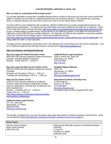# **LAWYER REFERRAL SERVICES & LEGAL AID**

## **Who can help me understand all these legal issues?**

It is strongly advisable to consult with a qualified attorney about a number of the issues you may face as the result of the wildfires, including, but not limited to, obtaining benefits from your insurance policies. If you already have a personal, family, or business attorney, you may want to reach out to him or her for advice and/or a referral.

For those without a prior relationship with an attorney, Northern California has a number of legal referral services and legal services organizations. The referral services listed below have been certified by the State Bar of California. Check out the State Bar's lawyer referral web page, *<http://www.calbar.ca.gov/Public/Need-Legal-Help/Lawyer-Referral-Service>*, to get a complete listing of certified lawyer referral services in all California counties, or call (866) 442-2529 (toll free in California) or (415) 538-2250 (from outside California). The State Bar of California also publishes a consumer pamphlet, "How Can I Find and Hire the Right Lawyer?" which can be obtained online at *[http://www.calbar.ca.gov/Portals/0/documents/publications/Find-Lawyer\\_English.pdf?ver=2017-05-19-134005-260](http://www.calbar.ca.gov/Portals/0/documents/publications/Find-Lawyer_English.pdf?ver=2017-05-19-134005-260)* or by calling (888) 875-5297 or (415) 538-2280.

The legal services organizations listed below work in the affected areas and primarily serve low-income individuals. A full list of California's legal aid and self-help resources can be found at *[http://www.lawhelpca.org/.](http://www.lawhelpca.org/)*

## **Help Line Numbers and Regional Referrals**

#### **Bay Area Legal Aid Health Consumer Center**

(855) 693-7285 (Serving residents of Napa and Sonoma Counties, including displaced residents) Monday – Friday, 9:00 a.m. – 5:00 p.m.

## **Bay Area Legal Aid Help Line for Victims of Fire**

(800) [551-5554](tel:+1-800-551-5554) (Serving residents of Napa and Sonoma Counties) Mondays and Thursdays, 9:30 a.m. – 3:00 p.m. Tuesdays and Wednesdays, 9:30 a.m. – 1:00 p.m.

#### **Help Line for Victims of Fir***e*

(415) 575-3120 (Serving residents of all affected counties; organized through a collaboration of legal services organizations, the State Bar of California, and other organizations) Monday – Thursday, 8:30 a.m. – 8:00 p.m. Friday, 8:30 a.m. – 5:30 p.m. *[https://www.acbanet.org/volunteer-legal-services/bay](https://www.acbanet.org/volunteer-legal-services/bay-area-resilience-collaborative/)[area-resilience-collaborative/](https://www.acbanet.org/volunteer-legal-services/bay-area-resilience-collaborative/)*

# **California Indian Legal Services**

117 J St., Suite 300 Sacramento, CA 95814 (800) 829-0284 *<http://www.calindian.org/>*

# **California Rural Legal Assistance**

1260 N. Dutton Ave, Suite 105 Santa Rosa, CA 95401 (707) 528-9941 *<http://crla.org/>*

## **Disability Rights California**

1831 K St. Sacramento, CA 95811 (800) 776-5746 *<http://www.disabilityrightsca.org/>*

#### **International Institute of the Bay Area**

17790 Greger St. Sonoma, CA 95476 (707) 939-8864 *<http://www.iibayarea.org/>*

(immigration legal services by appointment only)

The website LawHelpCA.org, also has information about legal help related to "Disaster Assistance and Recovery," which can be viewed at *<http://www.lawhelpca.org/subtopics/disaster-assistance-and-recovery?page=0>*.

| <b>Butte County</b>                                                              |                                                                                                                          |
|----------------------------------------------------------------------------------|--------------------------------------------------------------------------------------------------------------------------|
| <b>Attorney Search Network</b><br><b>Butte Lawyer Referral</b><br>(800) 215-1190 | Butte County Self-Help Assistance and Referral Program<br>(SHARP)<br>1 Court St.<br>Oroville, CA 95965<br>(530) 532-7015 |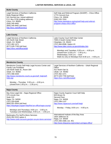# **LAWYER REFERRAL SERVICES & LEGAL AID**

| <b>Butte County</b>                                                                                                                                                                                                                                                                                         |                                                                                                                                                                                                                                                                                                                                                    |  |  |
|-------------------------------------------------------------------------------------------------------------------------------------------------------------------------------------------------------------------------------------------------------------------------------------------------------------|----------------------------------------------------------------------------------------------------------------------------------------------------------------------------------------------------------------------------------------------------------------------------------------------------------------------------------------------------|--|--|
| Legal Services of Northern California<br><b>Butte Regional Office</b><br>541 Normal Ave. (street address)<br>P.O. Box 3728 (mailing address)<br>Chico, CA 95928<br>(530) 345-9491<br>(800) 345-9491 (toll free)<br>http://lsnc.net/office/chico                                                             | Self Help and Referral Program (SHARP) - Chico Office<br>1775 Concord Ave.<br>Chico, CA 95928<br>(530) 532-7024<br>http://www.lawhelpca.org/org/self-help-and-referral-<br>program-sharp-chico-office                                                                                                                                              |  |  |
| <b>Lake County</b>                                                                                                                                                                                                                                                                                          |                                                                                                                                                                                                                                                                                                                                                    |  |  |
| Legal Services of Northern California<br>421 North Oak Street<br>Ukiah, CA 95482<br>(707) 462-1471<br>(877) 529-7700 (toll free)<br>https://lsnc.net/office/ukiah                                                                                                                                           | Lake County Court Self-Help Center<br>7000-A South Center Drive<br>Clearlake, CA 95422<br>(707) 994-6598, Option #3<br>http://www.lake.courts.ca.gov/sh/index.htm<br>Mondays and Tuesdays, $8:30$ a.m. $-4:00$ p.m.<br>(closed from 12:00 p.m. - 1:00 p.m.)<br>Wednesdays, 8:30 a.m. - noon<br>Walk-ins only on Mondays from 8:30 a.m. - 4:00 p.m. |  |  |
|                                                                                                                                                                                                                                                                                                             |                                                                                                                                                                                                                                                                                                                                                    |  |  |
| <b>Mendocino County</b><br>Mendocino County Self-Help Legal Access Center and<br><b>Family Law Facilitator</b><br>100 North State St., Room 304<br><b>Ukiah, CA 95482</b><br>(707) 468-2020<br>http://www.mendocino.courts.ca.gov/self_help/self-<br>help.asp                                               | Legal Services of Northern California - Ukiah Regional<br>Office<br>421 North Oak St.<br><b>Ukiah, CA 95482</b><br>(707) 462-1471<br>(877) 529-7700 (toll free)<br>https://lsnc.net/office/ukiah                                                                                                                                                   |  |  |
| Monday - Thursday: $9:30$ a.m. $-4:00$ p.m.<br>(closed from 1:00 p.m. - 1:30 p.m.)                                                                                                                                                                                                                          |                                                                                                                                                                                                                                                                                                                                                    |  |  |
| <b>Napa County</b>                                                                                                                                                                                                                                                                                          |                                                                                                                                                                                                                                                                                                                                                    |  |  |
| Bay Area Legal Aid - Napa Regional Office<br>575 Lincoln Ave.<br>Suite 210<br>Napa, CA 94558<br>(707) 320-6348<br>(800) 551-5554 (toll free)<br>https://baylegal.org/get-help/find-an-office/napa-county/<br>Mondays and Thursdays, 9:00 a.m. - 3:00 p.m.<br>Tuesdays and Wednesdays, 9:00 a.m. - 1:00 p.m. | Napa County Superior Court Self-Help<br>825 Brown St.<br>Second Floor<br>Napa, CA 94559<br>(707) 299-1137<br>http://www.napacourt.com/self-help/<br>Monday - Friday, 8:00 a.m. - 4:00 p.m.                                                                                                                                                         |  |  |
| Bankruptcy Pro Se/Pro Bono Services<br>(510) 302-2222 option 4<br>http://www.canb.uscourts.gov/pro-se-pro-bono-services/                                                                                                                                                                                    | International Institute of the Bay Area<br>1820 Jefferson St.<br>Napa, CA 94559<br>(707) 266-1568, ext. 401<br>http://www.iibayarea.org/contact-us/napa-office/                                                                                                                                                                                    |  |  |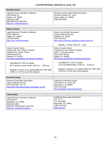| <b>Nevada County</b>                                                                                                                                           |                                                                                                                   |
|----------------------------------------------------------------------------------------------------------------------------------------------------------------|-------------------------------------------------------------------------------------------------------------------|
| Legal Services of Northern California<br>190 Reamer St.<br>Auburn, CA 95603<br>$(530)$ 823-7560<br>(800) 660-6107 (toll free)<br>http://lsnc.net/office/auburn | Nevada County Lawyer Referral Service<br>120 North Auburn St., #214<br>Grass Valley, CA 95945<br>$(530)$ 888-1836 |

| <b>Solano County</b>                                                                                                                |                                                                                                                                                                                             |
|-------------------------------------------------------------------------------------------------------------------------------------|---------------------------------------------------------------------------------------------------------------------------------------------------------------------------------------------|
| Legal Services of Northern California<br>1810 Capitol St.<br>Vallejo, CA 94590<br>(707) 643-0054<br>https://lsnc.net/office/vallejo | Solano County Bar Association<br>Lawyer Referral Service<br>Fairfield, CA 94533<br>(707) 422-0127<br>http://www.solanobar.org/lawyer-referral-service/<br>Monday - Friday, 8:00 a.m. - noon |
| Solano County Library                                                                                                               | Solano County Library                                                                                                                                                                       |
| "Lawyers @ Your Library" Program                                                                                                    | "Lawyers @ Your Library" Program                                                                                                                                                            |
| <b>Fairfield Civic Center Library</b>                                                                                               | John F. Kennedy Library                                                                                                                                                                     |
| 1150 Kentucky St.                                                                                                                   | 505 Santa Clara St.                                                                                                                                                                         |
| Fairfield, CA 94533                                                                                                                 | Vallejo, CA 94590                                                                                                                                                                           |
| http://www.solanolibrary.com/legal-assistance                                                                                       | http://www.solanolibrary.com/legal-assistance                                                                                                                                               |
| Call (866) 572-7587 for details                                                                                                     | Call (866) 572-7587 for details                                                                                                                                                             |
| 4th Tuesday of each month, 6:00 p.m. $-8:00$ p.m.                                                                                   | 1st & 3rd Wednesdays, 6:00 p.m. - 8:00 p.m.                                                                                                                                                 |
| Register in person or by calling (866) 572-7587 after                                                                               | Register in person or by calling (866) 572-7587 after                                                                                                                                       |
| 10:00 a.m. on the day of the program.                                                                                               | 10:00 a.m. on the day of the program.                                                                                                                                                       |

| <b>Sonoma County</b>                        |                                      |
|---------------------------------------------|--------------------------------------|
| Sonoma County Bar Association               | Legal Aid of Sonoma County           |
| Lawyer Referral Service                     | 144 South E St., Suite 100           |
| (707) 546-5297, Ext. 12                     | Santa Rosa, CA 95404                 |
| http://www.sonomacountybar.org/?page_id=145 | (707) 542-1290                       |
|                                             | http://legalaidsc.org/programs/lsrp/ |

| <b>Yuba County</b>                    |                                   |
|---------------------------------------|-----------------------------------|
| Legal Services of Northern California | California Rural Legal Assistance |
| 619 North St.                         | 511 "D" St.                       |
| Woodland, CA 95695                    | P.O. Box 2600                     |
| $(530)$ 662-1065                      | Marysville, CA 95901              |
| (530) 207-4250 (Senior Link Line)     | (530) 742-5191                    |
| http://lsnc.net/office/woodland       | http://crla.org/                  |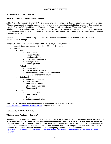# **DISASTER HELP CENTERS**

# **DISASTER RECOVERY CENTERS**

# **What is a FEMA Disaster Recovery Center?**

A FEMA Disaster Recovery Center (DRC) is a facility where those affected by the wildfires may go for information about FEMA programs or other disaster assistance programs and to ask questions related to their situation. Representatives from the Governor's Office of Homeland Security and Emergency Preparedness, FEMA, U.S. Small Business Administration (SBA), volunteer groups, and other agencies are at DRCs to answer questions about disaster assistance and low-interest disaster loans for homeowners, renters, and businesses. They can also help survivors apply for federal disaster assistance.

As of October 20, 2017, the following is the only DRC that has been established in Northern California, but this information could change:

## **Sonoma County: Hanna Boys Center, 1700 Arnold Dr., Sonoma, CA 95476**

- Hours of Operation: Monday Sunday, 9:00 a.m. 7:00 p.m.
- Services:
- FEMA
	- FEMA, Other
	- Hazard Mitigation
	-
	- Housing Assistance<br>• Other Needs Assista **Other Needs Assistance**
	- Teleregistration
	- Web Registration
	- **Federal** 
		- Federal, Other
		- Internal Revenue Service
		- Small Business Administration Home Loan
		- U.S. Department of Agriculture
	- State/Local
		- Aging/Senior Services
		- Crisis Counseling
		- State Health Services
		- State Housing Services
		- State/Local, Other
	- **Other** 
		- General Information
		- Legal Referrals
		- Other
		- Volunteer Organizations

Additional DRCs may be added in the future. Please check the FEMA website here: *<https://asd.fema.gov/inter/locator/mobile.htm>* for up-to-date information.

# **LOCAL ASSISTANCE CENTERS**

#### **What are Local Assistance Centers?**

A number of Local Assistance Centers (LACs) are open to assist those impacted by the California wildfires. LACs include representatives from the Employment Development Department and other local, state, and federal agencies, as well as non-profit and voluntary organizations with disaster assistance programs and services, including unemployment benefits and payroll tax extensions for employers. The locations and hours of LACs are subject to change. For a current list of locations, please visit California Governor's Office of Emergency Services – LAC website here: *[http://www.oesnews.com/local-assistance-centers-are-available-for-wildfire-victims-in-california-counties-in-orange](http://www.oesnews.com/local-assistance-centers-are-available-for-wildfire-victims-in-california-counties-in-orange-sonoma/)[sonoma/](http://www.oesnews.com/local-assistance-centers-are-available-for-wildfire-victims-in-california-counties-in-orange-sonoma/)*.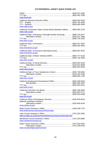# **STATE/FEDERAL AGENCY QUICK PHONE LIST**

| www.fema.gov                                                                                    |  |  |
|-------------------------------------------------------------------------------------------------|--|--|
| www.oag.ca.gov                                                                                  |  |  |
| California Contractors State License Board (disaster hotline) (800) 962-1125<br>www.cslb.ca.gov |  |  |
| California Dept. of Business Oversight (lender licensing) (866) 275-2677<br>www.dbo.ca.gov      |  |  |
| www.insurance.ca.gov                                                                            |  |  |
| California Dept. of Insurance (licensing issues) (800) 967-9331<br>www.insurance.ca.gov         |  |  |
| www.dmv.ca.gov                                                                                  |  |  |
| www.cdss.ca.gov                                                                                 |  |  |
| California Dept. of Toxic Substances Control  (800) 728-6942<br>www.dtsc.ca.gov                 |  |  |
| California Employment Development Office  (800) 300-5616<br>www.edd.ca.gov                      |  |  |
| www.ftb.ca.gov                                                                                  |  |  |
| (disaster assistance division)<br>www.caloes.ca.gov                                             |  |  |
| www.buttecounty.net/assessor/Home.aspx                                                          |  |  |
| www.co.lake.ca.us/Government/Directory/Assessor-Recorder.htm                                    |  |  |
| www.mendocinocounty.org                                                                         |  |  |
|                                                                                                 |  |  |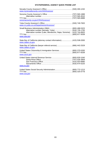# **STATE/FEDERAL AGENCY QUICK PHONE LIST**

| www.mynevadacounty.com/163/Assessor                                                        |  |
|--------------------------------------------------------------------------------------------|--|
| sonomacounty.ca.gov/CRA/Assessor/                                                          |  |
| www.co.yuba.ca.us/Departments/Assessor/                                                    |  |
| Alternative number (Lake, Mendocino, Napa, Sonoma) (415) 744-6820<br>www.sba.gov           |  |
| State Bar of California (attorney contact information) (415) 538-2000<br>www.calbar.ca.gov |  |
| State Bar of California (lawyer referral service)  (866) 442-2529<br>www.calbar.ca.gov     |  |
| United States Citizenship & Immigration Services (800) 375-5283<br>www.uscis.gov           |  |
| www.irs.gov                                                                                |  |
| United States Social Security Administration (800) 772-1213<br>www.ssa.gov                 |  |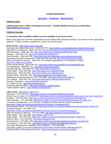# **[Agriculture](#page-90-0) – [Healthcare](#page-91-0) – Miscellaneous**

# **California State**

## **California Governor's Office of Emergency Services – October Wildfires Resources & Information, <http://wildfirerecovery.org/>**

# **California Counties**

# **Is assistance with my wildfire-related concerns available in my local county?**

Many county agencies and other organizations may be able to offer assistance directly, or by referral to other appropriate agencies. Contact numbers, organized by county, are set forth below.

#### **Butte County:** *<https://www.buttecounty.net/>*

Agriculture and Natural Resources: (530) 538-7201, *[http://cebutte.ucanr.edu/Agriculture\\_Natural\\_Resources/](http://cebutte.ucanr.edu/Agriculture_Natural_Resources/)* Agricultural Commissioner: (530) 538-7381, *<http://www.buttecounty.net/agriculturalcommissioner/Home.aspx>* Animal Services: (530) 538-7409, *<http://www.buttecounty.net/publichealth/Animals.aspx>* Assessor: (530) 538-7721, *<http://www.buttecounty.net/assessor/>* Clerk-Recorder: (530) 538-7691, *<https://clerk-recorder.buttecounty.net/recorder/rechome.html>* Development Services Department: (530) 538-7601 (permits), *<http://www.buttecounty.net/dds/>* Office of Emergency Services: (530) 538-7373 (disaster preparedness, Fire Assistance Center), *<http://www.buttecounty.net/oem/>* Environmental Health: (530) 538-7281, *<http://www.buttecounty.net/ph/EnvironmentalHealth.aspx>* Fire Department: (530) 538-7111, *<http://www.buttecounty.net/fire/>* Housing Authority: (530) 895-4474, *<http://www.butte-housing.com/>* Public Health: (530) 538-7581, *<http://www.buttecounty.net/publichealth/>* Public Works: (530) 538-7681, *<http://www.buttecounty.net/publicworks/>* Sheriff's Office: (530) 538-7321, *<http://www.buttecounty.net/sheriffcoroner/>* Employment and Social Services: (877) 410-8803, *<http://www.buttecounty.net/dess/>* Tax Collector: (530) 538-7701, *<http://www.buttecounty.net/treasurertaxcollector/>* Donation Information: *<https://www.buttecounty.net/>* 2-1-1 Butte County: *<http://www.helpcentral.org/>* Facebook (Sheriff's Office): *<https://www.facebook.com/bcsonews/>* Twitter (Sheriff's Office): *<https://twitter.com/buttesheriff>*

**Lake County:** *<http://www.co.lake.ca.us/>*

Agriculture: (707) 263-0217, *<http://www.co.lake.ca.us/Government/Directory/Ag.htm>* Animal Care & Control: (707) 263-0278, *[http://www.co.lake.ca.us/Government/Directory/Animal\\_Care\\_And\\_Control.htm](http://www.co.lake.ca.us/Government/Directory/Animal_Care_And_Control.htm)* Assessor*:* (707) 263-2302, *<http://www.co.lake.ca.us/Government/Directory/Assessor-Recorder.htm>* Clerk-Recorder*:* (707) 263-2293, *<http://www.co.lake.ca.us/Government/Directory/Assessor-Recorder.htm>* Community Development*:* (707) 263-2221 (building and safety; permits; disaster assistance), *[http://www.co.lake.ca.us/Government/Directory/Community\\_Development.htm](http://www.co.lake.ca.us/Government/Directory/Community_Development.htm)* Environmental Health: (707) 263-1164, *[http://www.co.lake.ca.us/Government/Directory/Environmental\\_Health.htm](http://www.co.lake.ca.us/Government/Directory/Environmental_Health.htm)* Housing Programs: (707) 995-3744, *[http://www.co.lake.ca.us/Government/Directory/Social\\_Services/Programs/Housing.htm](http://www.co.lake.ca.us/Government/Directory/Social_Services/Programs/Housing.htm)* Office of Emergency Services: (707) 262-4090, *<http://www.lakesheriff.com/About/OES.htm>* Public Health: (707) 263-1090, *<http://health.co.lake.ca.us/>* Public Works: (707) 263-2341, *[http://www.co.lake.ca.us/Government/Directory/Public\\_Works.htm](http://www.co.lake.ca.us/Government/Directory/Public_Works.htm)* Sheriff's Office: (707) 262-4200, *<http://www.lakesheriff.com/>* Social Services: (707) 995-4200, *[http://www.co.lake.ca.us/Government/Directory/Social\\_Services.htm](http://www.co.lake.ca.us/Government/Directory/Social_Services.htm)* Tax Collector*:* (707) 263-2234, *<http://www.co.lake.ca.us/Government/Directory/tax.htm>* Fire Debris Management: Frequently Asked Questions*:* (707) 263-2580, *<http://www.co.lake.ca.us/Assets/Departments/CDD/Valley+Fire/Fire+Debris+Management.pdf>* Facebook (Office of Emergency Services): *<https://www.facebook.com/LakeCountyOES>*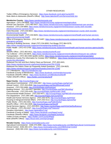Twitter (Office of Emergency Services): *<https://www.facebook.com/LakeCountyOES>* Nixle Alerts & Advisories (Sheriff's Office): *<http://www.lakesheriff.com/Services/nixle.htm>*

**Mendocino County:** *<https://www.mendocinocounty.org/>*

Agriculture: (707) 234-6830, *<https://www.mendocinocounty.org/government/agriculture>* Animal Care Services*:* (707) 463-4427, *<https://www.mendocinocounty.org/government/animal-care-services>* Assessor: (707) 234-6800, *[https://www.mendocinocounty.org/government/assessor-county-clerk-recorder](https://www.mendocinocounty.org/government/assessor-county-clerk-recorder-elections/assessor-services-forms)[elections/assessor-services-forms](https://www.mendocinocounty.org/government/assessor-county-clerk-recorder-elections/assessor-services-forms)* Clerk-Recorder: (707) 234-6822, *[https://www.mendocinocounty.org/government/assessor-county-clerk-recorder](https://www.mendocinocounty.org/government/assessor-county-clerk-recorder-elections/county-recorder)[elections/county-recorder](https://www.mendocinocounty.org/government/assessor-county-clerk-recorder-elections/county-recorder)* Environmental Health:(707) 234-6625, *[https://www.mendocinocounty.org/government/health-and-human-services](https://www.mendocinocounty.org/government/health-and-human-services-agency/environmental-health)[agency/environmental-health](https://www.mendocinocounty.org/government/health-and-human-services-agency/environmental-health)* Office of Emergency Services:(707) 467-6497, *[https://www.mendocinocounty.org/government/executive-office/office-of](https://www.mendocinocounty.org/government/executive-office/office-of-emergency-services)[emergency-services](https://www.mendocinocounty.org/government/executive-office/office-of-emergency-services)* Planning & Building Services: Ukiah (707) 234-6650; Fort Bragg (707) 964-5379, *<https://www.mendocinocounty.org/government/planning-building-services>* Public Health:(707) 472-2700, *[https://www.mendocinocounty.org/government/health-and-human-services-agency/public](https://www.mendocinocounty.org/government/health-and-human-services-agency/public-health)[health](https://www.mendocinocounty.org/government/health-and-human-services-agency/public-health)* Sheriff's Office: (707) 463-4411, *<http://www.mendocinosheriff.com/>* Tax Collector*:* (707) 234-6875, *<https://www.mendocinocounty.org/government/collections/treasurer-tax-collector>* Transportation: (707) 463-4363 (public works), *<https://www.mendocinocounty.org/government/transportation>* Mendocino County Fire Information for October 2017 Wildfires: *[https://www.mendocinocounty.org/community/mendocino](https://www.mendocinocounty.org/community/mendocino-county-fire-information)[county-fire-information](https://www.mendocinocounty.org/community/mendocino-county-fire-information)* Redwood Fire Ash and Burn Debris Clean-up Removal: *(*707) 463-4441, *<https://www.mendocinocounty.org/home/showdocument?id=12334>* Redwood Fire Debris Clean-up Frequently Asked Questions*: (*707) 234-6625, *<https://www.mendocinocounty.org/home/showdocument?id=12340>* 2-1-1 Mendocino: *<http://211mendocino.org/>* Facebook (County of Mendocino): *<https://www.facebook.com/mendocinocounty/>* Facebook (Sheriff's Office): *<https://www.facebook.com/MendocinoSheriff/>* Twitter (Sheriff's Office): *<https://twitter.com/mendosheriff>* **Napa County:** *<http://countyofnapa.org/>* Agricultural Commissioner: (707) 253-4357, *<http://www.countyofnapa.org/AgCom/>* Animal Control: (707) 253-4509, *<http://countyofnapa.org/Sheriff/AnimalControl/>* Assessor: (707) 253-4466, *<http://countyofnapa.org/Assessor/>* Building Division: 707) 253-4417 (permits), *<http://countyofnapa.org/PBES/Building/>* Clerk-Recorder: (707) 253-4105, *<http://countyofnapa.org/Recorder-Clerk/>* Environmental Health Division: (707) 253-4471, *<http://countyofnapa.org/PBES/Environmental/>* Fire Department: (707) 299-1466, *<http://countyofnapa.org/CountyFire/>* Health and Human Services Agency: (707) 253-4279, *<http://countyofnapa.org/HHSA/>* Housing & Intergovernmental Affairs: (707) 253-4112, *<http://countyofnapa.org/ceo/hia/>* Public Works: (707) 253-4351, *<http://countyofnapa.org/PublicWorks/>* Sheriff's Office: (707) 253-4509, *<http://countyofnapa.org/Sheriff/>* Social Services Agency: (707) 253-4511, *<http://www.countyofnapa.org/HHSA/SelfSufficiency/>* Tax Collector: (707) 253-4327, *<http://countyofnapa.org/Treasurer/>*

Donation Information: *<http://www.napavalleycf.org/>*

Facebook (County of Napa): *<https://www.facebook.com/NapaCounty/>* Facebook (Sheriff's Office): *<https://www.facebook.com/NapaCountySO/>*

Twitter (County of Napa): *<https://twitter.com/CountyofNapa>*

Nixle (Sheriff's Office): *<https://local.nixle.com/city/ca/napa/>*

**Nevada County:** *<https://www.mynevadacounty.com/>*

Agricultural Commissioner: (530) 470-2690, *<https://www.mynevadacounty.com/982/Agricultural-Commissioner>* Animal Control: (530) 265-1471, *<https://www.mynevadacounty.com/208/Animal-Control>* Assessor: (530) 265-1232, *<https://www.mynevadacounty.com/163/Assessor>*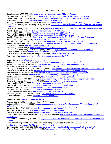Clerk-Recorder: (530) 265-1221, *<https://www.mynevadacounty.com/235/Clerk-Recorder>* Environmental Health: (530) 265-1222, *<https://www.mynevadacounty.com/1470/Environmental-Health>* Farm Advisor Division: (530) 889-7385, *<https://www.mynevadacounty.com/1660/Farm-Advisor-Division>* Fire Districts: *<https://www.mynevadacounty.com/1314/Fire-Districts>* Housing & Community Services: (530) 265-1645, *<https://www.mynevadacounty.com/539/Housing-Community-Services>* Lobo and McCourtney Fire Recovery: (530) 265-1218, *[https://www.mynevadacounty.com/2357/Lobo-and-McCourtney-](https://www.mynevadacounty.com/2357/Lobo-and-McCourtney-Fire-Recovery)[Fire-Recovery](https://www.mynevadacounty.com/2357/Lobo-and-McCourtney-Fire-Recovery)* Office of Emergency Services: (530) 265-1515, *<https://www.mynevadacounty.com/1182/Office-of-Emergency-Services>* Permits: (530) 265-1222, *<https://www.mynevadacounty.com/179/Permits>* Public Health: (530) 265-1450, *<https://www.mynevadacounty.com/551/Public-Health>* Public Works: (530) 265-1411, *<https://www.mynevadacounty.com/218/Public-Works>* Sheriff's Offic*e:* (530) 265-1471, *<https://www.mynevadacounty.com/150/Sheriff-Coroner-Public-Administrator>* Social Services: (530) 265-1340, *<https://www.mynevadacounty.com/879/Social-Services>* Tax Collector: (530) 265-1285, *<https://www.mynevadacounty.com/348/Treasurer-Tax-Collector>* Sand & Sandbags Available: (530) 265-1515, *<https://www.mynevadacounty.com/1240/Sand-Sandbags-Available>* 2-1-1 Nevada County: *<http://211connectingpoint.org/>* Facebook (Nevada County): *<https://www.facebook.com/NevadaCountyCA/>* Facebook (Nevada County Office of Emergency Services): *<https://www.facebook.com/NevadaCountyOES/>* Twitter (Nevada County): *<https://twitter.com/NevadaCountyCA>* Twitter (Nevada County Office of Emergency Services): *<https://twitter.com/NevCoOES>* Wildfire Updates: *<https://www.mynevadacounty.com/alertcenter.aspx?aid=4>* **Solano County:** *<http://www.solanocounty.com/>* Agriculture Department: (707) 784-1310, *<http://www.solanocounty.com/depts/agriculture/default.asp>* Animal Care Services*:* (707) 784-1356, *<http://www.solanocounty.com/depts/sheriff/animalcare/gi.asp>* Assessor: (707) 784-6210, *<http://www.solanocounty.com/depts/ar/>* Building and Safety Services*:* (707) 784-6765 (permits), *<http://www.solanocounty.com/depts/rm/buildingnsafety/about.asp>* Clerk-Recorder: (707) 784-6200, *[http://www.solanocounty.com/depts/ar/recorder/recording\\_section/](http://www.solanocounty.com/depts/ar/recorder/recording_section/)* Environmental Health: (707) 784-6765, *[http://www.solanocounty.com/depts/rm/environmental\\_health/](http://www.solanocounty.com/depts/rm/environmental_health/)* Fire & Police Departments: *<http://www.solanocounty.com/emergencies/firepolicedept.asp>* Health & Social Services:(707) 784-8600, *<http://www.solanocounty.com/depts/hss/>* Housing Programs: (707) 449-5675, *[http://www.solanocounty.com/depts/rm/planning/housing\\_programs.asp](http://www.solanocounty.com/depts/rm/planning/housing_programs.asp)* Office of Emergency Services: (707) 784-1600, *<http://www.solanocounty.com/depts/oes/>* Public Health: (707) 784-8600, *<http://www.solanocounty.com/depts/ph/>* Public Works: (707) 784-6765, *[http://www.solanocounty.com/depts/rm/public\\_works/](http://www.solanocounty.com/depts/rm/public_works/)* Sheriff's Office: (707) 784-7000, *<http://www.solanocounty.com/depts/sheriff/>* Tax Collector: (707) 784-7485, *<http://www.solanocounty.com/depts/ttcc/>* Current Emergency Information: *<http://solanocounty.azurewebsites.us/>*

Facebook (Solano County Sheriff's Office): *<https://www.facebook.com/SolanoSheriff/>* Twitter (Solano County Sheriff): *<https://twitter.com/SolanoSheriff>*

**Sonoma County:** *[http://sonomacounty.ca.gov](http://sonomacounty.ca.gov/)*

Sonoma County Public Information Hotline, (707) 565-3856

Agricultural Division: (707) 565-2371, *[http://sonomacounty.ca.gov/Agriculture-Weights-and-Measures/Agricultural-](http://sonomacounty.ca.gov/Agriculture-Weights-and-Measures/Agricultural-Division/)[Division/](http://sonomacounty.ca.gov/Agriculture-Weights-and-Measures/Agricultural-Division/)*

Animal Services: (707) 565-7100, *<http://sonomacounty.ca.gov/Health/Animal-Services/>*

Assessor: (707) 565-1888, *<http://sonomacounty.ca.gov/CRA/Assessor/>*

Clerk-Recorder: (707) 565-3800, *<http://sonomacounty.ca.gov/CRA/Clerk-Recorder/>*

Community Development Commission: (707) 565-7500 (housing), *[http://sonomacounty.ca.gov/Community-Development-](http://sonomacounty.ca.gov/Community-Development-Commission/)[Commission/](http://sonomacounty.ca.gov/Community-Development-Commission/)*

Debris and Ash Removal: (707) 565-3856, *[http://sonomacounty.ca.gov/Public-Safety/News/JIC-Debris-Removal-October-](http://sonomacounty.ca.gov/Public-Safety/News/JIC-Debris-Removal-October-17-8pm/)[17-8pm/](http://sonomacounty.ca.gov/Public-Safety/News/JIC-Debris-Removal-October-17-8pm/)* 

Emergency Management Division of the Fire and Emergency Services Department:(707) 565-1152, *<http://sonomacounty.ca.gov/FES/Emergency-Management/>*

Environmental Health: (707) 565-6565, *<http://sonomacounty.ca.gov/Health/Environmental-Health-and-Safety/>* Fire and Emergency Services: (707) 565-1152, *<http://sonomacounty.ca.gov/Fire-and-Emergency-Services/>*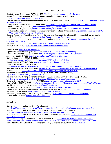Health Services Department: (707) 565-4700, *<http://sonomacounty.ca.gov/Health-Services/>* Human Services Department*:* (707) 565-5800 (economic assistance, benefit claims), *<http://sonomacounty.ca.gov/Human-Services/>* Permit & Resource Management Department: (707) 565-1900 (building permits), [http://sonomacounty.ca.gov/Permit-and-](http://sonomacounty.ca.gov/Permit-and-Resource-Management/)[Resource-Management/](http://sonomacounty.ca.gov/Permit-and-Resource-Management/) Transportation & Public Works: (707) 565-2231, *<http://sonomacounty.ca.gov/Transportation-and-Public-Works/>* Sheriff's Office: (707) 565-2511, *<http://sonomacounty.ca.gov/Sheriff-s-Office/>* Tax Collector: (707) 565-2631, *<http://sonomacounty.ca.gov/Auditor-Controller-Treasurer-Tax-Collector/>* Fire Information (recovery resources, community information, local assistance center): *[http://sonomacounty.ca.gov/EOC](http://sonomacounty.ca.gov/EOC-and-PIO/Fires-October-2017/Fire-Information/)[and-PIO/Fires-October-2017/Fire-Information/](http://sonomacounty.ca.gov/EOC-and-PIO/Fires-October-2017/Fire-Information/)* Housing Resources (Permit Sonoma Planning Division and Community Development Commission) (if you are displaced by wildfires): *<http://sonomacounty.ca.gov/PRMD/Planning/Housing-Resources/>* 2-1-1 Sonoma Fire and Disaster Services (disaster and post disaster services): *[http://211sonoma.org/fire-and](http://211sonoma.org/fire-and-emergency-services-2/)[emergency-services-2/](http://211sonoma.org/fire-and-emergency-services-2/)* Facebook (County of Sonoma): *<https://www.facebook.com/SonomaCountyCal>* Nixle (Sheriff's Office): *<https://local.nixle.com/sonoma-county-sheriffs-office/>* **Yuba County:** *<http://www.co.yuba.ca.us/>* Agricultural Commissioner: (530) 749-5400, *<http://www.co.yuba.ca.us/Departments/Ag/>* Animal Care Services: (530) 749-7777, *<http://sheriff.co.yuba.ca.us/Divisions/AnimalCare.aspx>* Assessor: (530) 749-7820, *[http://www.co.yuba.ca.us/Departments/Assessor](http://www.co.yuba.ca.us/Departments/Assessor/)*/ Building Department: (530) 749-5440 (permits), *<http://www.co.yuba.ca.us/Departments/Community%20Development/Building/>* Clerk-Recorder: (530) 749-7850, *<http://www.co.yuba.ca.us/departments/recorder/>* Community Services: (530) 749-5470, *<http://www.co.yuba.ca.us/departments/Community%20Development/Community%20Services/>* Environmental Health: (530) 749-5450, *<http://www.co.yuba.ca.us/Departments/Community%20Development/EH/>* Fire Departments: *<http://www.co.yuba.ca.us/Departments/OES/ContactInformation.aspx>* Health and Human Services Department: (530) 749-6366 (Public Health Division), *<http://www.co.yuba.ca.us/Departments/HHSD/>* Housing Authority: Emergency shelter or housing, (530) 749-6311. Grant programs, (530) 749-5452, *<http://www.co.yuba.ca.us/Departments/Community%20Development/pubHousing.aspx>* Office of Emergency Services: (530) 749-7520, *<http://www.co.yuba.ca.us/Departments/OES/>* Public Works: (530) 749-5420, *<http://www.co.yuba.ca.us/Departments/Community%20Development/Public%20Works/>* Sheriff's Department: (530) 749-7777, *<http://sheriff.co.yuba.ca.us/>* Tax Collector: (530) 749-7840, *<http://www.co.yuba.ca.us/Departments/Treasurer/>* Yuba County, Cascade Fire information (steps to recovery after the wildfires): *<http://yuba.org/cascadefire/>* Facebook (Yuba County): *<https://www.facebook.com/YubaCounty/>* Facebook (Yuba County Office of Emergency Services): *<https://www.facebook.com/YubaCountyOES/>* Twitter (Yuba County): *<https://twitter.com/YubaCounty>*

# <span id="page-90-0"></span>**Agriculture**

U.S. Department of Agriculture. Rural Development:

*<https://eligibility.sc.egov.usda.gov/eligibility/welcomeAction.do?pageAction=RBSmenu&NavKey=property@13>* U.S. Department of Agriculture, Farm Service Agency, Disaster Assistance Programs:

*<https://www.fsa.usda.gov/programs-and-services/disaster-assistance-program/index>*

U.S. Department of Agriculture, Farm Service Agency, State Offices, California: *[https://www.fsa.usda.gov/state](https://www.fsa.usda.gov/state-offices/California/index)[offices/California/index](https://www.fsa.usda.gov/state-offices/California/index)*

USDA Fire Recovery Assistance for California, October 2017: *[https://www.fsa.usda.gov/Assets/USDA-FSA-](https://www.fsa.usda.gov/Assets/USDA-FSA-Public/usdafiles/State-Offices/California/pdfs/USDA%20Fire%20Recovery%20Assistance%20CALIFORNIA.pdf)[Public/usdafiles/State-Offices/California/pdfs/USDA%20Fire%20Recovery%20Assistance%20CALIFORNIA.pdf](https://www.fsa.usda.gov/Assets/USDA-FSA-Public/usdafiles/State-Offices/California/pdfs/USDA%20Fire%20Recovery%20Assistance%20CALIFORNIA.pdf)*

Contact the U.S. Department of Agriculture for recovery assistance for your farm at *[www.usda.gov.](http://www.usda.gov/)*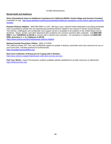## <span id="page-91-0"></span>**Mental Health and Healthcare**

**Short informational sheet on Healthcare Assistance for California Wildfire Victims (Napa and Sonoma Counties)** (LawHelp.CA.org): *[http://www.lawhelpca.org/Resource/baylegal-healthcare-assistance-ca-fire-victims-napa-and-sonoma](http://www.lawhelpca.org/Resource/baylegal-healthcare-assistance-ca-fire-victims-napa-and-sonoma-counties)[counties](http://www.lawhelpca.org/Resource/baylegal-healthcare-assistance-ca-fire-victims-napa-and-sonoma-counties)*

**Disaster Distress Helpline:** (800) 985-5990 is a 24/7, 365-day-a-year, national hotline dedicated to providing immediate crisis counseling for people who are experiencing emotional distress related to any natural or human-caused disaster. This toll-free, multilingual, and confidential crisis support service is available to all residents in the United States and its territories. Stress, anxiety, and other depression-like symptoms are common reactions after a disaster. Call **(800) 985- 5990** or text **TalkWithUs to 66746** to connect with a trained crisis counselor. For assistance in Spanish call **(800) 985- 5990, and press 2**, or text **Hablanos to 66746**.

*<https://www.samhsa.gov/find-help/disaster-distress-helpline>*

#### **National Suicide Prevention Lifeline:** (800) 273-8255

The Lifeline provides 24/7, free, and confidential support for people in distress, prevention and crisis resources for you or your loved ones, and best practices for professionals. *<https://suicidepreventionlifeline.org/>*

#### **Red Cross Collection of Resources for Coping with a Disaster:**

*<http://www.redcross.org/get-help/disaster-relief-and-recovery-services>*

**Find Your Words:** Kaiser Permanente's publicly available website established to provide resources on depression *<https://findyourwords.org/>*